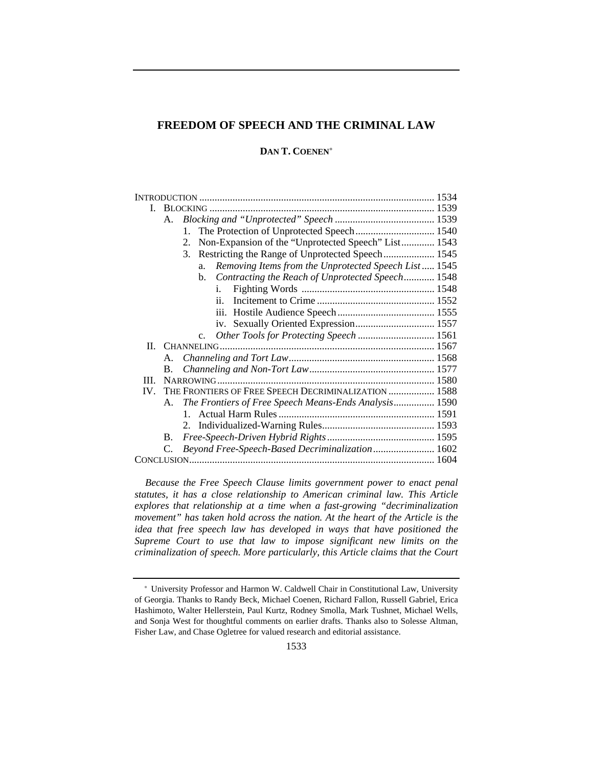# **FREEDOM OF SPEECH AND THE CRIMINAL LAW**

## **DAN T. COENEN**<sup>∗</sup>

| L.       |                       |                                                            |  |
|----------|-----------------------|------------------------------------------------------------|--|
|          | A.                    |                                                            |  |
|          |                       | 1.                                                         |  |
|          |                       | Non-Expansion of the "Unprotected Speech" List 1543<br>2.  |  |
|          |                       | Restricting the Range of Unprotected Speech 1545<br>3.     |  |
|          |                       | Removing Items from the Unprotected Speech List 1545<br>a. |  |
|          |                       | Contracting the Reach of Unprotected Speech 1548<br>h.     |  |
|          |                       | i.                                                         |  |
|          |                       | ii.                                                        |  |
|          |                       |                                                            |  |
|          |                       | iv. Sexually Oriented Expression 1557                      |  |
|          |                       | c. Other Tools for Protecting Speech  1561                 |  |
|          |                       |                                                            |  |
|          |                       |                                                            |  |
|          | B.                    |                                                            |  |
| III.     |                       |                                                            |  |
| $IV_{-}$ |                       | THE FRONTIERS OF FREE SPEECH DECRIMINALIZATION  1588       |  |
|          |                       | A. The Frontiers of Free Speech Means-Ends Analysis 1590   |  |
|          |                       |                                                            |  |
|          |                       |                                                            |  |
|          | <b>B.</b>             |                                                            |  |
|          | $\mathcal{C}_{\cdot}$ | Beyond Free-Speech-Based Decriminalization 1602            |  |
|          |                       |                                                            |  |

*Because the Free Speech Clause limits government power to enact penal statutes, it has a close relationship to American criminal law. This Article explores that relationship at a time when a fast-growing "decriminalization movement" has taken hold across the nation. At the heart of the Article is the idea that free speech law has developed in ways that have positioned the Supreme Court to use that law to impose significant new limits on the criminalization of speech. More particularly, this Article claims that the Court* 

<sup>∗</sup> University Professor and Harmon W. Caldwell Chair in Constitutional Law, University of Georgia. Thanks to Randy Beck, Michael Coenen, Richard Fallon, Russell Gabriel, Erica Hashimoto, Walter Hellerstein, Paul Kurtz, Rodney Smolla, Mark Tushnet, Michael Wells, and Sonja West for thoughtful comments on earlier drafts. Thanks also to Solesse Altman, Fisher Law, and Chase Ogletree for valued research and editorial assistance.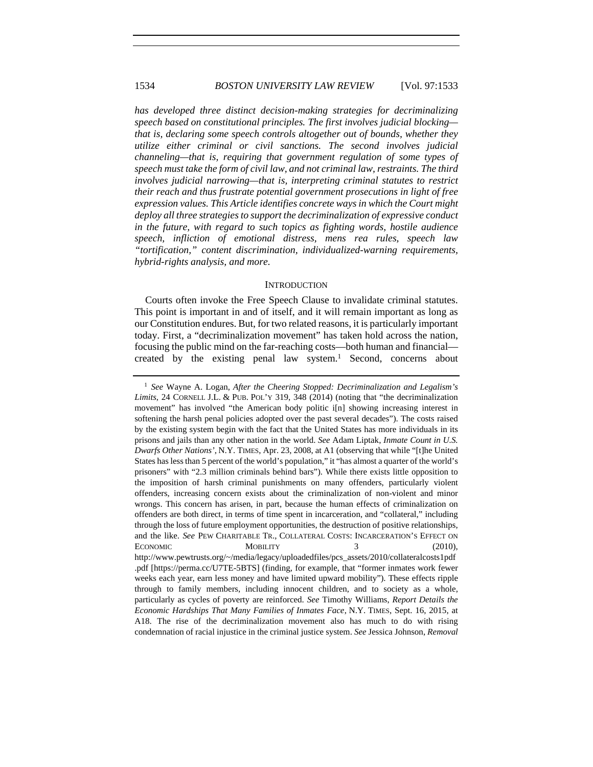*has developed three distinct decision-making strategies for decriminalizing speech based on constitutional principles. The first involves judicial blocking that is, declaring some speech controls altogether out of bounds, whether they utilize either criminal or civil sanctions. The second involves judicial channeling—that is, requiring that government regulation of some types of speech must take the form of civil law, and not criminal law, restraints. The third involves judicial narrowing—that is, interpreting criminal statutes to restrict their reach and thus frustrate potential government prosecutions in light of free expression values. This Article identifies concrete ways in which the Court might deploy all three strategies to support the decriminalization of expressive conduct in the future, with regard to such topics as fighting words, hostile audience speech, infliction of emotional distress, mens rea rules, speech law "tortification," content discrimination, individualized-warning requirements, hybrid-rights analysis, and more.*

#### **INTRODUCTION**

Courts often invoke the Free Speech Clause to invalidate criminal statutes. This point is important in and of itself, and it will remain important as long as our Constitution endures. But, for two related reasons, it is particularly important today. First, a "decriminalization movement" has taken hold across the nation, focusing the public mind on the far-reaching costs—both human and financial created by the existing penal law system.<sup>1</sup> Second, concerns about

<sup>1</sup> *See* Wayne A. Logan, *After the Cheering Stopped: Decriminalization and Legalism's Limits*, 24 CORNELL J.L. & PUB. POL'Y 319, 348 (2014) (noting that "the decriminalization movement" has involved "the American body politic i[n] showing increasing interest in softening the harsh penal policies adopted over the past several decades"). The costs raised by the existing system begin with the fact that the United States has more individuals in its prisons and jails than any other nation in the world. *See* Adam Liptak, *Inmate Count in U.S. Dwarfs Other Nations'*, N.Y. TIMES, Apr. 23, 2008, at A1 (observing that while "[t]he United States has less than 5 percent of the world's population," it "has almost a quarter of the world's prisoners" with "2.3 million criminals behind bars"). While there exists little opposition to the imposition of harsh criminal punishments on many offenders, particularly violent offenders, increasing concern exists about the criminalization of non-violent and minor wrongs. This concern has arisen, in part, because the human effects of criminalization on offenders are both direct, in terms of time spent in incarceration, and "collateral," including through the loss of future employment opportunities, the destruction of positive relationships, and the like. *See* PEW CHARITABLE TR., COLLATERAL COSTS: INCARCERATION'S EFFECT ON ECONOMIC MOBILITY 3 (2010), http://www.pewtrusts.org/~/media/legacy/uploadedfiles/pcs\_assets/2010/collateralcosts1pdf .pdf [https://perma.cc/U7TE-5BTS] (finding, for example, that "former inmates work fewer weeks each year, earn less money and have limited upward mobility"). These effects ripple through to family members, including innocent children, and to society as a whole, particularly as cycles of poverty are reinforced. *See* Timothy Williams, *Report Details the Economic Hardships That Many Families of Inmates Face*, N.Y. TIMES, Sept. 16, 2015, at A18. The rise of the decriminalization movement also has much to do with rising condemnation of racial injustice in the criminal justice system. *See* Jessica Johnson, *Removal*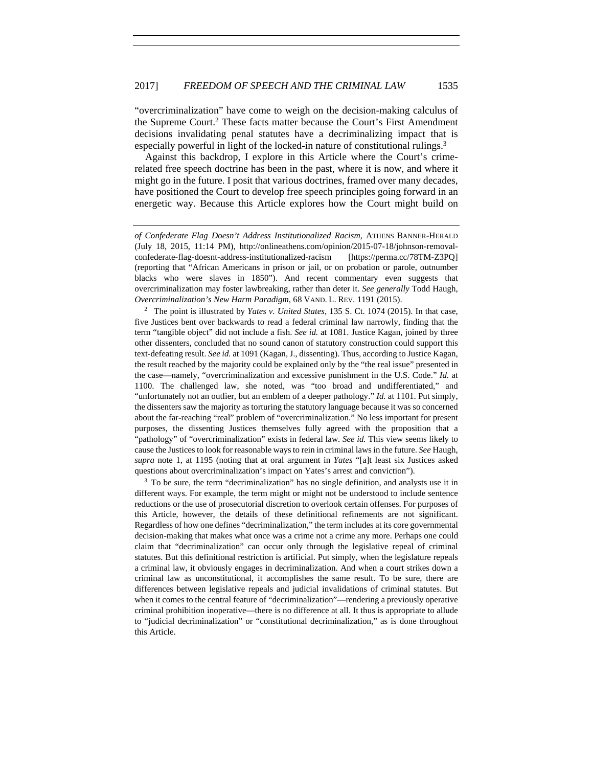"overcriminalization" have come to weigh on the decision-making calculus of the Supreme Court.2 These facts matter because the Court's First Amendment decisions invalidating penal statutes have a decriminalizing impact that is especially powerful in light of the locked-in nature of constitutional rulings.3

Against this backdrop, I explore in this Article where the Court's crimerelated free speech doctrine has been in the past, where it is now, and where it might go in the future. I posit that various doctrines, framed over many decades, have positioned the Court to develop free speech principles going forward in an energetic way. Because this Article explores how the Court might build on

2 The point is illustrated by *Yates v. United States*, 135 S. Ct. 1074 (2015). In that case, five Justices bent over backwards to read a federal criminal law narrowly, finding that the term "tangible object" did not include a fish. *See id.* at 1081. Justice Kagan, joined by three other dissenters, concluded that no sound canon of statutory construction could support this text-defeating result. *See id.* at 1091 (Kagan, J., dissenting). Thus, according to Justice Kagan, the result reached by the majority could be explained only by the "the real issue" presented in the case—namely, "overcriminalization and excessive punishment in the U.S. Code." *Id.* at 1100. The challenged law, she noted, was "too broad and undifferentiated," and "unfortunately not an outlier, but an emblem of a deeper pathology." *Id.* at 1101. Put simply, the dissenters saw the majority as torturing the statutory language because it was so concerned about the far-reaching "real" problem of "overcriminalization." No less important for present purposes, the dissenting Justices themselves fully agreed with the proposition that a "pathology" of "overcriminalization" exists in federal law. *See id.* This view seems likely to cause the Justices to look for reasonable ways to rein in criminal laws in the future. *See* Haugh, *supra* note 1, at 1195 (noting that at oral argument in *Yates* "[a]t least six Justices asked questions about overcriminalization's impact on Yates's arrest and conviction").

<sup>3</sup> To be sure, the term "decriminalization" has no single definition, and analysts use it in different ways. For example, the term might or might not be understood to include sentence reductions or the use of prosecutorial discretion to overlook certain offenses. For purposes of this Article, however, the details of these definitional refinements are not significant. Regardless of how one defines "decriminalization," the term includes at its core governmental decision-making that makes what once was a crime not a crime any more. Perhaps one could claim that "decriminalization" can occur only through the legislative repeal of criminal statutes. But this definitional restriction is artificial. Put simply, when the legislature repeals a criminal law, it obviously engages in decriminalization. And when a court strikes down a criminal law as unconstitutional, it accomplishes the same result. To be sure, there are differences between legislative repeals and judicial invalidations of criminal statutes. But when it comes to the central feature of "decriminalization"—rendering a previously operative criminal prohibition inoperative—there is no difference at all. It thus is appropriate to allude to "judicial decriminalization" or "constitutional decriminalization," as is done throughout this Article.

*of Confederate Flag Doesn't Address Institutionalized Racism*, ATHENS BANNER-HERALD (July 18, 2015, 11:14 PM), http://onlineathens.com/opinion/2015-07-18/johnson-removalconfederate-flag-doesnt-address-institutionalized-racism [https://perma.cc/78TM-Z3PQ] (reporting that "African Americans in prison or jail, or on probation or parole, outnumber blacks who were slaves in 1850"). And recent commentary even suggests that overcriminalization may foster lawbreaking, rather than deter it. *See generally* Todd Haugh, *Overcriminalization's New Harm Paradigm*, 68 VAND. L. REV. 1191 (2015).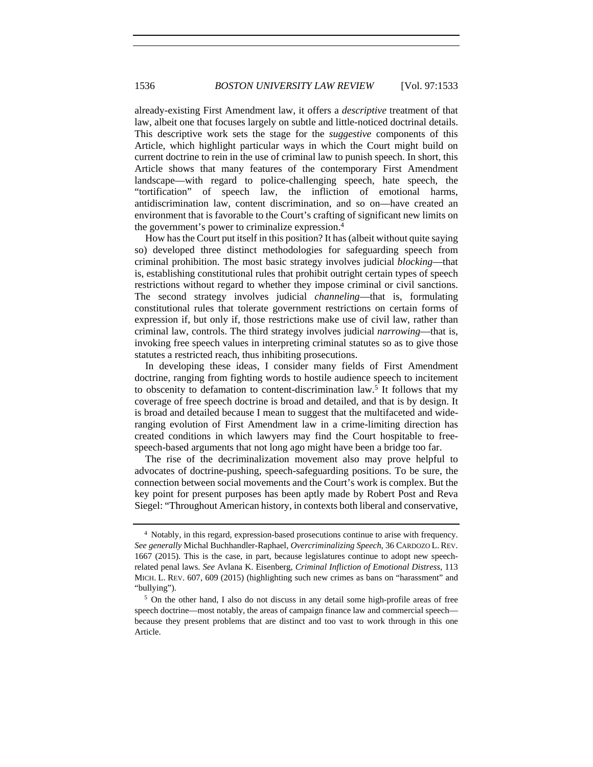already-existing First Amendment law, it offers a *descriptive* treatment of that law, albeit one that focuses largely on subtle and little-noticed doctrinal details. This descriptive work sets the stage for the *suggestive* components of this Article, which highlight particular ways in which the Court might build on current doctrine to rein in the use of criminal law to punish speech. In short, this Article shows that many features of the contemporary First Amendment landscape—with regard to police-challenging speech, hate speech, the "tortification" of speech law, the infliction of emotional harms, antidiscrimination law, content discrimination, and so on—have created an environment that is favorable to the Court's crafting of significant new limits on the government's power to criminalize expression.4

How has the Court put itself in this position? It has (albeit without quite saying so) developed three distinct methodologies for safeguarding speech from criminal prohibition. The most basic strategy involves judicial *blocking*—that is, establishing constitutional rules that prohibit outright certain types of speech restrictions without regard to whether they impose criminal or civil sanctions. The second strategy involves judicial *channeling*—that is, formulating constitutional rules that tolerate government restrictions on certain forms of expression if, but only if, those restrictions make use of civil law, rather than criminal law, controls. The third strategy involves judicial *narrowing*—that is, invoking free speech values in interpreting criminal statutes so as to give those statutes a restricted reach, thus inhibiting prosecutions.

In developing these ideas, I consider many fields of First Amendment doctrine, ranging from fighting words to hostile audience speech to incitement to obscenity to defamation to content-discrimination law.5 It follows that my coverage of free speech doctrine is broad and detailed, and that is by design. It is broad and detailed because I mean to suggest that the multifaceted and wideranging evolution of First Amendment law in a crime-limiting direction has created conditions in which lawyers may find the Court hospitable to freespeech-based arguments that not long ago might have been a bridge too far.

The rise of the decriminalization movement also may prove helpful to advocates of doctrine-pushing, speech-safeguarding positions. To be sure, the connection between social movements and the Court's work is complex. But the key point for present purposes has been aptly made by Robert Post and Reva Siegel: "Throughout American history, in contexts both liberal and conservative,

<sup>4</sup> Notably, in this regard, expression-based prosecutions continue to arise with frequency. *See generally* Michal Buchhandler-Raphael, *Overcriminalizing Speech*, 36 CARDOZO L. REV. 1667 (2015). This is the case, in part, because legislatures continue to adopt new speechrelated penal laws. *See* Avlana K. Eisenberg, *Criminal Infliction of Emotional Distress*, 113 MICH. L. REV. 607, 609 (2015) (highlighting such new crimes as bans on "harassment" and "bullying"). 5 On the other hand, I also do not discuss in any detail some high-profile areas of free

speech doctrine—most notably, the areas of campaign finance law and commercial speech because they present problems that are distinct and too vast to work through in this one Article.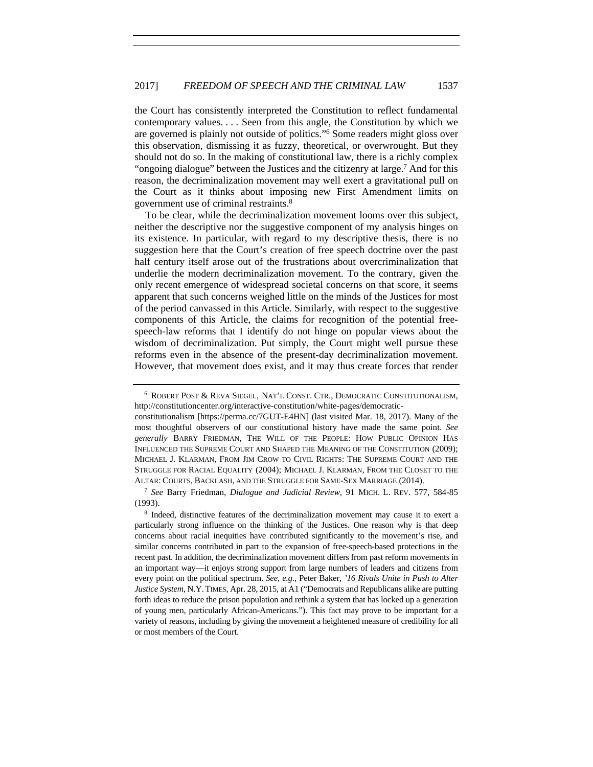the Court has consistently interpreted the Constitution to reflect fundamental contemporary values. . . . Seen from this angle, the Constitution by which we are governed is plainly not outside of politics."6 Some readers might gloss over this observation, dismissing it as fuzzy, theoretical, or overwrought. But they should not do so. In the making of constitutional law, there is a richly complex "ongoing dialogue" between the Justices and the citizenry at large.7 And for this reason, the decriminalization movement may well exert a gravitational pull on the Court as it thinks about imposing new First Amendment limits on government use of criminal restraints.8

To be clear, while the decriminalization movement looms over this subject, neither the descriptive nor the suggestive component of my analysis hinges on its existence. In particular, with regard to my descriptive thesis, there is no suggestion here that the Court's creation of free speech doctrine over the past half century itself arose out of the frustrations about overcriminalization that underlie the modern decriminalization movement. To the contrary, given the only recent emergence of widespread societal concerns on that score, it seems apparent that such concerns weighed little on the minds of the Justices for most of the period canvassed in this Article. Similarly, with respect to the suggestive components of this Article, the claims for recognition of the potential freespeech-law reforms that I identify do not hinge on popular views about the wisdom of decriminalization. Put simply, the Court might well pursue these reforms even in the absence of the present-day decriminalization movement. However, that movement does exist, and it may thus create forces that render

<sup>7</sup> *See* Barry Friedman, *Dialogue and Judicial Review*, 91 MICH. L. REV. 577, 584-85 (1993).

<sup>6</sup> ROBERT POST & REVA SIEGEL, NAT'L CONST. CTR., DEMOCRATIC CONSTITUTIONALISM, http://constitutioncenter.org/interactive-constitution/white-pages/democratic-

constitutionalism [https://perma.cc/7GUT-E4HN] (last visited Mar. 18, 2017). Many of the most thoughtful observers of our constitutional history have made the same point. *See generally* BARRY FRIEDMAN, THE WILL OF THE PEOPLE: HOW PUBLIC OPINION HAS INFLUENCED THE SUPREME COURT AND SHAPED THE MEANING OF THE CONSTITUTION (2009); MICHAEL J. KLARMAN, FROM JIM CROW TO CIVIL RIGHTS: THE SUPREME COURT AND THE STRUGGLE FOR RACIAL EQUALITY (2004); MICHAEL J. KLARMAN, FROM THE CLOSET TO THE ALTAR: COURTS, BACKLASH, AND THE STRUGGLE FOR SAME-SEX MARRIAGE (2014).

<sup>8</sup> Indeed, distinctive features of the decriminalization movement may cause it to exert a particularly strong influence on the thinking of the Justices. One reason why is that deep concerns about racial inequities have contributed significantly to the movement's rise, and similar concerns contributed in part to the expansion of free-speech-based protections in the recent past. In addition, the decriminalization movement differs from past reform movements in an important way—it enjoys strong support from large numbers of leaders and citizens from every point on the political spectrum. *See, e.g.*, Peter Baker, *'16 Rivals Unite in Push to Alter Justice System*, N.Y.TIMES, Apr. 28, 2015, at A1 ("Democrats and Republicans alike are putting forth ideas to reduce the prison population and rethink a system that has locked up a generation of young men, particularly African-Americans."). This fact may prove to be important for a variety of reasons, including by giving the movement a heightened measure of credibility for all or most members of the Court.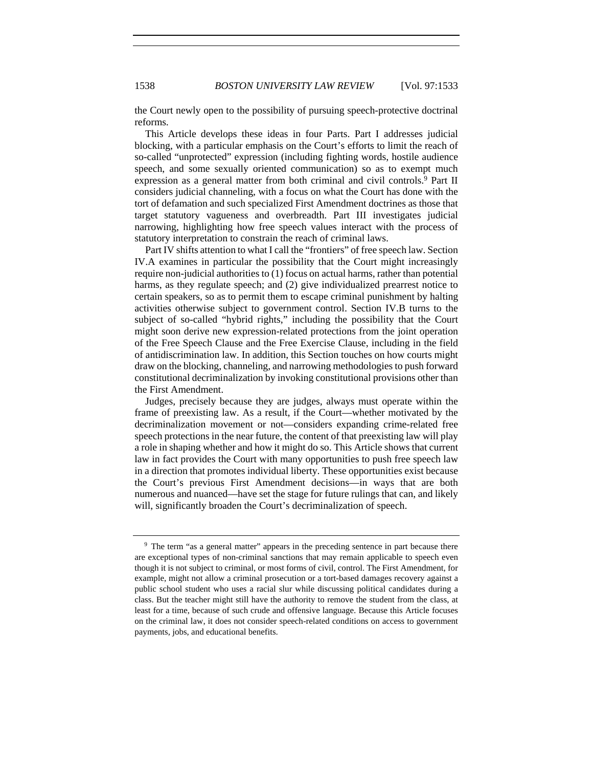the Court newly open to the possibility of pursuing speech-protective doctrinal reforms.

This Article develops these ideas in four Parts. Part I addresses judicial blocking, with a particular emphasis on the Court's efforts to limit the reach of so-called "unprotected" expression (including fighting words, hostile audience speech, and some sexually oriented communication) so as to exempt much expression as a general matter from both criminal and civil controls.<sup>9</sup> Part II considers judicial channeling, with a focus on what the Court has done with the tort of defamation and such specialized First Amendment doctrines as those that target statutory vagueness and overbreadth. Part III investigates judicial narrowing, highlighting how free speech values interact with the process of statutory interpretation to constrain the reach of criminal laws.

Part IV shifts attention to what I call the "frontiers" of free speech law. Section IV.A examines in particular the possibility that the Court might increasingly require non-judicial authorities to (1) focus on actual harms, rather than potential harms, as they regulate speech; and (2) give individualized prearrest notice to certain speakers, so as to permit them to escape criminal punishment by halting activities otherwise subject to government control. Section IV.B turns to the subject of so-called "hybrid rights," including the possibility that the Court might soon derive new expression-related protections from the joint operation of the Free Speech Clause and the Free Exercise Clause, including in the field of antidiscrimination law. In addition, this Section touches on how courts might draw on the blocking, channeling, and narrowing methodologies to push forward constitutional decriminalization by invoking constitutional provisions other than the First Amendment.

Judges, precisely because they are judges, always must operate within the frame of preexisting law. As a result, if the Court—whether motivated by the decriminalization movement or not—considers expanding crime-related free speech protections in the near future, the content of that preexisting law will play a role in shaping whether and how it might do so. This Article shows that current law in fact provides the Court with many opportunities to push free speech law in a direction that promotes individual liberty. These opportunities exist because the Court's previous First Amendment decisions—in ways that are both numerous and nuanced—have set the stage for future rulings that can, and likely will, significantly broaden the Court's decriminalization of speech.

<sup>&</sup>lt;sup>9</sup> The term "as a general matter" appears in the preceding sentence in part because there are exceptional types of non-criminal sanctions that may remain applicable to speech even though it is not subject to criminal, or most forms of civil, control. The First Amendment, for example, might not allow a criminal prosecution or a tort-based damages recovery against a public school student who uses a racial slur while discussing political candidates during a class. But the teacher might still have the authority to remove the student from the class, at least for a time, because of such crude and offensive language. Because this Article focuses on the criminal law, it does not consider speech-related conditions on access to government payments, jobs, and educational benefits.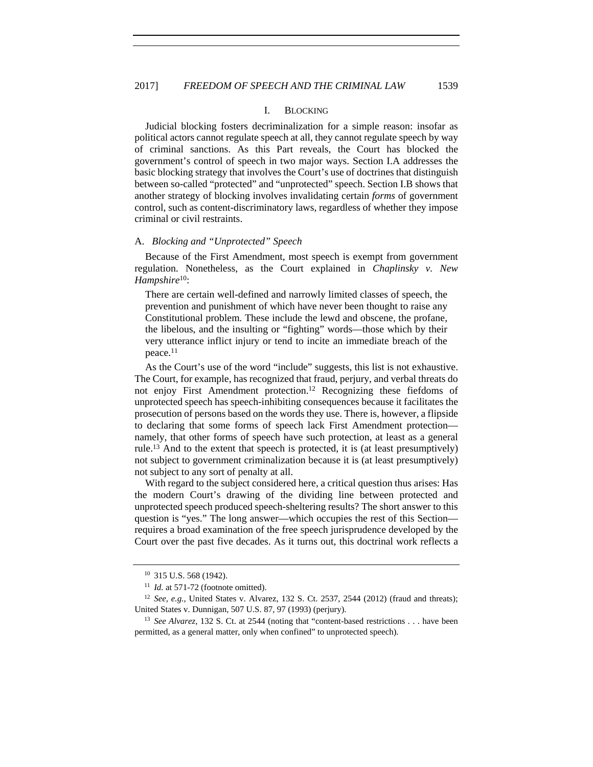## I. BLOCKING

Judicial blocking fosters decriminalization for a simple reason: insofar as political actors cannot regulate speech at all, they cannot regulate speech by way of criminal sanctions. As this Part reveals, the Court has blocked the government's control of speech in two major ways. Section I.A addresses the basic blocking strategy that involves the Court's use of doctrines that distinguish between so-called "protected" and "unprotected" speech. Section I.B shows that another strategy of blocking involves invalidating certain *forms* of government control, such as content-discriminatory laws, regardless of whether they impose criminal or civil restraints.

#### A. *Blocking and "Unprotected" Speech*

Because of the First Amendment, most speech is exempt from government regulation. Nonetheless, as the Court explained in *Chaplinsky v. New Hampshire*10:

There are certain well-defined and narrowly limited classes of speech, the prevention and punishment of which have never been thought to raise any Constitutional problem. These include the lewd and obscene, the profane, the libelous, and the insulting or "fighting" words—those which by their very utterance inflict injury or tend to incite an immediate breach of the peace.11

As the Court's use of the word "include" suggests, this list is not exhaustive. The Court, for example, has recognized that fraud, perjury, and verbal threats do not enjoy First Amendment protection.12 Recognizing these fiefdoms of unprotected speech has speech-inhibiting consequences because it facilitates the prosecution of persons based on the words they use. There is, however, a flipside to declaring that some forms of speech lack First Amendment protection namely, that other forms of speech have such protection, at least as a general rule.13 And to the extent that speech is protected, it is (at least presumptively) not subject to government criminalization because it is (at least presumptively) not subject to any sort of penalty at all.

With regard to the subject considered here, a critical question thus arises: Has the modern Court's drawing of the dividing line between protected and unprotected speech produced speech-sheltering results? The short answer to this question is "yes." The long answer—which occupies the rest of this Section requires a broad examination of the free speech jurisprudence developed by the Court over the past five decades. As it turns out, this doctrinal work reflects a

<sup>10</sup> 315 U.S. 568 (1942).

<sup>&</sup>lt;sup>11</sup> *Id.* at 571-72 (footnote omitted).

<sup>12</sup> *See, e.g.*, United States v. Alvarez, 132 S. Ct. 2537, 2544 (2012) (fraud and threats); United States v. Dunnigan, 507 U.S. 87, 97 (1993) (perjury).

<sup>13</sup> *See Alvarez*, 132 S. Ct. at 2544 (noting that "content-based restrictions . . . have been permitted, as a general matter, only when confined" to unprotected speech).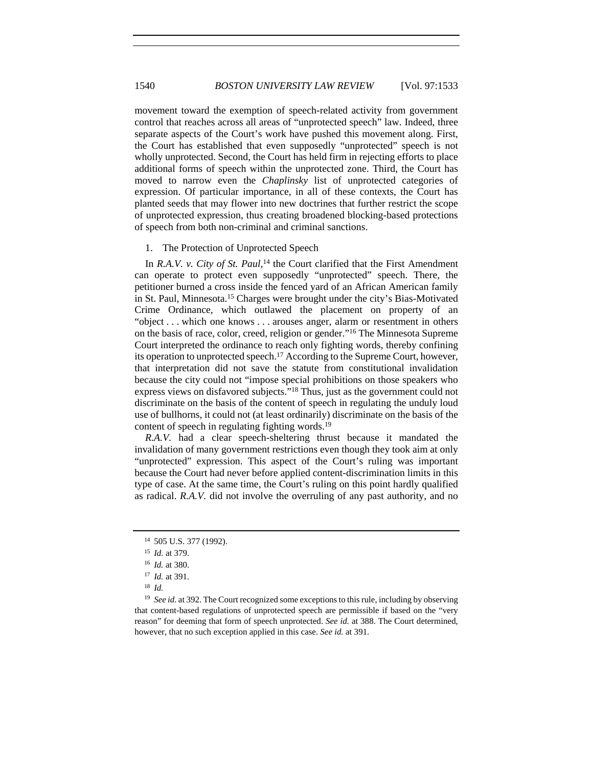movement toward the exemption of speech-related activity from government control that reaches across all areas of "unprotected speech" law. Indeed, three separate aspects of the Court's work have pushed this movement along. First, the Court has established that even supposedly "unprotected" speech is not wholly unprotected. Second, the Court has held firm in rejecting efforts to place additional forms of speech within the unprotected zone. Third, the Court has moved to narrow even the *Chaplinsky* list of unprotected categories of expression. Of particular importance, in all of these contexts, the Court has planted seeds that may flower into new doctrines that further restrict the scope of unprotected expression, thus creating broadened blocking-based protections of speech from both non-criminal and criminal sanctions.

#### 1. The Protection of Unprotected Speech

In *R.A.V. v. City of St. Paul*, 14 the Court clarified that the First Amendment can operate to protect even supposedly "unprotected" speech. There, the petitioner burned a cross inside the fenced yard of an African American family in St. Paul, Minnesota.15 Charges were brought under the city's Bias-Motivated Crime Ordinance, which outlawed the placement on property of an "object . . . which one knows . . . arouses anger, alarm or resentment in others on the basis of race, color, creed, religion or gender."16 The Minnesota Supreme Court interpreted the ordinance to reach only fighting words, thereby confining its operation to unprotected speech.17 According to the Supreme Court, however, that interpretation did not save the statute from constitutional invalidation because the city could not "impose special prohibitions on those speakers who express views on disfavored subjects."18 Thus, just as the government could not discriminate on the basis of the content of speech in regulating the unduly loud use of bullhorns, it could not (at least ordinarily) discriminate on the basis of the content of speech in regulating fighting words.19

*R.A.V.* had a clear speech-sheltering thrust because it mandated the invalidation of many government restrictions even though they took aim at only "unprotected" expression. This aspect of the Court's ruling was important because the Court had never before applied content-discrimination limits in this type of case. At the same time, the Court's ruling on this point hardly qualified as radical. *R.A.V.* did not involve the overruling of any past authority, and no

<sup>14</sup> 505 U.S. 377 (1992).

<sup>15</sup> *Id.* at 379.

<sup>16</sup> *Id.* at 380.

<sup>17</sup> *Id.* at 391.

<sup>18</sup> *Id.*

<sup>&</sup>lt;sup>19</sup> *See id.* at 392. The Court recognized some exceptions to this rule, including by observing that content-based regulations of unprotected speech are permissible if based on the "very reason" for deeming that form of speech unprotected. *See id.* at 388. The Court determined, however, that no such exception applied in this case. *See id.* at 391.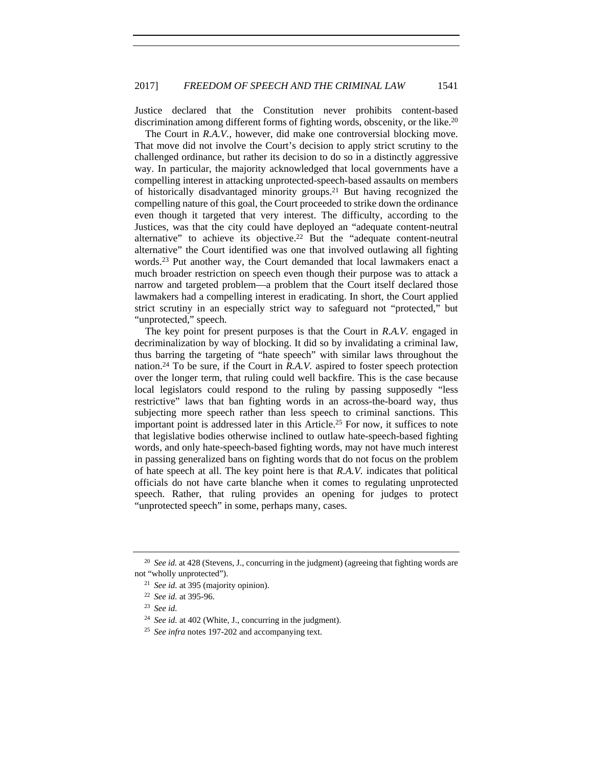Justice declared that the Constitution never prohibits content-based discrimination among different forms of fighting words, obscenity, or the like.<sup>20</sup>

The Court in *R.A.V.*, however, did make one controversial blocking move. That move did not involve the Court's decision to apply strict scrutiny to the challenged ordinance, but rather its decision to do so in a distinctly aggressive way. In particular, the majority acknowledged that local governments have a compelling interest in attacking unprotected-speech-based assaults on members of historically disadvantaged minority groups.21 But having recognized the compelling nature of this goal, the Court proceeded to strike down the ordinance even though it targeted that very interest. The difficulty, according to the Justices, was that the city could have deployed an "adequate content-neutral alternative" to achieve its objective.22 But the "adequate content-neutral alternative" the Court identified was one that involved outlawing all fighting words.23 Put another way, the Court demanded that local lawmakers enact a much broader restriction on speech even though their purpose was to attack a narrow and targeted problem—a problem that the Court itself declared those lawmakers had a compelling interest in eradicating. In short, the Court applied strict scrutiny in an especially strict way to safeguard not "protected," but "unprotected," speech.

The key point for present purposes is that the Court in *R.A.V.* engaged in decriminalization by way of blocking. It did so by invalidating a criminal law, thus barring the targeting of "hate speech" with similar laws throughout the nation.24 To be sure, if the Court in *R.A.V.* aspired to foster speech protection over the longer term, that ruling could well backfire. This is the case because local legislators could respond to the ruling by passing supposedly "less restrictive" laws that ban fighting words in an across-the-board way, thus subjecting more speech rather than less speech to criminal sanctions. This important point is addressed later in this Article.25 For now, it suffices to note that legislative bodies otherwise inclined to outlaw hate-speech-based fighting words, and only hate-speech-based fighting words, may not have much interest in passing generalized bans on fighting words that do not focus on the problem of hate speech at all. The key point here is that *R.A.V.* indicates that political officials do not have carte blanche when it comes to regulating unprotected speech. Rather, that ruling provides an opening for judges to protect "unprotected speech" in some, perhaps many, cases.

<sup>&</sup>lt;sup>20</sup> See id. at 428 (Stevens, J., concurring in the judgment) (agreeing that fighting words are not "wholly unprotected"). 21 *See id.* at 395 (majority opinion).

<sup>22</sup> *See id.* at 395-96.

<sup>23</sup> *See id.*

<sup>24</sup> *See id.* at 402 (White, J., concurring in the judgment).

<sup>25</sup> *See infra* notes 197-202 and accompanying text.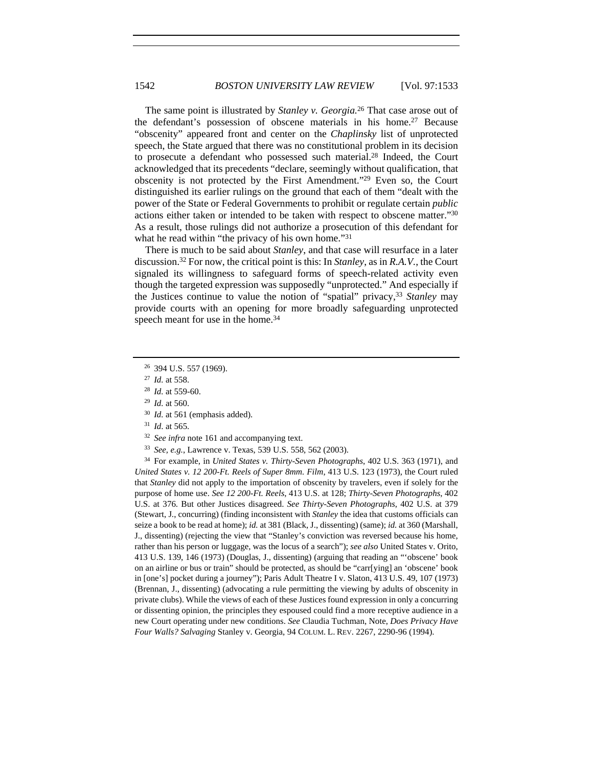The same point is illustrated by *Stanley v. Georgia.*26 That case arose out of the defendant's possession of obscene materials in his home.27 Because "obscenity" appeared front and center on the *Chaplinsky* list of unprotected speech, the State argued that there was no constitutional problem in its decision to prosecute a defendant who possessed such material.28 Indeed, the Court acknowledged that its precedents "declare, seemingly without qualification, that obscenity is not protected by the First Amendment."29 Even so, the Court distinguished its earlier rulings on the ground that each of them "dealt with the power of the State or Federal Governments to prohibit or regulate certain *public* actions either taken or intended to be taken with respect to obscene matter."30 As a result, those rulings did not authorize a prosecution of this defendant for what he read within "the privacy of his own home."<sup>31</sup>

There is much to be said about *Stanley*, and that case will resurface in a later discussion.32 For now, the critical point is this: In *Stanley*, as in *R.A.V.*, the Court signaled its willingness to safeguard forms of speech-related activity even though the targeted expression was supposedly "unprotected." And especially if the Justices continue to value the notion of "spatial" privacy,33 *Stanley* may provide courts with an opening for more broadly safeguarding unprotected speech meant for use in the home.<sup>34</sup>

<sup>31</sup> *Id*. at 565. 32 *See infra* note 161 and accompanying text.

<sup>34</sup> For example, in *United States v. Thirty-Seven Photographs*, 402 U.S. 363 (1971), and *United States v. 12 200-Ft. Reels of Super 8mm. Film*, 413 U.S. 123 (1973), the Court ruled that *Stanley* did not apply to the importation of obscenity by travelers, even if solely for the purpose of home use. *See 12 200-Ft. Reels*, 413 U.S. at 128; *Thirty-Seven Photographs*, 402 U.S. at 376. But other Justices disagreed. *See Thirty-Seven Photographs*, 402 U.S. at 379 (Stewart, J., concurring) (finding inconsistent with *Stanley* the idea that customs officials can seize a book to be read at home); *id.* at 381 (Black, J., dissenting) (same); *id.* at 360 (Marshall, J., dissenting) (rejecting the view that "Stanley's conviction was reversed because his home, rather than his person or luggage, was the locus of a search"); *see also* United States v. Orito, 413 U.S. 139, 146 (1973) (Douglas, J., dissenting) (arguing that reading an "'obscene' book on an airline or bus or train" should be protected, as should be "carr[ying] an 'obscene' book in [one's] pocket during a journey"); Paris Adult Theatre I v. Slaton, 413 U.S. 49, 107 (1973) (Brennan, J., dissenting) (advocating a rule permitting the viewing by adults of obscenity in private clubs). While the views of each of these Justices found expression in only a concurring or dissenting opinion, the principles they espoused could find a more receptive audience in a new Court operating under new conditions. *See* Claudia Tuchman, Note, *Does Privacy Have Four Walls? Salvaging* Stanley v. Georgia, 94 COLUM. L. REV. 2267, 2290-96 (1994).

<sup>26</sup> 394 U.S. 557 (1969).

<sup>27</sup> *Id.* at 558.

<sup>28</sup> *Id.* at 559-60. 29 *Id.* at 560.

<sup>30</sup> *Id.* at 561 (emphasis added).

<sup>33</sup> *See, e.g.*, Lawrence v. Texas, 539 U.S. 558, 562 (2003).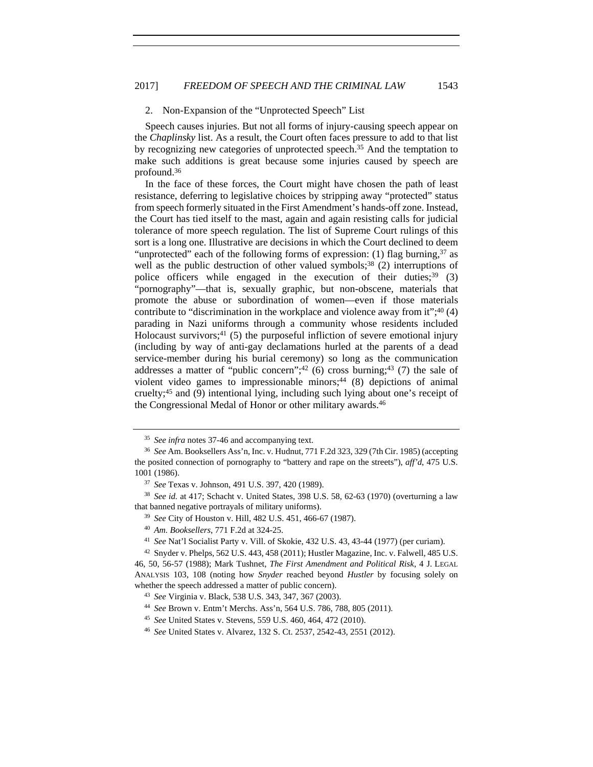### 2. Non-Expansion of the "Unprotected Speech" List

Speech causes injuries. But not all forms of injury-causing speech appear on the *Chaplinsky* list. As a result, the Court often faces pressure to add to that list by recognizing new categories of unprotected speech.<sup>35</sup> And the temptation to make such additions is great because some injuries caused by speech are profound.36

In the face of these forces, the Court might have chosen the path of least resistance, deferring to legislative choices by stripping away "protected" status from speech formerly situated in the First Amendment's hands-off zone. Instead, the Court has tied itself to the mast, again and again resisting calls for judicial tolerance of more speech regulation. The list of Supreme Court rulings of this sort is a long one. Illustrative are decisions in which the Court declined to deem "unprotected" each of the following forms of expression: (1) flag burning,<sup>37</sup> as well as the public destruction of other valued symbols;<sup>38</sup> (2) interruptions of police officers while engaged in the execution of their duties; $39$  (3) "pornography"—that is, sexually graphic, but non-obscene, materials that promote the abuse or subordination of women—even if those materials contribute to "discrimination in the workplace and violence away from it";<sup>40</sup> (4) parading in Nazi uniforms through a community whose residents included Holocaust survivors; $41$  (5) the purposeful infliction of severe emotional injury (including by way of anti-gay declamations hurled at the parents of a dead service-member during his burial ceremony) so long as the communication addresses a matter of "public concern"; $42$  (6) cross burning; $43$  (7) the sale of violent video games to impressionable minors;<sup>44</sup>  $(8)$  depictions of animal cruelty;45 and (9) intentional lying, including such lying about one's receipt of the Congressional Medal of Honor or other military awards.<sup>46</sup>

<sup>35</sup> *See infra* notes 37-46 and accompanying text.

<sup>36</sup> *See* Am. Booksellers Ass'n, Inc. v. Hudnut, 771 F.2d 323, 329 (7th Cir. 1985) (accepting the posited connection of pornography to "battery and rape on the streets"), *aff'd*, 475 U.S. 1001 (1986). 37 *See* Texas v. Johnson, 491 U.S. 397, 420 (1989).

<sup>38</sup> *See id.* at 417; Schacht v. United States, 398 U.S. 58, 62-63 (1970) (overturning a law that banned negative portrayals of military uniforms).

<sup>39</sup> *See* City of Houston v. Hill, 482 U.S. 451, 466-67 (1987).

<sup>40</sup> *Am. Booksellers*, 771 F.2d at 324-25.

<sup>41</sup> *See* Nat'l Socialist Party v. Vill. of Skokie, 432 U.S. 43, 43-44 (1977) (per curiam).

<sup>42</sup> Snyder v. Phelps, 562 U.S. 443, 458 (2011); Hustler Magazine, Inc. v. Falwell, 485 U.S. 46, 50, 56-57 (1988); Mark Tushnet, *The First Amendment and Political Risk*, 4 J. LEGAL ANALYSIS 103, 108 (noting how *Snyder* reached beyond *Hustler* by focusing solely on whether the speech addressed a matter of public concern). 43 *See* Virginia v. Black, 538 U.S. 343, 347, 367 (2003).

<sup>44</sup> *See* Brown v. Entm't Merchs. Ass'n, 564 U.S. 786, 788, 805 (2011).

<sup>45</sup> *See* United States v. Stevens, 559 U.S. 460, 464, 472 (2010).

<sup>46</sup> *See* United States v. Alvarez, 132 S. Ct. 2537, 2542-43, 2551 (2012).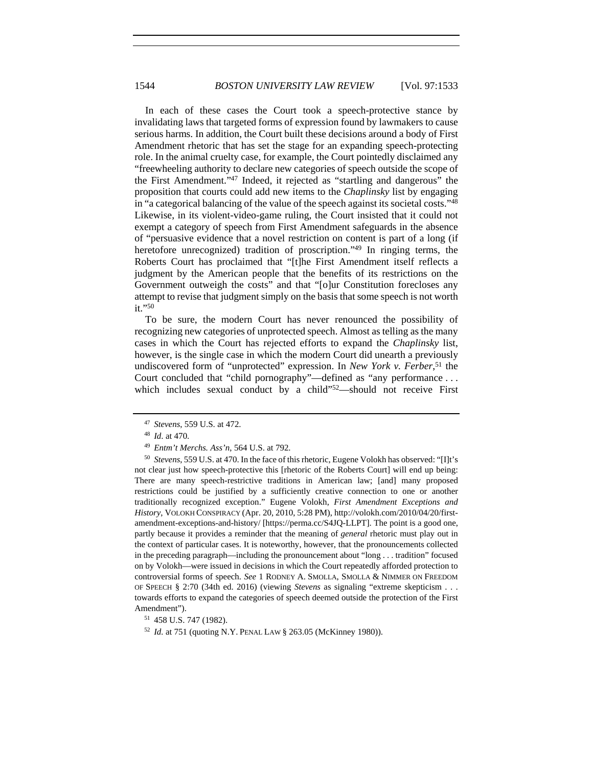In each of these cases the Court took a speech-protective stance by invalidating laws that targeted forms of expression found by lawmakers to cause serious harms. In addition, the Court built these decisions around a body of First Amendment rhetoric that has set the stage for an expanding speech-protecting role. In the animal cruelty case, for example, the Court pointedly disclaimed any "freewheeling authority to declare new categories of speech outside the scope of the First Amendment."47 Indeed, it rejected as "startling and dangerous" the proposition that courts could add new items to the *Chaplinsky* list by engaging in "a categorical balancing of the value of the speech against its societal costs."48 Likewise, in its violent-video-game ruling, the Court insisted that it could not exempt a category of speech from First Amendment safeguards in the absence of "persuasive evidence that a novel restriction on content is part of a long (if heretofore unrecognized) tradition of proscription."<sup>49</sup> In ringing terms, the Roberts Court has proclaimed that "[t]he First Amendment itself reflects a judgment by the American people that the benefits of its restrictions on the Government outweigh the costs" and that "[o]ur Constitution forecloses any attempt to revise that judgment simply on the basis that some speech is not worth it."50

To be sure, the modern Court has never renounced the possibility of recognizing new categories of unprotected speech. Almost as telling as the many cases in which the Court has rejected efforts to expand the *Chaplinsky* list, however, is the single case in which the modern Court did unearth a previously undiscovered form of "unprotected" expression. In *New York v. Ferber*, 51 the Court concluded that "child pornography"—defined as "any performance . . . which includes sexual conduct by a child"<sup>52</sup>—should not receive First

<sup>50</sup> *Stevens*, 559 U.S. at 470. In the face of this rhetoric, Eugene Volokh has observed: "[I]t's not clear just how speech-protective this [rhetoric of the Roberts Court] will end up being: There are many speech-restrictive traditions in American law; [and] many proposed restrictions could be justified by a sufficiently creative connection to one or another traditionally recognized exception." Eugene Volokh, *First Amendment Exceptions and History*, VOLOKH CONSPIRACY (Apr. 20, 2010, 5:28 PM), http://volokh.com/2010/04/20/firstamendment-exceptions-and-history/ [https://perma.cc/S4JQ-LLPT]. The point is a good one, partly because it provides a reminder that the meaning of *general* rhetoric must play out in the context of particular cases. It is noteworthy, however, that the pronouncements collected in the preceding paragraph—including the pronouncement about "long . . . tradition" focused on by Volokh—were issued in decisions in which the Court repeatedly afforded protection to controversial forms of speech. *See* 1 RODNEY A. SMOLLA, SMOLLA & NIMMER ON FREEDOM OF SPEECH § 2:70 (34th ed. 2016) (viewing *Stevens* as signaling "extreme skepticism . . . towards efforts to expand the categories of speech deemed outside the protection of the First Amendment").<br><sup>51</sup> 458 U.S. 747 (1982).

<sup>47</sup> *Stevens*, 559 U.S. at 472.

<sup>48</sup> *Id*. at 470.

<sup>49</sup> *Entm't Merchs. Ass'n*, 564 U.S. at 792.

<sup>52</sup> *Id.* at 751 (quoting N.Y. PENAL LAW § 263.05 (McKinney 1980)).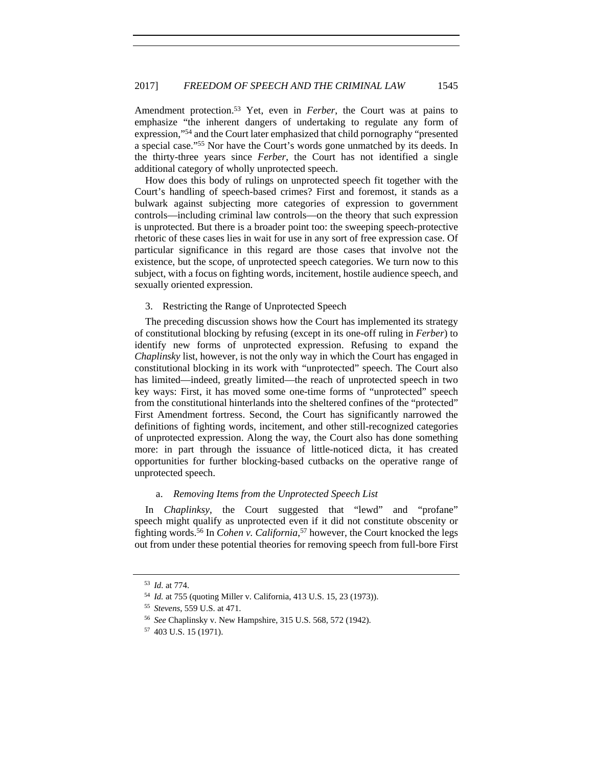Amendment protection.53 Yet, even in *Ferber*, the Court was at pains to emphasize "the inherent dangers of undertaking to regulate any form of expression,"54 and the Court later emphasized that child pornography "presented a special case."55 Nor have the Court's words gone unmatched by its deeds. In the thirty-three years since *Ferber*, the Court has not identified a single additional category of wholly unprotected speech.

How does this body of rulings on unprotected speech fit together with the Court's handling of speech-based crimes? First and foremost, it stands as a bulwark against subjecting more categories of expression to government controls—including criminal law controls—on the theory that such expression is unprotected. But there is a broader point too: the sweeping speech-protective rhetoric of these cases lies in wait for use in any sort of free expression case. Of particular significance in this regard are those cases that involve not the existence, but the scope, of unprotected speech categories. We turn now to this subject, with a focus on fighting words, incitement, hostile audience speech, and sexually oriented expression.

#### 3. Restricting the Range of Unprotected Speech

The preceding discussion shows how the Court has implemented its strategy of constitutional blocking by refusing (except in its one-off ruling in *Ferber*) to identify new forms of unprotected expression. Refusing to expand the *Chaplinsky* list, however, is not the only way in which the Court has engaged in constitutional blocking in its work with "unprotected" speech. The Court also has limited—indeed, greatly limited—the reach of unprotected speech in two key ways: First, it has moved some one-time forms of "unprotected" speech from the constitutional hinterlands into the sheltered confines of the "protected" First Amendment fortress. Second, the Court has significantly narrowed the definitions of fighting words, incitement, and other still-recognized categories of unprotected expression. Along the way, the Court also has done something more: in part through the issuance of little-noticed dicta, it has created opportunities for further blocking-based cutbacks on the operative range of unprotected speech.

## a. *Removing Items from the Unprotected Speech List*

In *Chaplinksy*, the Court suggested that "lewd" and "profane" speech might qualify as unprotected even if it did not constitute obscenity or fighting words.56 In *Cohen v. California*, 57 however, the Court knocked the legs out from under these potential theories for removing speech from full-bore First

<sup>53</sup> *Id.* at 774.

<sup>54</sup> *Id.* at 755 (quoting Miller v. California, 413 U.S. 15, 23 (1973)).

<sup>55</sup> *Stevens*, 559 U.S. at 471.

<sup>56</sup> *See* Chaplinsky v. New Hampshire, 315 U.S. 568, 572 (1942).

<sup>57</sup> 403 U.S. 15 (1971).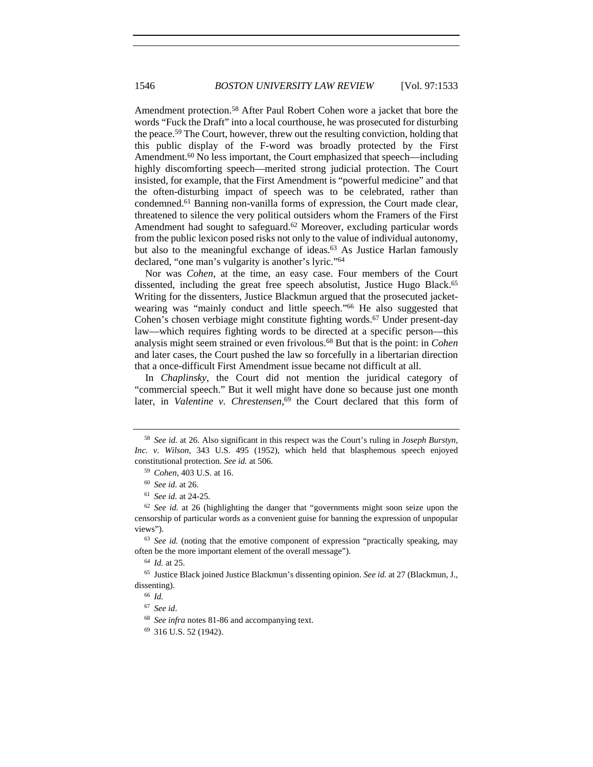Amendment protection.58 After Paul Robert Cohen wore a jacket that bore the words "Fuck the Draft" into a local courthouse, he was prosecuted for disturbing the peace.59 The Court, however, threw out the resulting conviction, holding that this public display of the F-word was broadly protected by the First Amendment.<sup>60</sup> No less important, the Court emphasized that speech—including highly discomforting speech—merited strong judicial protection. The Court insisted, for example, that the First Amendment is "powerful medicine" and that the often-disturbing impact of speech was to be celebrated, rather than condemned.61 Banning non-vanilla forms of expression, the Court made clear, threatened to silence the very political outsiders whom the Framers of the First Amendment had sought to safeguard.<sup>62</sup> Moreover, excluding particular words from the public lexicon posed risks not only to the value of individual autonomy, but also to the meaningful exchange of ideas.<sup>63</sup> As Justice Harlan famously declared, "one man's vulgarity is another's lyric."64

Nor was *Cohen*, at the time, an easy case. Four members of the Court dissented, including the great free speech absolutist, Justice Hugo Black.<sup>65</sup> Writing for the dissenters, Justice Blackmun argued that the prosecuted jacketwearing was "mainly conduct and little speech."66 He also suggested that Cohen's chosen verbiage might constitute fighting words.<sup>67</sup> Under present-day law—which requires fighting words to be directed at a specific person—this analysis might seem strained or even frivolous.68 But that is the point: in *Cohen* and later cases, the Court pushed the law so forcefully in a libertarian direction that a once-difficult First Amendment issue became not difficult at all.

In *Chaplinsky*, the Court did not mention the juridical category of "commercial speech." But it well might have done so because just one month later, in *Valentine v. Chrestensen*, 69 the Court declared that this form of

<sup>58</sup> *See id.* at 26. Also significant in this respect was the Court's ruling in *Joseph Burstyn, Inc. v. Wilson*, 343 U.S. 495 (1952), which held that blasphemous speech enjoyed constitutional protection. *See id.* at 506. 59 *Cohen*, 403 U.S. at 16. 60 *See id.* at 26.

<sup>61</sup> *See id.* at 24-25.

<sup>62</sup> *See id.* at 26 (highlighting the danger that "governments might soon seize upon the censorship of particular words as a convenient guise for banning the expression of unpopular views").

<sup>63</sup> *See id.* (noting that the emotive component of expression "practically speaking, may often be the more important element of the overall message").

<sup>64</sup> *Id.* at 25.

<sup>65</sup> Justice Black joined Justice Blackmun's dissenting opinion. *See id.* at 27 (Blackmun, J., dissenting).<br><sup>66</sup> *Id.* 

<sup>67</sup> *See id*.

<sup>68</sup> *See infra* notes 81-86 and accompanying text.

<sup>69</sup> 316 U.S. 52 (1942).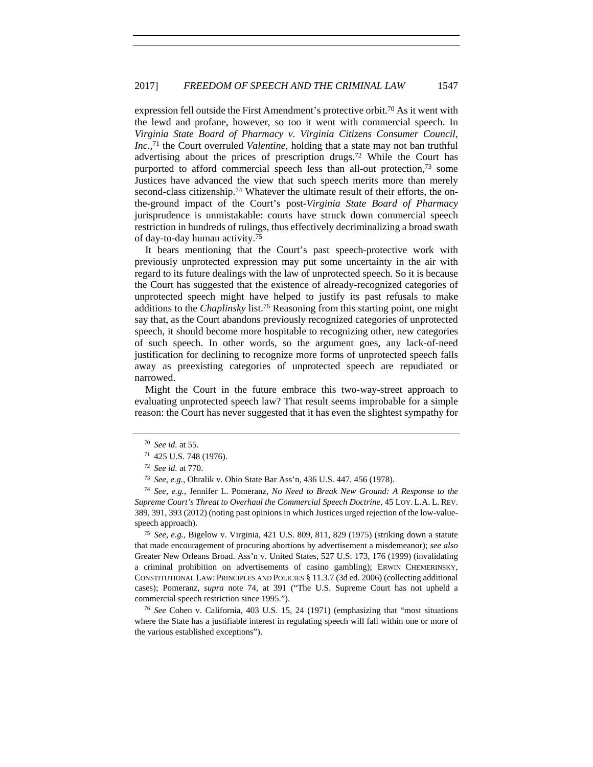expression fell outside the First Amendment's protective orbit.70 As it went with the lewd and profane, however, so too it went with commercial speech. In *Virginia State Board of Pharmacy v. Virginia Citizens Consumer Council, Inc.*, 71 the Court overruled *Valentine*, holding that a state may not ban truthful advertising about the prices of prescription drugs.72 While the Court has purported to afford commercial speech less than all-out protection,<sup>73</sup> some Justices have advanced the view that such speech merits more than merely second-class citizenship.<sup>74</sup> Whatever the ultimate result of their efforts, the onthe-ground impact of the Court's post-*Virginia State Board of Pharmacy* jurisprudence is unmistakable: courts have struck down commercial speech restriction in hundreds of rulings, thus effectively decriminalizing a broad swath of day-to-day human activity.75

It bears mentioning that the Court's past speech-protective work with previously unprotected expression may put some uncertainty in the air with regard to its future dealings with the law of unprotected speech. So it is because the Court has suggested that the existence of already-recognized categories of unprotected speech might have helped to justify its past refusals to make additions to the *Chaplinsky* list.76 Reasoning from this starting point, one might say that, as the Court abandons previously recognized categories of unprotected speech, it should become more hospitable to recognizing other, new categories of such speech. In other words, so the argument goes, any lack-of-need justification for declining to recognize more forms of unprotected speech falls away as preexisting categories of unprotected speech are repudiated or narrowed.

Might the Court in the future embrace this two-way-street approach to evaluating unprotected speech law? That result seems improbable for a simple reason: the Court has never suggested that it has even the slightest sympathy for

<sup>75</sup> *See, e.g.*, Bigelow v. Virginia, 421 U.S. 809, 811, 829 (1975) (striking down a statute that made encouragement of procuring abortions by advertisement a misdemeanor); *see also*  Greater New Orleans Broad. Ass'n v. United States, 527 U.S. 173, 176 (1999) (invalidating a criminal prohibition on advertisements of casino gambling); ERWIN CHEMERINSKY, CONSTITUTIONAL LAW: PRINCIPLES AND POLICIES § 11.3.7 (3d ed. 2006) (collecting additional cases); Pomeranz, *supra* note 74, at 391 ("The U.S. Supreme Court has not upheld a commercial speech restriction since 1995.").

<sup>76</sup> *See* Cohen v. California, 403 U.S. 15, 24 (1971) (emphasizing that "most situations where the State has a justifiable interest in regulating speech will fall within one or more of the various established exceptions").

<sup>70</sup> *See id.* at 55.

<sup>71</sup> 425 U.S. 748 (1976).

<sup>72</sup> *See id.* at 770.

<sup>73</sup> *See, e.g.*, Ohralik v. Ohio State Bar Ass'n, 436 U.S. 447, 456 (1978).

<sup>74</sup> *See, e.g.*, Jennifer L. Pomeranz, *No Need to Break New Ground: A Response to the Supreme Court's Threat to Overhaul the Commercial Speech Doctrine*, 45 LOY. L.A. L. REV. 389, 391, 393 (2012) (noting past opinions in which Justices urged rejection of the low-valuespeech approach).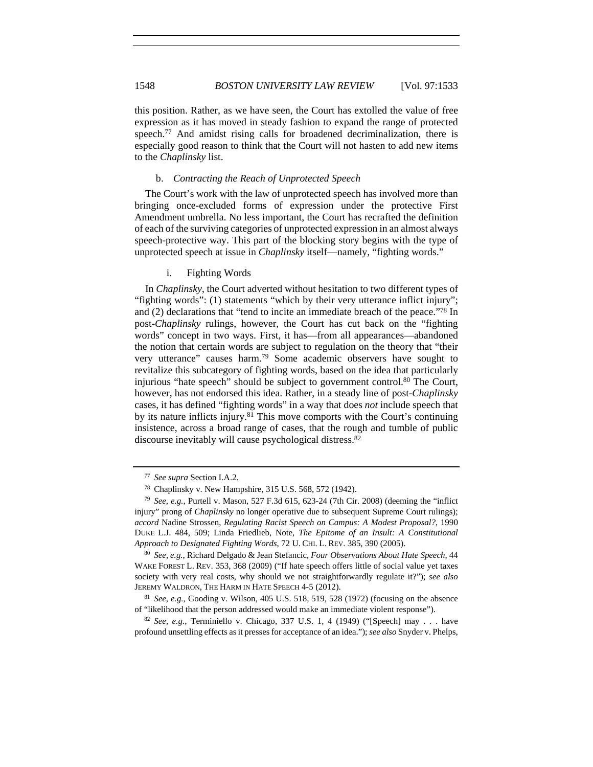this position. Rather, as we have seen, the Court has extolled the value of free expression as it has moved in steady fashion to expand the range of protected speech.<sup>77</sup> And amidst rising calls for broadened decriminalization, there is especially good reason to think that the Court will not hasten to add new items to the *Chaplinsky* list.

### b. *Contracting the Reach of Unprotected Speech*

The Court's work with the law of unprotected speech has involved more than bringing once-excluded forms of expression under the protective First Amendment umbrella. No less important, the Court has recrafted the definition of each of the surviving categories of unprotected expression in an almost always speech-protective way. This part of the blocking story begins with the type of unprotected speech at issue in *Chaplinsky* itself—namely, "fighting words."

#### i. Fighting Words

In *Chaplinsky*, the Court adverted without hesitation to two different types of "fighting words": (1) statements "which by their very utterance inflict injury"; and (2) declarations that "tend to incite an immediate breach of the peace."78 In post-*Chaplinsky* rulings, however, the Court has cut back on the "fighting words" concept in two ways. First, it has—from all appearances—abandoned the notion that certain words are subject to regulation on the theory that "their very utterance" causes harm.79 Some academic observers have sought to revitalize this subcategory of fighting words, based on the idea that particularly injurious "hate speech" should be subject to government control.<sup>80</sup> The Court, however, has not endorsed this idea. Rather, in a steady line of post-*Chaplinsky* cases, it has defined "fighting words" in a way that does *not* include speech that by its nature inflicts injury.<sup>81</sup> This move comports with the Court's continuing insistence, across a broad range of cases, that the rough and tumble of public discourse inevitably will cause psychological distress.82

<sup>80</sup> *See, e.g.*, Richard Delgado & Jean Stefancic, *Four Observations About Hate Speech*, 44 WAKE FOREST L. REV. 353, 368 (2009) ("If hate speech offers little of social value yet taxes society with very real costs, why should we not straightforwardly regulate it?"); *see also* JEREMY WALDRON, THE HARM IN HATE SPEECH 4-5 (2012).

<sup>81</sup> *See, e.g.*, Gooding v. Wilson, 405 U.S. 518, 519, 528 (1972) (focusing on the absence of "likelihood that the person addressed would make an immediate violent response").

<sup>82</sup> *See, e.g.*, Terminiello v. Chicago, 337 U.S. 1, 4 (1949) ("[Speech] may . . . have profound unsettling effects as it presses for acceptance of an idea."); *see also* Snyder v. Phelps,

<sup>77</sup> *See supra* Section I.A.2.

<sup>78</sup> Chaplinsky v. New Hampshire, 315 U.S. 568, 572 (1942).

<sup>79</sup> *See, e.g.*, Purtell v. Mason, 527 F.3d 615, 623-24 (7th Cir. 2008) (deeming the "inflict injury" prong of *Chaplinsky* no longer operative due to subsequent Supreme Court rulings); *accord* Nadine Strossen, *Regulating Racist Speech on Campus: A Modest Proposal?*, 1990 DUKE L.J. 484, 509; Linda Friedlieb, Note, *The Epitome of an Insult: A Constitutional Approach to Designated Fighting Words*, 72 U. CHI. L. REV. 385, 390 (2005).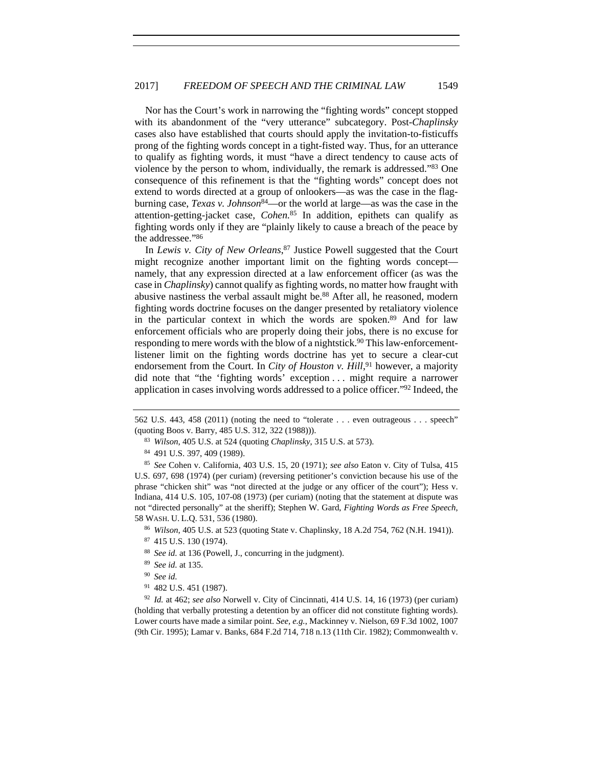Nor has the Court's work in narrowing the "fighting words" concept stopped with its abandonment of the "very utterance" subcategory. Post-*Chaplinsky* cases also have established that courts should apply the invitation-to-fisticuffs prong of the fighting words concept in a tight-fisted way. Thus, for an utterance to qualify as fighting words, it must "have a direct tendency to cause acts of violence by the person to whom, individually, the remark is addressed."83 One consequence of this refinement is that the "fighting words" concept does not extend to words directed at a group of onlookers—as was the case in the flagburning case, *Texas v. Johnson*84—or the world at large—as was the case in the attention-getting-jacket case, *Cohen.*85 In addition, epithets can qualify as fighting words only if they are "plainly likely to cause a breach of the peace by the addressee."86

In *Lewis v. City of New Orleans*, 87 Justice Powell suggested that the Court might recognize another important limit on the fighting words concept namely, that any expression directed at a law enforcement officer (as was the case in *Chaplinsky*) cannot qualify as fighting words, no matter how fraught with abusive nastiness the verbal assault might be.<sup>88</sup> After all, he reasoned, modern fighting words doctrine focuses on the danger presented by retaliatory violence in the particular context in which the words are spoken.89 And for law enforcement officials who are properly doing their jobs, there is no excuse for responding to mere words with the blow of a nightstick.<sup>90</sup> This law-enforcementlistener limit on the fighting words doctrine has yet to secure a clear-cut endorsement from the Court. In *City of Houston v. Hill*,<sup>91</sup> however, a majority did note that "the 'fighting words' exception . . . might require a narrower application in cases involving words addressed to a police officer."92 Indeed, the

- <sup>83</sup> *Wilson*, 405 U.S. at 524 (quoting *Chaplinsky*, 315 U.S. at 573).
- <sup>84</sup> 491 U.S. 397, 409 (1989).

<sup>85</sup> *See* Cohen v. California, 403 U.S. 15, 20 (1971); *see also* Eaton v. City of Tulsa, 415 U.S. 697, 698 (1974) (per curiam) (reversing petitioner's conviction because his use of the phrase "chicken shit" was "not directed at the judge or any officer of the court"); Hess v. Indiana, 414 U.S. 105, 107-08 (1973) (per curiam) (noting that the statement at dispute was not "directed personally" at the sheriff); Stephen W. Gard, *Fighting Words as Free Speech*, 58 WASH. U. L.Q. 531, 536 (1980).

- <sup>86</sup> *Wilson*, 405 U.S. at 523 (quoting State v. Chaplinsky, 18 A.2d 754, 762 (N.H. 1941)).
- <sup>87</sup> 415 U.S. 130 (1974).
- <sup>88</sup> *See id.* at 136 (Powell, J., concurring in the judgment).
- <sup>89</sup> *See id.* at 135.
- <sup>90</sup> *See id.*
- <sup>91</sup> 482 U.S. 451 (1987).

<sup>92</sup> *Id.* at 462; *see also* Norwell v. City of Cincinnati, 414 U.S. 14, 16 (1973) (per curiam) (holding that verbally protesting a detention by an officer did not constitute fighting words). Lower courts have made a similar point. *See, e.g.*, Mackinney v. Nielson, 69 F.3d 1002, 1007 (9th Cir. 1995); Lamar v. Banks, 684 F.2d 714, 718 n.13 (11th Cir. 1982); Commonwealth v.

<sup>562</sup> U.S. 443, 458 (2011) (noting the need to "tolerate . . . even outrageous . . . speech" (quoting Boos v. Barry, 485 U.S. 312, 322 (1988))).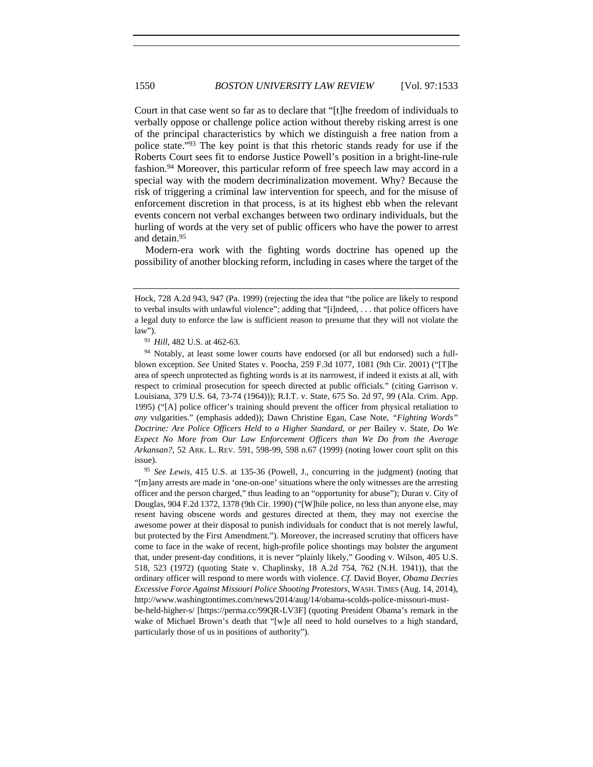Court in that case went so far as to declare that "[t]he freedom of individuals to verbally oppose or challenge police action without thereby risking arrest is one of the principal characteristics by which we distinguish a free nation from a police state."93 The key point is that this rhetoric stands ready for use if the Roberts Court sees fit to endorse Justice Powell's position in a bright-line-rule fashion.94 Moreover, this particular reform of free speech law may accord in a special way with the modern decriminalization movement. Why? Because the risk of triggering a criminal law intervention for speech, and for the misuse of enforcement discretion in that process, is at its highest ebb when the relevant events concern not verbal exchanges between two ordinary individuals, but the hurling of words at the very set of public officers who have the power to arrest and detain.95

Modern-era work with the fighting words doctrine has opened up the possibility of another blocking reform, including in cases where the target of the

<sup>95</sup> *See Lewis*, 415 U.S. at 135-36 (Powell, J., concurring in the judgment) (noting that "[m]any arrests are made in 'one-on-one' situations where the only witnesses are the arresting officer and the person charged," thus leading to an "opportunity for abuse"); Duran v. City of Douglas, 904 F.2d 1372, 1378 (9th Cir. 1990) ("[W]hile police, no less than anyone else, may resent having obscene words and gestures directed at them, they may not exercise the awesome power at their disposal to punish individuals for conduct that is not merely lawful, but protected by the First Amendment."). Moreover, the increased scrutiny that officers have come to face in the wake of recent, high-profile police shootings may bolster the argument that, under present-day conditions, it is never "plainly likely," Gooding v. Wilson, 405 U.S. 518, 523 (1972) (quoting State v. Chaplinsky, 18 A.2d 754, 762 (N.H. 1941)), that the ordinary officer will respond to mere words with violence. *Cf.* David Boyer, *Obama Decries Excessive Force Against Missouri Police Shooting Protestors*, WASH. TIMES (Aug. 14, 2014), http://www.washingtontimes.com/news/2014/aug/14/obama-scolds-police-missouri-mustbe-held-higher-s/ [https://perma.cc/99QR-LV3F] (quoting President Obama's remark in the wake of Michael Brown's death that "[w]e all need to hold ourselves to a high standard, particularly those of us in positions of authority").

Hock, 728 A.2d 943, 947 (Pa. 1999) (rejecting the idea that "the police are likely to respond to verbal insults with unlawful violence"; adding that "[i]ndeed, . . . that police officers have a legal duty to enforce the law is sufficient reason to presume that they will not violate the law"). 93 *Hill*, 482 U.S. at 462-63.

<sup>94</sup> Notably, at least some lower courts have endorsed (or all but endorsed) such a fullblown exception. *See* United States v. Poocha, 259 F.3d 1077, 1081 (9th Cir. 2001) ("[T]he area of speech unprotected as fighting words is at its narrowest, if indeed it exists at all, with respect to criminal prosecution for speech directed at public officials." (citing Garrison v. Louisiana, 379 U.S. 64, 73-74 (1964))); R.I.T. v. State, 675 So. 2d 97, 99 (Ala. Crim. App. 1995) ("[A] police officer's training should prevent the officer from physical retaliation to *any* vulgarities." (emphasis added)); Dawn Christine Egan, Case Note, *"Fighting Words" Doctrine: Are Police Officers Held to a Higher Standard, or per* Bailey v. State*, Do We Expect No More from Our Law Enforcement Officers than We Do from the Average Arkansan?*, 52 ARK. L. REV. 591, 598-99, 598 n.67 (1999) (noting lower court split on this issue).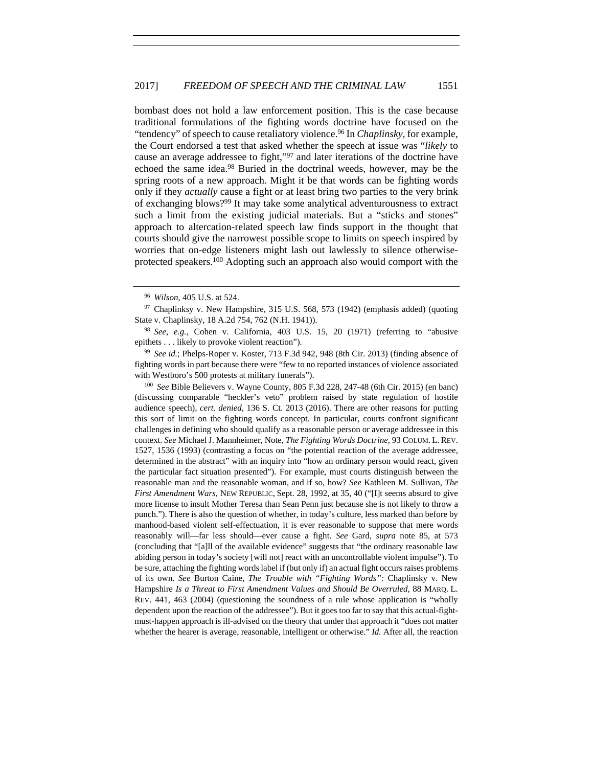bombast does not hold a law enforcement position. This is the case because traditional formulations of the fighting words doctrine have focused on the "tendency" of speech to cause retaliatory violence.96 In *Chaplinsky*, for example, the Court endorsed a test that asked whether the speech at issue was "*likely* to cause an average addressee to fight,"97 and later iterations of the doctrine have echoed the same idea.98 Buried in the doctrinal weeds, however, may be the spring roots of a new approach. Might it be that words can be fighting words only if they *actually* cause a fight or at least bring two parties to the very brink of exchanging blows?99 It may take some analytical adventurousness to extract such a limit from the existing judicial materials. But a "sticks and stones" approach to altercation-related speech law finds support in the thought that courts should give the narrowest possible scope to limits on speech inspired by worries that on-edge listeners might lash out lawlessly to silence otherwiseprotected speakers.100 Adopting such an approach also would comport with the

<sup>100</sup> *See* Bible Believers v. Wayne County, 805 F.3d 228, 247-48 (6th Cir. 2015) (en banc) (discussing comparable "heckler's veto" problem raised by state regulation of hostile audience speech), *cert. denied*, 136 S. Ct. 2013 (2016). There are other reasons for putting this sort of limit on the fighting words concept. In particular, courts confront significant challenges in defining who should qualify as a reasonable person or average addressee in this context. *See* Michael J. Mannheimer, Note, *The Fighting Words Doctrine*, 93 COLUM. L. REV. 1527, 1536 (1993) (contrasting a focus on "the potential reaction of the average addressee, determined in the abstract" with an inquiry into "how an ordinary person would react, given the particular fact situation presented"). For example, must courts distinguish between the reasonable man and the reasonable woman, and if so, how? *See* Kathleen M. Sullivan, *The First Amendment Wars*, NEW REPUBLIC, Sept. 28, 1992, at 35, 40 ("[I]t seems absurd to give more license to insult Mother Teresa than Sean Penn just because she is not likely to throw a punch."). There is also the question of whether, in today's culture, less marked than before by manhood-based violent self-effectuation, it is ever reasonable to suppose that mere words reasonably will—far less should—ever cause a fight. *See* Gard, *supra* note 85, at 573 (concluding that "[a]ll of the available evidence" suggests that "the ordinary reasonable law abiding person in today's society [will not] react with an uncontrollable violent impulse"). To be sure, attaching the fighting words label if (but only if) an actual fight occurs raises problems of its own. *See* Burton Caine, *The Trouble with "Fighting Words":* Chaplinsky v. New Hampshire *Is a Threat to First Amendment Values and Should Be Overruled*, 88 MARQ. L. REV. 441, 463 (2004) (questioning the soundness of a rule whose application is "wholly dependent upon the reaction of the addressee"). But it goes too far to say that this actual-fightmust-happen approach is ill-advised on the theory that under that approach it "does not matter whether the hearer is average, reasonable, intelligent or otherwise." *Id.* After all, the reaction

<sup>96</sup> *Wilson*, 405 U.S. at 524.

 $97$  Chaplinksy v. New Hampshire, 315 U.S. 568, 573 (1942) (emphasis added) (quoting State v. Chaplinsky, 18 A.2d 754, 762 (N.H. 1941)).

<sup>98</sup> *See, e.g.*, Cohen v. California, 403 U.S. 15, 20 (1971) (referring to "abusive epithets . . . likely to provoke violent reaction").

<sup>99</sup> *See id.*; Phelps-Roper v. Koster, 713 F.3d 942, 948 (8th Cir. 2013) (finding absence of fighting words in part because there were "few to no reported instances of violence associated with Westboro's 500 protests at military funerals").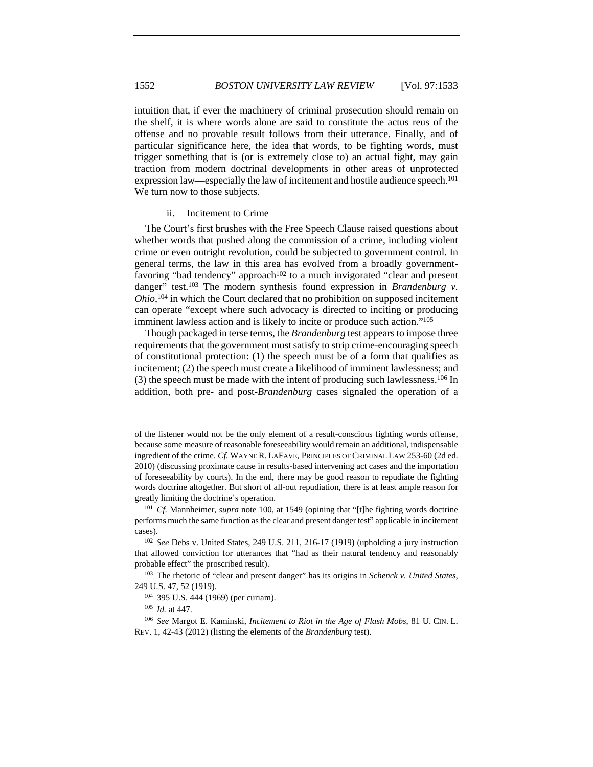intuition that, if ever the machinery of criminal prosecution should remain on the shelf, it is where words alone are said to constitute the actus reus of the offense and no provable result follows from their utterance. Finally, and of particular significance here, the idea that words, to be fighting words, must trigger something that is (or is extremely close to) an actual fight, may gain traction from modern doctrinal developments in other areas of unprotected expression law—especially the law of incitement and hostile audience speech.<sup>101</sup> We turn now to those subjects.

## ii. Incitement to Crime

The Court's first brushes with the Free Speech Clause raised questions about whether words that pushed along the commission of a crime, including violent crime or even outright revolution, could be subjected to government control. In general terms, the law in this area has evolved from a broadly governmentfavoring "bad tendency" approach<sup>102</sup> to a much invigorated "clear and present danger" test.<sup>103</sup> The modern synthesis found expression in *Brandenburg v*. *Ohio*, 104 in which the Court declared that no prohibition on supposed incitement can operate "except where such advocacy is directed to inciting or producing imminent lawless action and is likely to incite or produce such action."105

Though packaged in terse terms, the *Brandenburg* test appears to impose three requirements that the government must satisfy to strip crime-encouraging speech of constitutional protection: (1) the speech must be of a form that qualifies as incitement; (2) the speech must create a likelihood of imminent lawlessness; and (3) the speech must be made with the intent of producing such lawlessness.106 In addition, both pre- and post-*Brandenburg* cases signaled the operation of a

of the listener would not be the only element of a result-conscious fighting words offense, because some measure of reasonable foreseeability would remain an additional, indispensable ingredient of the crime. *Cf.* WAYNE R. LAFAVE, PRINCIPLES OF CRIMINAL LAW 253-60 (2d ed. 2010) (discussing proximate cause in results-based intervening act cases and the importation of foreseeability by courts). In the end, there may be good reason to repudiate the fighting words doctrine altogether. But short of all-out repudiation, there is at least ample reason for greatly limiting the doctrine's operation. 101 *Cf.* Mannheimer, *supra* note 100, at 1549 (opining that "[t]he fighting words doctrine

performs much the same function as the clear and present danger test" applicable in incitement cases). 102 *See* Debs v. United States, 249 U.S. 211, 216-17 (1919) (upholding a jury instruction

that allowed conviction for utterances that "had as their natural tendency and reasonably probable effect" the proscribed result).

<sup>103</sup> The rhetoric of "clear and present danger" has its origins in *Schenck v. United States*, 249 U.S. 47, 52 (1919).

<sup>104</sup> 395 U.S. 444 (1969) (per curiam).

<sup>105</sup> *Id.* at 447.

<sup>106</sup> *See* Margot E. Kaminski, *Incitement to Riot in the Age of Flash Mobs*, 81 U. CIN. L. REV. 1, 42-43 (2012) (listing the elements of the *Brandenburg* test).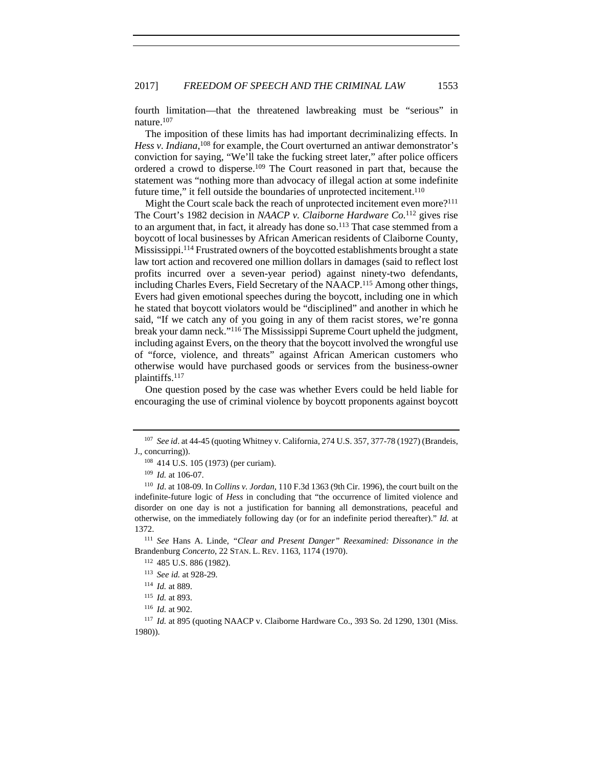fourth limitation—that the threatened lawbreaking must be "serious" in nature.107

The imposition of these limits has had important decriminalizing effects. In Hess v. Indiana,<sup>108</sup> for example, the Court overturned an antiwar demonstrator's conviction for saying, "We'll take the fucking street later," after police officers ordered a crowd to disperse.109 The Court reasoned in part that, because the statement was "nothing more than advocacy of illegal action at some indefinite future time," it fell outside the boundaries of unprotected incitement.<sup>110</sup>

Might the Court scale back the reach of unprotected incitement even more?<sup>111</sup> The Court's 1982 decision in *NAACP v. Claiborne Hardware Co.*112 gives rise to an argument that, in fact, it already has done so.<sup>113</sup> That case stemmed from a boycott of local businesses by African American residents of Claiborne County, Mississippi.114 Frustrated owners of the boycotted establishments brought a state law tort action and recovered one million dollars in damages (said to reflect lost profits incurred over a seven-year period) against ninety-two defendants, including Charles Evers, Field Secretary of the NAACP.115 Among other things, Evers had given emotional speeches during the boycott, including one in which he stated that boycott violators would be "disciplined" and another in which he said, "If we catch any of you going in any of them racist stores, we're gonna break your damn neck."116 The Mississippi Supreme Court upheld the judgment, including against Evers, on the theory that the boycott involved the wrongful use of "force, violence, and threats" against African American customers who otherwise would have purchased goods or services from the business-owner plaintiffs.117

One question posed by the case was whether Evers could be held liable for encouraging the use of criminal violence by boycott proponents against boycott

<sup>111</sup> *See* Hans A. Linde, *"Clear and Present Danger" Reexamined: Dissonance in the* Brandenburg *Concerto*, 22 STAN. L. REV. 1163, 1174 (1970).

<sup>107</sup> *See id*. at 44-45 (quoting Whitney v. California, 274 U.S. 357, 377-78 (1927) (Brandeis, J., concurring)).

<sup>108</sup> 414 U.S. 105 (1973) (per curiam). 109 *Id.* at 106-07.

<sup>110</sup> *Id*. at 108-09. In *Collins v. Jordan*, 110 F.3d 1363 (9th Cir. 1996), the court built on the indefinite-future logic of *Hess* in concluding that "the occurrence of limited violence and disorder on one day is not a justification for banning all demonstrations, peaceful and otherwise, on the immediately following day (or for an indefinite period thereafter)." *Id.* at 1372.

<sup>112</sup> 485 U.S. 886 (1982).

<sup>113</sup> *See id.* at 928-29.

<sup>114</sup> *Id.* at 889.

<sup>115</sup> *Id.* at 893.

<sup>116</sup> *Id.* at 902.

<sup>117</sup> *Id.* at 895 (quoting NAACP v. Claiborne Hardware Co., 393 So. 2d 1290, 1301 (Miss. 1980)).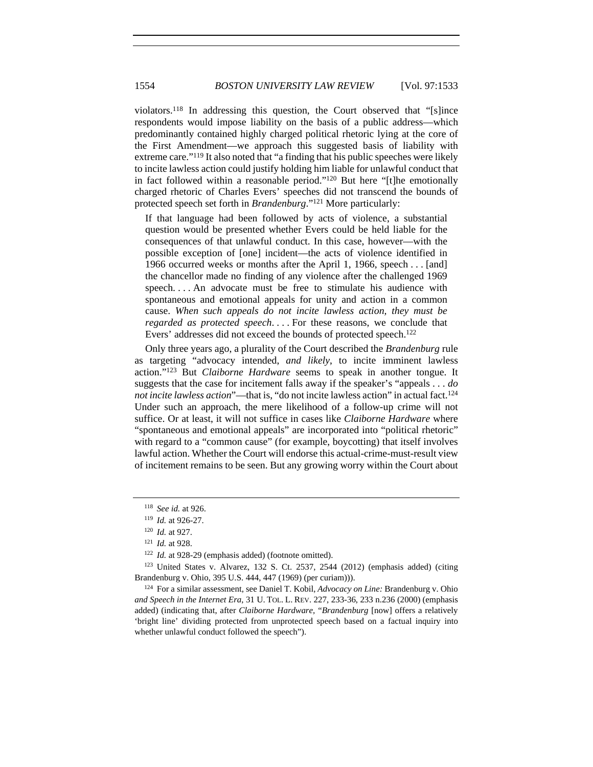violators.118 In addressing this question, the Court observed that "[s]ince respondents would impose liability on the basis of a public address—which predominantly contained highly charged political rhetoric lying at the core of the First Amendment—we approach this suggested basis of liability with extreme care."119 It also noted that "a finding that his public speeches were likely to incite lawless action could justify holding him liable for unlawful conduct that in fact followed within a reasonable period."120 But here "[t]he emotionally charged rhetoric of Charles Evers' speeches did not transcend the bounds of protected speech set forth in *Brandenburg*."121 More particularly:

If that language had been followed by acts of violence, a substantial question would be presented whether Evers could be held liable for the consequences of that unlawful conduct. In this case, however—with the possible exception of [one] incident—the acts of violence identified in 1966 occurred weeks or months after the April 1, 1966, speech . . . [and] the chancellor made no finding of any violence after the challenged 1969 speech. . . . An advocate must be free to stimulate his audience with spontaneous and emotional appeals for unity and action in a common cause. *When such appeals do not incite lawless action, they must be regarded as protected speech*. . . . For these reasons, we conclude that Evers' addresses did not exceed the bounds of protected speech.<sup>122</sup>

Only three years ago, a plurality of the Court described the *Brandenburg* rule as targeting "advocacy intended, *and likely*, to incite imminent lawless action."123 But *Claiborne Hardware* seems to speak in another tongue. It suggests that the case for incitement falls away if the speaker's "appeals . . . *do not incite lawless action*"—that is, "do not incite lawless action" in actual fact.<sup>124</sup> Under such an approach, the mere likelihood of a follow-up crime will not suffice. Or at least, it will not suffice in cases like *Claiborne Hardware* where "spontaneous and emotional appeals" are incorporated into "political rhetoric" with regard to a "common cause" (for example, boycotting) that itself involves lawful action. Whether the Court will endorse this actual-crime-must-result view of incitement remains to be seen. But any growing worry within the Court about

<sup>118</sup> *See id.* at 926.

<sup>119</sup> *Id.* at 926-27.

<sup>120</sup> *Id.* at 927.

<sup>121</sup> *Id.* at 928.

<sup>&</sup>lt;sup>122</sup> *Id.* at 928-29 (emphasis added) (footnote omitted).

 $123$  United States v. Alvarez, 132 S. Ct. 2537, 2544 (2012) (emphasis added) (citing Brandenburg v. Ohio, 395 U.S. 444, 447 (1969) (per curiam))).

<sup>124</sup> For a similar assessment, see Daniel T. Kobil, *Advocacy on Line:* Brandenburg v. Ohio *and Speech in the Internet Era*, 31 U. TOL. L. REV. 227, 233-36, 233 n.236 (2000) (emphasis added) (indicating that, after *Claiborne Hardware,* "*Brandenburg* [now] offers a relatively 'bright line' dividing protected from unprotected speech based on a factual inquiry into whether unlawful conduct followed the speech").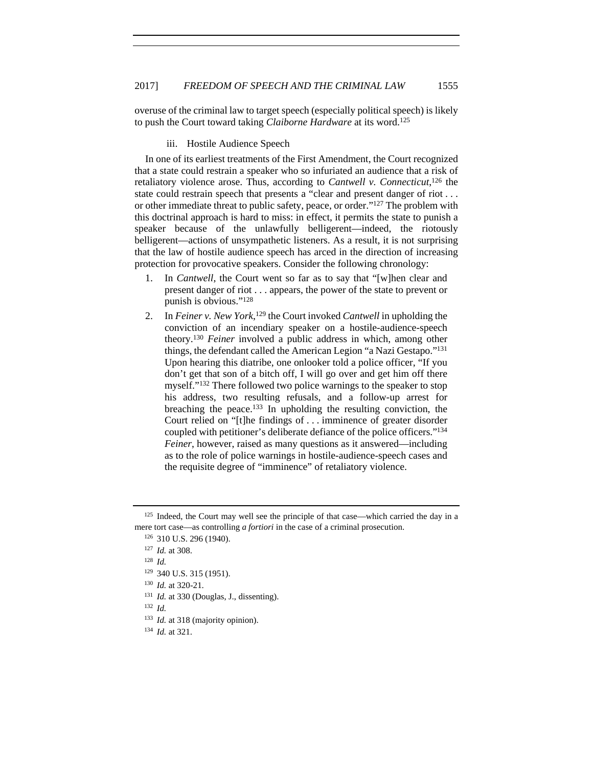overuse of the criminal law to target speech (especially political speech) is likely to push the Court toward taking *Claiborne Hardware* at its word.125

iii. Hostile Audience Speech

In one of its earliest treatments of the First Amendment, the Court recognized that a state could restrain a speaker who so infuriated an audience that a risk of retaliatory violence arose. Thus, according to *Cantwell v. Connecticut*, 126 the state could restrain speech that presents a "clear and present danger of riot . . . or other immediate threat to public safety, peace, or order."127 The problem with this doctrinal approach is hard to miss: in effect, it permits the state to punish a speaker because of the unlawfully belligerent—indeed, the riotously belligerent—actions of unsympathetic listeners. As a result, it is not surprising that the law of hostile audience speech has arced in the direction of increasing protection for provocative speakers. Consider the following chronology:

- 1. In *Cantwell*, the Court went so far as to say that "[w]hen clear and present danger of riot . . . appears, the power of the state to prevent or punish is obvious."128
- 2. In *Feiner v. New York*, 129 the Court invoked *Cantwell* in upholding the conviction of an incendiary speaker on a hostile-audience-speech theory.130 *Feiner* involved a public address in which, among other things, the defendant called the American Legion "a Nazi Gestapo."131 Upon hearing this diatribe, one onlooker told a police officer, "If you don't get that son of a bitch off, I will go over and get him off there myself."132 There followed two police warnings to the speaker to stop his address, two resulting refusals, and a follow-up arrest for breaching the peace.133 In upholding the resulting conviction, the Court relied on "[t]he findings of . . . imminence of greater disorder coupled with petitioner's deliberate defiance of the police officers."134 *Feiner*, however, raised as many questions as it answered—including as to the role of police warnings in hostile-audience-speech cases and the requisite degree of "imminence" of retaliatory violence.

<sup>132</sup> *Id.*

 $125$  Indeed, the Court may well see the principle of that case—which carried the day in a mere tort case—as controlling *a fortiori* in the case of a criminal prosecution.<br><sup>126</sup> 310 U.S. 296 (1940).

<sup>127</sup> *Id.* at 308.

<sup>128</sup> *Id.*

<sup>129</sup> 340 U.S. 315 (1951).

<sup>130</sup> *Id.* at 320-21.

<sup>&</sup>lt;sup>131</sup> *Id.* at 330 (Douglas, J., dissenting).

<sup>&</sup>lt;sup>133</sup> *Id.* at 318 (majority opinion).

<sup>134</sup> *Id.* at 321.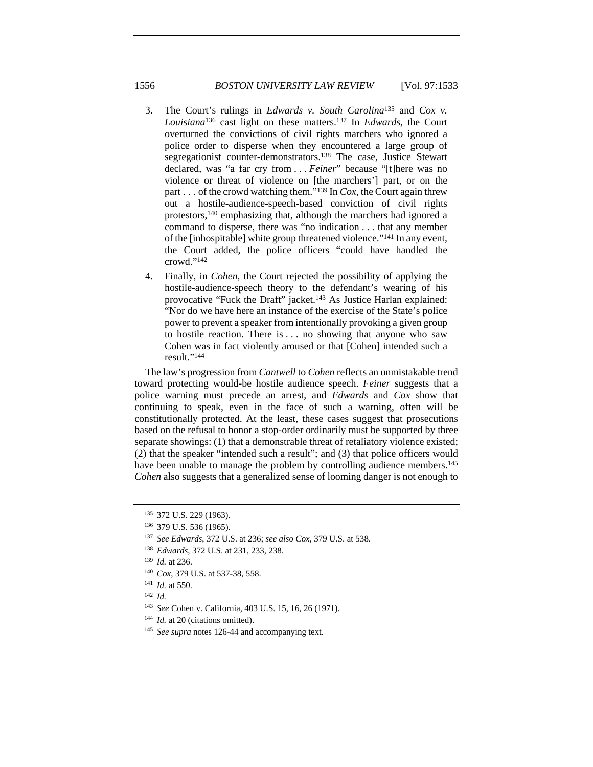- 3. The Court's rulings in *Edwards v. South Carolina*135 and *Cox v. Louisiana*136 cast light on these matters.137 In *Edwards*, the Court overturned the convictions of civil rights marchers who ignored a police order to disperse when they encountered a large group of segregationist counter-demonstrators.<sup>138</sup> The case, Justice Stewart declared, was "a far cry from . . . *Feiner*" because "[t]here was no violence or threat of violence on [the marchers'] part, or on the part . . . of the crowd watching them."139 In *Cox*, the Court again threw out a hostile-audience-speech-based conviction of civil rights protestors,140 emphasizing that, although the marchers had ignored a command to disperse, there was "no indication . . . that any member of the [inhospitable] white group threatened violence."141 In any event, the Court added, the police officers "could have handled the crowd."142
- 4. Finally, in *Cohen*, the Court rejected the possibility of applying the hostile-audience-speech theory to the defendant's wearing of his provocative "Fuck the Draft" jacket.143 As Justice Harlan explained: "Nor do we have here an instance of the exercise of the State's police power to prevent a speaker from intentionally provoking a given group to hostile reaction. There is . . . no showing that anyone who saw Cohen was in fact violently aroused or that [Cohen] intended such a result."144

The law's progression from *Cantwell* to *Cohen* reflects an unmistakable trend toward protecting would-be hostile audience speech. *Feiner* suggests that a police warning must precede an arrest, and *Edwards* and *Cox* show that continuing to speak, even in the face of such a warning, often will be constitutionally protected. At the least, these cases suggest that prosecutions based on the refusal to honor a stop-order ordinarily must be supported by three separate showings: (1) that a demonstrable threat of retaliatory violence existed; (2) that the speaker "intended such a result"; and (3) that police officers would have been unable to manage the problem by controlling audience members.<sup>145</sup> *Cohen* also suggests that a generalized sense of looming danger is not enough to

- <sup>140</sup> *Cox*, 379 U.S. at 537-38, 558.
- <sup>141</sup> *Id.* at 550.
- <sup>142</sup> *Id.*
- <sup>143</sup> *See* Cohen v. California, 403 U.S. 15, 16, 26 (1971).
- <sup>144</sup> *Id.* at 20 (citations omitted).
- <sup>145</sup> *See supra* notes 126-44 and accompanying text.

<sup>135 372</sup> U.S. 229 (1963).<br><sup>136</sup> 379 U.S. 536 (1965).

<sup>137</sup> *See Edwards*, 372 U.S. at 236; *see also Cox*, 379 U.S. at 538.

<sup>138</sup> *Edwards*, 372 U.S. at 231, 233, 238.

<sup>139</sup> *Id.* at 236.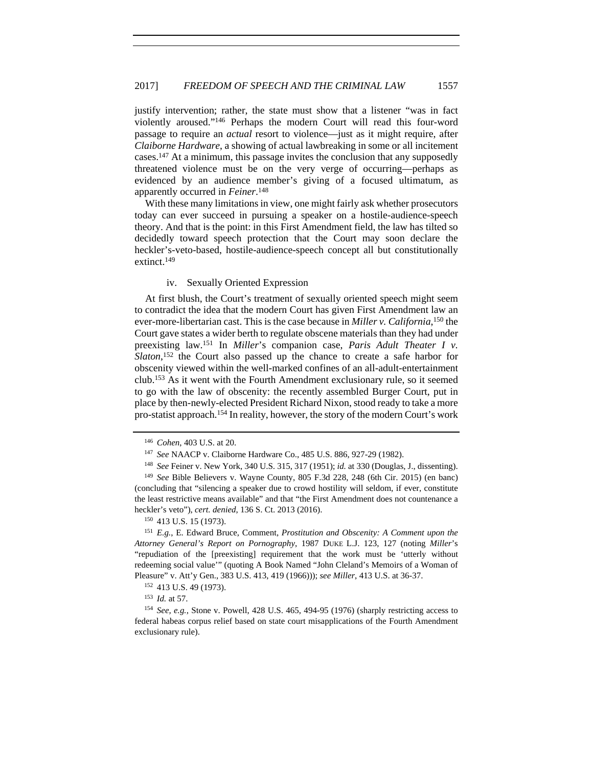justify intervention; rather, the state must show that a listener "was in fact violently aroused."146 Perhaps the modern Court will read this four-word passage to require an *actual* resort to violence—just as it might require, after *Claiborne Hardware*, a showing of actual lawbreaking in some or all incitement cases.147 At a minimum, this passage invites the conclusion that any supposedly threatened violence must be on the very verge of occurring—perhaps as evidenced by an audience member's giving of a focused ultimatum, as apparently occurred in *Feiner*. 148

With these many limitations in view, one might fairly ask whether prosecutors today can ever succeed in pursuing a speaker on a hostile-audience-speech theory. And that is the point: in this First Amendment field, the law has tilted so decidedly toward speech protection that the Court may soon declare the heckler's-veto-based, hostile-audience-speech concept all but constitutionally extinct.149

## iv. Sexually Oriented Expression

At first blush, the Court's treatment of sexually oriented speech might seem to contradict the idea that the modern Court has given First Amendment law an ever-more-libertarian cast. This is the case because in *Miller v. California*, 150 the Court gave states a wider berth to regulate obscene materials than they had under preexisting law.151 In *Miller*'s companion case, *Paris Adult Theater I v.*  Slaton,<sup>152</sup> the Court also passed up the chance to create a safe harbor for obscenity viewed within the well-marked confines of an all-adult-entertainment club.153 As it went with the Fourth Amendment exclusionary rule, so it seemed to go with the law of obscenity: the recently assembled Burger Court, put in place by then-newly-elected President Richard Nixon, stood ready to take a more pro-statist approach.154 In reality, however, the story of the modern Court's work

<sup>151</sup> *E.g.*, E. Edward Bruce, Comment, *Prostitution and Obscenity: A Comment upon the Attorney General's Report on Pornography*, 1987 DUKE L.J. 123, 127 (noting *Miller*'s "repudiation of the [preexisting] requirement that the work must be 'utterly without redeeming social value'" (quoting A Book Named "John Cleland's Memoirs of a Woman of Pleasure" v. Att'y Gen., 383 U.S. 413, 419 (1966))); *see Miller*, 413 U.S. at 36-37.

<sup>146</sup> *Cohen*, 403 U.S. at 20.

<sup>&</sup>lt;sup>147</sup> See NAACP v. Claiborne Hardware Co., 485 U.S. 886, 927-29 (1982).<br><sup>148</sup> See Feiner v. New York, 340 U.S. 315, 317 (1951); *id.* at 330 (Douglas, J., dissenting).<br><sup>149</sup> See Bible Believers v. Wayne County, 805 F.3d 2

<sup>(</sup>concluding that "silencing a speaker due to crowd hostility will seldom, if ever, constitute the least restrictive means available" and that "the First Amendment does not countenance a heckler's veto"), *cert. denied*, 136 S. Ct. 2013 (2016). 150 413 U.S. 15 (1973).

<sup>152</sup> 413 U.S. 49 (1973).

<sup>153</sup> *Id.* at 57.

<sup>154</sup> *See, e.g.*, Stone v. Powell, 428 U.S. 465, 494-95 (1976) (sharply restricting access to federal habeas corpus relief based on state court misapplications of the Fourth Amendment exclusionary rule).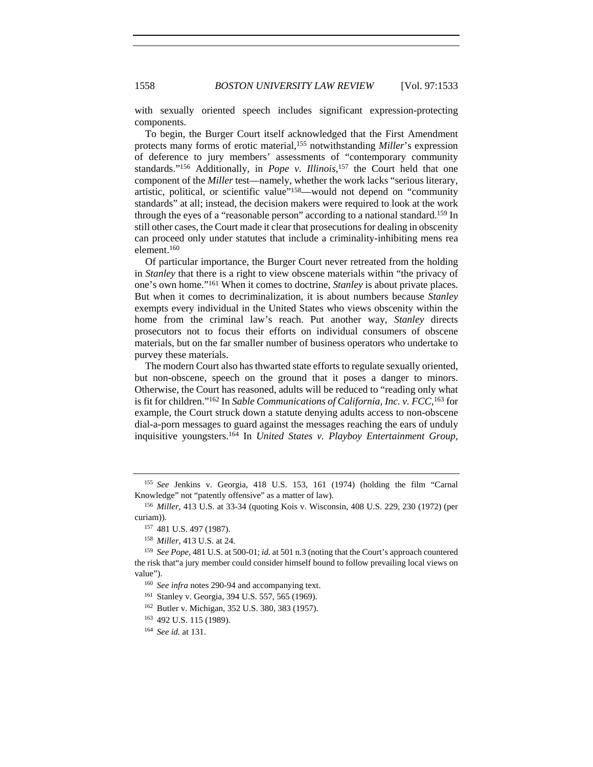with sexually oriented speech includes significant expression-protecting components.

To begin, the Burger Court itself acknowledged that the First Amendment protects many forms of erotic material,155 notwithstanding *Miller*'s expression of deference to jury members' assessments of "contemporary community standards."<sup>156</sup> Additionally, in *Pope v. Illinois*,<sup>157</sup> the Court held that one component of the *Miller* test—namely, whether the work lacks "serious literary, artistic, political, or scientific value"158—would not depend on "community standards" at all; instead, the decision makers were required to look at the work through the eyes of a "reasonable person" according to a national standard.159 In still other cases, the Court made it clear that prosecutions for dealing in obscenity can proceed only under statutes that include a criminality-inhibiting mens rea element.160

Of particular importance, the Burger Court never retreated from the holding in *Stanley* that there is a right to view obscene materials within "the privacy of one's own home."161 When it comes to doctrine, *Stanley* is about private places. But when it comes to decriminalization, it is about numbers because *Stanley* exempts every individual in the United States who views obscenity within the home from the criminal law's reach. Put another way, *Stanley* directs prosecutors not to focus their efforts on individual consumers of obscene materials, but on the far smaller number of business operators who undertake to purvey these materials.

The modern Court also has thwarted state efforts to regulate sexually oriented, but non-obscene, speech on the ground that it poses a danger to minors. Otherwise, the Court has reasoned, adults will be reduced to "reading only what is fit for children."162 In *Sable Communications of California, Inc. v. FCC*, 163 for example, the Court struck down a statute denying adults access to non-obscene dial-a-porn messages to guard against the messages reaching the ears of unduly inquisitive youngsters.164 In *United States v. Playboy Entertainment Group,* 

<sup>163</sup> 492 U.S. 115 (1989).

<sup>155</sup> *See* Jenkins v. Georgia, 418 U.S. 153, 161 (1974) (holding the film "Carnal Knowledge" not "patently offensive" as a matter of law).

<sup>156</sup> *Miller*, 413 U.S. at 33-34 (quoting Kois v. Wisconsin, 408 U.S. 229, 230 (1972) (per curiam)).

<sup>157</sup> 481 U.S. 497 (1987).

<sup>158</sup> *Miller*, 413 U.S. at 24.

<sup>159</sup> *See Pope*, 481 U.S. at 500-01; *id.* at 501 n.3 (noting that the Court's approach countered the risk that"a jury member could consider himself bound to follow prevailing local views on value").

<sup>160</sup> *See infra* notes 290-94 and accompanying text.

<sup>161</sup> Stanley v. Georgia, 394 U.S. 557, 565 (1969).

<sup>162</sup> Butler v. Michigan, 352 U.S. 380, 383 (1957).

<sup>164</sup> *See id.* at 131.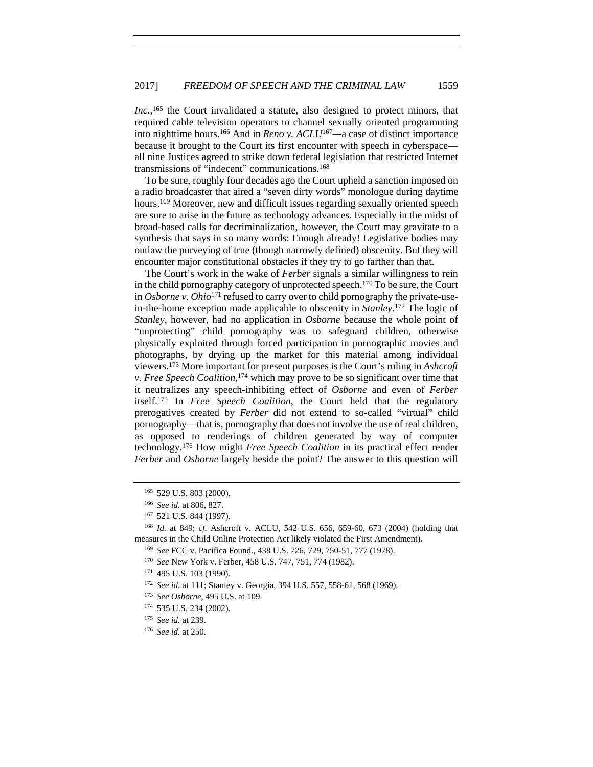Inc.,<sup>165</sup> the Court invalidated a statute, also designed to protect minors, that required cable television operators to channel sexually oriented programming into nighttime hours.166 And in *Reno v. ACLU*<sup>167</sup>*—*a case of distinct importance because it brought to the Court its first encounter with speech in cyberspace all nine Justices agreed to strike down federal legislation that restricted Internet transmissions of "indecent" communications.168

To be sure, roughly four decades ago the Court upheld a sanction imposed on a radio broadcaster that aired a "seven dirty words" monologue during daytime hours.<sup>169</sup> Moreover, new and difficult issues regarding sexually oriented speech are sure to arise in the future as technology advances. Especially in the midst of broad-based calls for decriminalization, however, the Court may gravitate to a synthesis that says in so many words: Enough already! Legislative bodies may outlaw the purveying of true (though narrowly defined) obscenity. But they will encounter major constitutional obstacles if they try to go farther than that.

The Court's work in the wake of *Ferber* signals a similar willingness to rein in the child pornography category of unprotected speech.170 To be sure, the Court in *Osborne v. Ohio*171 refused to carry over to child pornography the private-usein-the-home exception made applicable to obscenity in *Stanley*. 172 The logic of *Stanley*, however, had no application in *Osborne* because the whole point of "unprotecting" child pornography was to safeguard children, otherwise physically exploited through forced participation in pornographic movies and photographs, by drying up the market for this material among individual viewers.173 More important for present purposes is the Court's ruling in *Ashcroft v. Free Speech Coalition*, <sup>174</sup> which may prove to be so significant over time that it neutralizes any speech-inhibiting effect of *Osborne* and even of *Ferber*  itself.175 In *Free Speech Coalition*, the Court held that the regulatory prerogatives created by *Ferber* did not extend to so-called "virtual" child pornography—that is, pornography that does not involve the use of real children, as opposed to renderings of children generated by way of computer technology.176 How might *Free Speech Coalition* in its practical effect render *Ferber* and *Osborne* largely beside the point? The answer to this question will

<sup>175</sup> *See id.* at 239.

<sup>165</sup> 529 U.S. 803 (2000).

<sup>166</sup> *See id.* at 806, 827.

<sup>167</sup> 521 U.S. 844 (1997). 168 *Id.* at 849; *cf.* Ashcroft v. ACLU, 542 U.S. 656, 659-60, 673 (2004) (holding that measures in the Child Online Protection Act likely violated the First Amendment). 169 *See* FCC v. Pacifica Found., 438 U.S. 726, 729, 750-51, 777 (1978).

<sup>170</sup> *See* New York v. Ferber, 458 U.S. 747, 751, 774 (1982).

<sup>171</sup> 495 U.S. 103 (1990).

<sup>172</sup> *See id.* at 111; Stanley v. Georgia, 394 U.S. 557, 558-61, 568 (1969).

<sup>173</sup> *See Osborne*, 495 U.S. at 109.

<sup>174</sup> 535 U.S. 234 (2002).

<sup>176</sup> *See id.* at 250.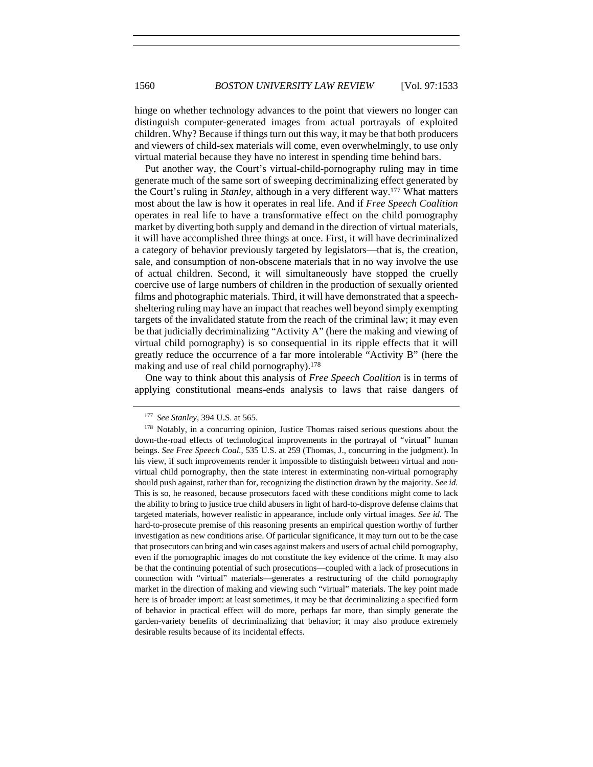hinge on whether technology advances to the point that viewers no longer can distinguish computer-generated images from actual portrayals of exploited children. Why? Because if things turn out this way, it may be that both producers and viewers of child-sex materials will come, even overwhelmingly, to use only virtual material because they have no interest in spending time behind bars.

Put another way, the Court's virtual-child-pornography ruling may in time generate much of the same sort of sweeping decriminalizing effect generated by the Court's ruling in *Stanley*, although in a very different way.177 What matters most about the law is how it operates in real life. And if *Free Speech Coalition* operates in real life to have a transformative effect on the child pornography market by diverting both supply and demand in the direction of virtual materials, it will have accomplished three things at once. First, it will have decriminalized a category of behavior previously targeted by legislators—that is, the creation, sale, and consumption of non-obscene materials that in no way involve the use of actual children. Second, it will simultaneously have stopped the cruelly coercive use of large numbers of children in the production of sexually oriented films and photographic materials. Third, it will have demonstrated that a speechsheltering ruling may have an impact that reaches well beyond simply exempting targets of the invalidated statute from the reach of the criminal law; it may even be that judicially decriminalizing "Activity A" (here the making and viewing of virtual child pornography) is so consequential in its ripple effects that it will greatly reduce the occurrence of a far more intolerable "Activity B" (here the making and use of real child pornography).<sup>178</sup>

One way to think about this analysis of *Free Speech Coalition* is in terms of applying constitutional means-ends analysis to laws that raise dangers of

<sup>177</sup> *See Stanley*, 394 U.S. at 565.

<sup>&</sup>lt;sup>178</sup> Notably, in a concurring opinion, Justice Thomas raised serious questions about the down-the-road effects of technological improvements in the portrayal of "virtual" human beings. *See Free Speech Coal.*, 535 U.S. at 259 (Thomas, J., concurring in the judgment). In his view, if such improvements render it impossible to distinguish between virtual and nonvirtual child pornography, then the state interest in exterminating non-virtual pornography should push against, rather than for, recognizing the distinction drawn by the majority. *See id.* This is so, he reasoned, because prosecutors faced with these conditions might come to lack the ability to bring to justice true child abusers in light of hard-to-disprove defense claims that targeted materials, however realistic in appearance, include only virtual images. *See id.* The hard-to-prosecute premise of this reasoning presents an empirical question worthy of further investigation as new conditions arise. Of particular significance, it may turn out to be the case that prosecutors can bring and win cases against makers and users of actual child pornography, even if the pornographic images do not constitute the key evidence of the crime. It may also be that the continuing potential of such prosecutions—coupled with a lack of prosecutions in connection with "virtual" materials—generates a restructuring of the child pornography market in the direction of making and viewing such "virtual" materials. The key point made here is of broader import: at least sometimes, it may be that decriminalizing a specified form of behavior in practical effect will do more, perhaps far more, than simply generate the garden-variety benefits of decriminalizing that behavior; it may also produce extremely desirable results because of its incidental effects.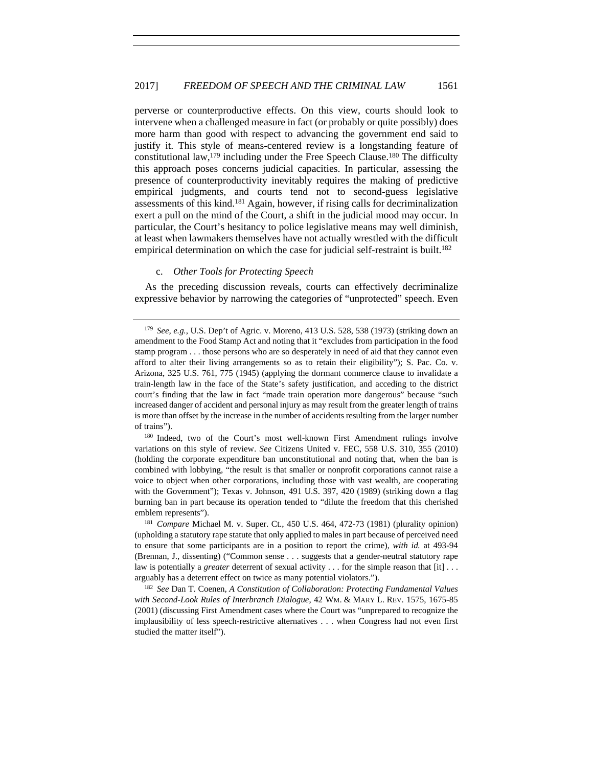perverse or counterproductive effects. On this view, courts should look to intervene when a challenged measure in fact (or probably or quite possibly) does more harm than good with respect to advancing the government end said to justify it. This style of means-centered review is a longstanding feature of constitutional law,  $179$  including under the Free Speech Clause.<sup>180</sup> The difficulty this approach poses concerns judicial capacities. In particular, assessing the presence of counterproductivity inevitably requires the making of predictive empirical judgments, and courts tend not to second-guess legislative assessments of this kind.181 Again, however, if rising calls for decriminalization exert a pull on the mind of the Court, a shift in the judicial mood may occur. In particular, the Court's hesitancy to police legislative means may well diminish, at least when lawmakers themselves have not actually wrestled with the difficult empirical determination on which the case for judicial self-restraint is built.<sup>182</sup>

## c. *Other Tools for Protecting Speech*

As the preceding discussion reveals, courts can effectively decriminalize expressive behavior by narrowing the categories of "unprotected" speech. Even

<sup>180</sup> Indeed, two of the Court's most well-known First Amendment rulings involve variations on this style of review. *See* Citizens United v. FEC, 558 U.S. 310, 355 (2010) (holding the corporate expenditure ban unconstitutional and noting that, when the ban is combined with lobbying, "the result is that smaller or nonprofit corporations cannot raise a voice to object when other corporations, including those with vast wealth, are cooperating with the Government"); Texas v. Johnson, 491 U.S. 397, 420 (1989) (striking down a flag burning ban in part because its operation tended to "dilute the freedom that this cherished emblem represents").<br><sup>181</sup> *Compare* Michael M. v. Super. Ct., 450 U.S. 464, 472-73 (1981) (plurality opinion)

(upholding a statutory rape statute that only applied to males in part because of perceived need to ensure that some participants are in a position to report the crime), *with id.* at 493-94 (Brennan, J., dissenting) ("Common sense . . . suggests that a gender-neutral statutory rape law is potentially a *greater* deterrent of sexual activity . . . for the simple reason that [it] . . . arguably has a deterrent effect on twice as many potential violators.").

<sup>182</sup> *See* Dan T. Coenen, *A Constitution of Collaboration: Protecting Fundamental Values with Second-Look Rules of Interbranch Dialogue*, 42 WM. & MARY L. REV. 1575, 1675-85 (2001) (discussing First Amendment cases where the Court was "unprepared to recognize the implausibility of less speech-restrictive alternatives . . . when Congress had not even first studied the matter itself").

<sup>179</sup> *See, e.g.*, U.S. Dep't of Agric. v. Moreno, 413 U.S. 528, 538 (1973) (striking down an amendment to the Food Stamp Act and noting that it "excludes from participation in the food stamp program . . . those persons who are so desperately in need of aid that they cannot even afford to alter their living arrangements so as to retain their eligibility"); S. Pac. Co. v. Arizona, 325 U.S. 761, 775 (1945) (applying the dormant commerce clause to invalidate a train-length law in the face of the State's safety justification, and acceding to the district court's finding that the law in fact "made train operation more dangerous" because "such increased danger of accident and personal injury as may result from the greater length of trains is more than offset by the increase in the number of accidents resulting from the larger number of trains").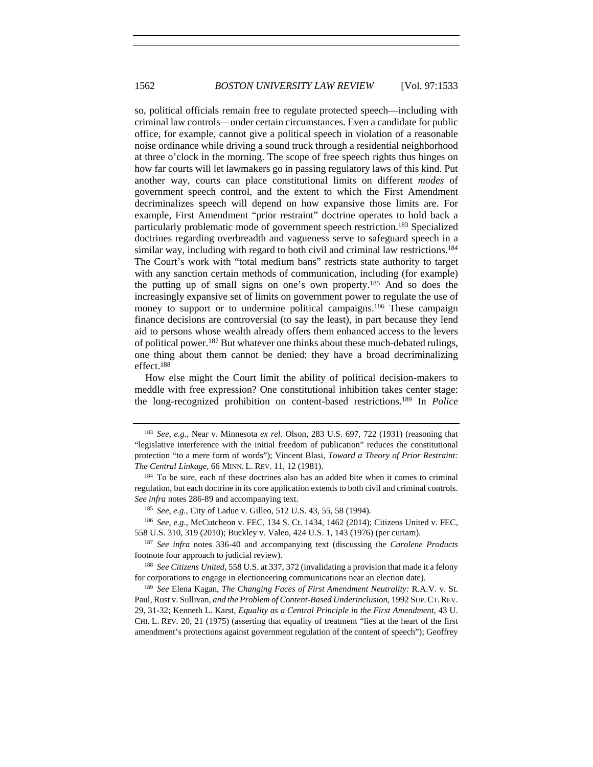so, political officials remain free to regulate protected speech—including with criminal law controls—under certain circumstances. Even a candidate for public office, for example, cannot give a political speech in violation of a reasonable noise ordinance while driving a sound truck through a residential neighborhood at three o'clock in the morning. The scope of free speech rights thus hinges on how far courts will let lawmakers go in passing regulatory laws of this kind. Put another way, courts can place constitutional limits on different *modes* of government speech control, and the extent to which the First Amendment decriminalizes speech will depend on how expansive those limits are. For example, First Amendment "prior restraint" doctrine operates to hold back a particularly problematic mode of government speech restriction.183 Specialized doctrines regarding overbreadth and vagueness serve to safeguard speech in a similar way, including with regard to both civil and criminal law restrictions.<sup>184</sup> The Court's work with "total medium bans" restricts state authority to target with any sanction certain methods of communication, including (for example) the putting up of small signs on one's own property.185 And so does the increasingly expansive set of limits on government power to regulate the use of money to support or to undermine political campaigns.<sup>186</sup> These campaign finance decisions are controversial (to say the least), in part because they lend aid to persons whose wealth already offers them enhanced access to the levers of political power.187 But whatever one thinks about these much-debated rulings, one thing about them cannot be denied: they have a broad decriminalizing effect.188

How else might the Court limit the ability of political decision-makers to meddle with free expression? One constitutional inhibition takes center stage: the long-recognized prohibition on content-based restrictions.189 In *Police* 

<sup>183</sup> *See, e.g.*, Near v. Minnesota *ex rel.* Olson, 283 U.S. 697, 722 (1931) (reasoning that "legislative interference with the initial freedom of publication" reduces the constitutional protection "to a mere form of words"); Vincent Blasi, *Toward a Theory of Prior Restraint: The Central Linkage*, 66 MINN. L. REV. 11, 12 (1981).<br><sup>184</sup> To be sure, each of these doctrines also has an added bite when it comes to criminal

regulation, but each doctrine in its core application extends to both civil and criminal controls. *See infra* notes 286-89 and accompanying text.<br><sup>185</sup> *See, e.g.*, City of Ladue v. Gilleo, 512 U.S. 43, 55, 58 (1994).<br><sup>186</sup> *See, e.g.*, McCutcheon v. FEC, 134 S. Ct. 1434, 1462 (2014); Citizens United v. FEC,

<sup>558</sup> U.S. 310, 319 (2010); Buckley v. Valeo*,* 424 U.S. 1, 143 (1976) (per curiam). 187 *See infra* notes 336-40 and accompanying text (discussing the *Carolene Products*

footnote four approach to judicial review).

<sup>188</sup> *See Citizens United*, 558 U.S. at 337, 372 (invalidating a provision that made it a felony for corporations to engage in electioneering communications near an election date).

<sup>189</sup> *See* Elena Kagan, *The Changing Faces of First Amendment Neutrality:* R.A.V. v. St. Paul*,* Rust v. Sullivan*, and the Problem of Content-Based Underinclusion*, 1992 SUP.CT.REV. 29, 31-32; Kenneth L. Karst, *Equality as a Central Principle in the First Amendment*, 43 U. CHI. L. REV. 20, 21 (1975) (asserting that equality of treatment "lies at the heart of the first amendment's protections against government regulation of the content of speech"); Geoffrey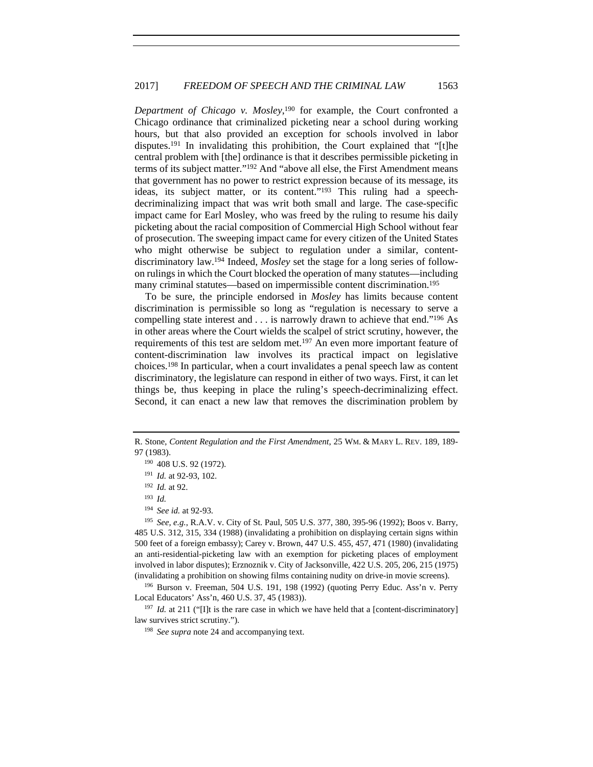*Department of Chicago v. Mosley*, 190 for example, the Court confronted a Chicago ordinance that criminalized picketing near a school during working hours, but that also provided an exception for schools involved in labor disputes.<sup>191</sup> In invalidating this prohibition, the Court explained that "[t]he central problem with [the] ordinance is that it describes permissible picketing in terms of its subject matter."<sup>192</sup> And "above all else, the First Amendment means that government has no power to restrict expression because of its message, its ideas, its subject matter, or its content."193 This ruling had a speechdecriminalizing impact that was writ both small and large. The case-specific impact came for Earl Mosley, who was freed by the ruling to resume his daily picketing about the racial composition of Commercial High School without fear of prosecution. The sweeping impact came for every citizen of the United States who might otherwise be subject to regulation under a similar, contentdiscriminatory law.194 Indeed, *Mosley* set the stage for a long series of followon rulings in which the Court blocked the operation of many statutes—including many criminal statutes—based on impermissible content discrimination.195

To be sure, the principle endorsed in *Mosley* has limits because content discrimination is permissible so long as "regulation is necessary to serve a compelling state interest and . . . is narrowly drawn to achieve that end."196 As in other areas where the Court wields the scalpel of strict scrutiny, however, the requirements of this test are seldom met.197 An even more important feature of content-discrimination law involves its practical impact on legislative choices.198 In particular, when a court invalidates a penal speech law as content discriminatory, the legislature can respond in either of two ways. First, it can let things be, thus keeping in place the ruling's speech-decriminalizing effect. Second, it can enact a new law that removes the discrimination problem by

<sup>194</sup> *See id.* at 92-93. 195 *See, e.g.*, R.A.V. v. City of St. Paul, 505 U.S. 377, 380, 395-96 (1992); Boos v. Barry, 485 U.S. 312, 315, 334 (1988) (invalidating a prohibition on displaying certain signs within 500 feet of a foreign embassy); Carey v. Brown, 447 U.S. 455, 457, 471 (1980) (invalidating an anti-residential-picketing law with an exemption for picketing places of employment involved in labor disputes); Erznoznik v. City of Jacksonville, 422 U.S. 205, 206, 215 (1975) (invalidating a prohibition on showing films containing nudity on drive-in movie screens).

<sup>196</sup> Burson v. Freeman, 504 U.S. 191, 198 (1992) (quoting Perry Educ. Ass'n v. Perry Local Educators' Ass'n, 460 U.S. 37, 45 (1983)).

<sup>197</sup> *Id.* at 211 ("II)t is the rare case in which we have held that a [content-discriminatory] law survives strict scrutiny."). 198 *See supra* note 24 and accompanying text.

R. Stone, *Content Regulation and the First Amendment*, 25 WM. & MARY L. REV. 189, 189- 97 (1983).<br><sup>190</sup> 408 U.S. 92 (1972).

<sup>191</sup> *Id.* at 92-93, 102.

<sup>192</sup> *Id.* at 92.

<sup>193</sup> *Id.*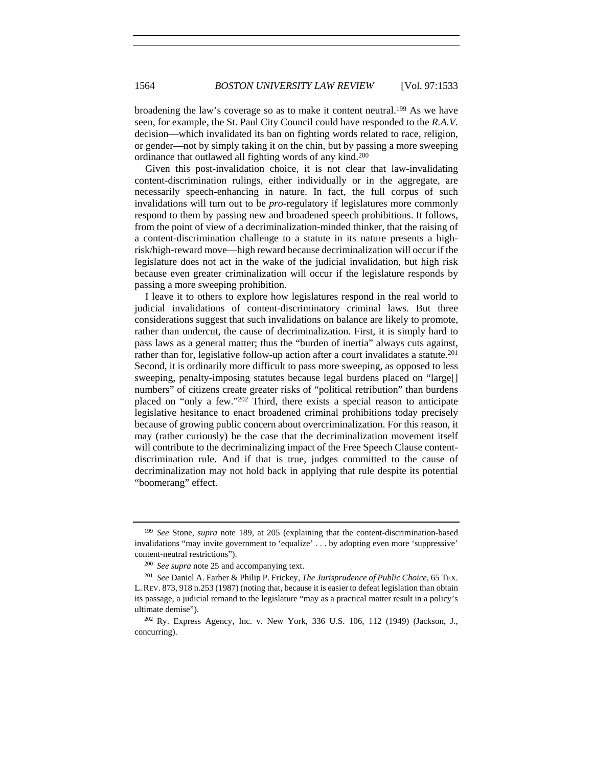broadening the law's coverage so as to make it content neutral.<sup>199</sup> As we have seen, for example, the St. Paul City Council could have responded to the *R.A.V.*  decision—which invalidated its ban on fighting words related to race, religion, or gender—not by simply taking it on the chin, but by passing a more sweeping ordinance that outlawed all fighting words of any kind.200

Given this post-invalidation choice, it is not clear that law-invalidating content-discrimination rulings, either individually or in the aggregate, are necessarily speech-enhancing in nature. In fact, the full corpus of such invalidations will turn out to be *pro*-regulatory if legislatures more commonly respond to them by passing new and broadened speech prohibitions. It follows, from the point of view of a decriminalization-minded thinker, that the raising of a content-discrimination challenge to a statute in its nature presents a highrisk/high-reward move—high reward because decriminalization will occur if the legislature does not act in the wake of the judicial invalidation, but high risk because even greater criminalization will occur if the legislature responds by passing a more sweeping prohibition.

I leave it to others to explore how legislatures respond in the real world to judicial invalidations of content-discriminatory criminal laws. But three considerations suggest that such invalidations on balance are likely to promote, rather than undercut, the cause of decriminalization. First, it is simply hard to pass laws as a general matter; thus the "burden of inertia" always cuts against, rather than for, legislative follow-up action after a court invalidates a statute.201 Second, it is ordinarily more difficult to pass more sweeping, as opposed to less sweeping, penalty-imposing statutes because legal burdens placed on "large[] numbers" of citizens create greater risks of "political retribution" than burdens placed on "only a few."202 Third, there exists a special reason to anticipate legislative hesitance to enact broadened criminal prohibitions today precisely because of growing public concern about overcriminalization. For this reason, it may (rather curiously) be the case that the decriminalization movement itself will contribute to the decriminalizing impact of the Free Speech Clause contentdiscrimination rule. And if that is true, judges committed to the cause of decriminalization may not hold back in applying that rule despite its potential "boomerang" effect.

<sup>199</sup> *See* Stone, *supra* note 189, at 205 (explaining that the content-discrimination-based invalidations "may invite government to 'equalize' . . . by adopting even more 'suppressive' content-neutral restrictions"). 200 *See supra* note 25 and accompanying text.

<sup>201</sup> *See* Daniel A. Farber & Philip P. Frickey, *The Jurisprudence of Public Choice*, 65 TEX. L.REV. 873, 918 n.253 (1987) (noting that, because it is easier to defeat legislation than obtain its passage, a judicial remand to the legislature "may as a practical matter result in a policy's

ultimate demise").<br><sup>202</sup> Ry. Express Agency, Inc. v. New York, 336 U.S. 106, 112 (1949) (Jackson, J., concurring).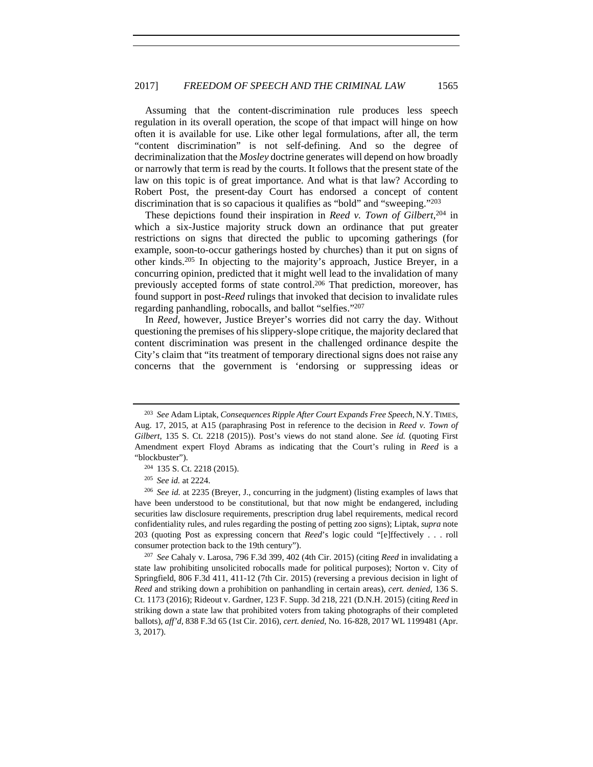Assuming that the content-discrimination rule produces less speech regulation in its overall operation, the scope of that impact will hinge on how often it is available for use. Like other legal formulations, after all, the term "content discrimination" is not self-defining. And so the degree of decriminalization that the *Mosley* doctrine generates will depend on how broadly or narrowly that term is read by the courts. It follows that the present state of the law on this topic is of great importance. And what is that law? According to Robert Post, the present-day Court has endorsed a concept of content discrimination that is so capacious it qualifies as "bold" and "sweeping."203

These depictions found their inspiration in *Reed v. Town of Gilbert*, 204 in which a six-Justice majority struck down an ordinance that put greater restrictions on signs that directed the public to upcoming gatherings (for example, soon-to-occur gatherings hosted by churches) than it put on signs of other kinds.205 In objecting to the majority's approach, Justice Breyer, in a concurring opinion, predicted that it might well lead to the invalidation of many previously accepted forms of state control.206 That prediction, moreover, has found support in post-*Reed* rulings that invoked that decision to invalidate rules regarding panhandling, robocalls, and ballot "selfies."207

In *Reed*, however, Justice Breyer's worries did not carry the day. Without questioning the premises of his slippery-slope critique, the majority declared that content discrimination was present in the challenged ordinance despite the City's claim that "its treatment of temporary directional signs does not raise any concerns that the government is 'endorsing or suppressing ideas or

<sup>203</sup> *See* Adam Liptak, *Consequences Ripple After Court Expands Free Speech*, N.Y. TIMES, Aug. 17, 2015, at A15 (paraphrasing Post in reference to the decision in *Reed v. Town of Gilbert*, 135 S. Ct. 2218 (2015)). Post's views do not stand alone. *See id.* (quoting First Amendment expert Floyd Abrams as indicating that the Court's ruling in *Reed* is a "blockbuster"). 204 135 S. Ct. 2218 (2015). 205 *See id.* at 2224.

<sup>206</sup> *See id.* at 2235 (Breyer, J., concurring in the judgment) (listing examples of laws that have been understood to be constitutional, but that now might be endangered, including securities law disclosure requirements, prescription drug label requirements, medical record confidentiality rules, and rules regarding the posting of petting zoo signs); Liptak, *supra* note 203 (quoting Post as expressing concern that *Reed*'s logic could "[e]ffectively . . . roll consumer protection back to the 19th century"). 207 *See* Cahaly v. Larosa, 796 F.3d 399, 402 (4th Cir. 2015) (citing *Reed* in invalidating a

state law prohibiting unsolicited robocalls made for political purposes); Norton v. City of Springfield, 806 F.3d 411, 411-12 (7th Cir. 2015) (reversing a previous decision in light of *Reed* and striking down a prohibition on panhandling in certain areas), *cert. denied*, 136 S. Ct. 1173 (2016); Rideout v. Gardner, 123 F. Supp. 3d 218, 221 (D.N.H. 2015) (citing *Reed* in striking down a state law that prohibited voters from taking photographs of their completed ballots), *aff'd*, 838 F.3d 65 (1st Cir. 2016), *cert. denied*, No. 16-828, 2017 WL 1199481 (Apr. 3, 2017).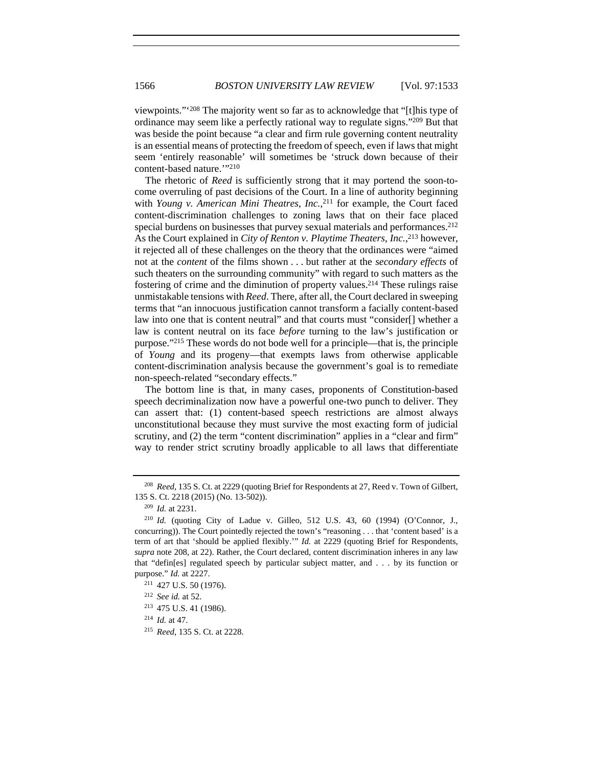viewpoints."'208 The majority went so far as to acknowledge that "[t]his type of ordinance may seem like a perfectly rational way to regulate signs."209 But that was beside the point because "a clear and firm rule governing content neutrality is an essential means of protecting the freedom of speech, even if laws that might seem 'entirely reasonable' will sometimes be 'struck down because of their content-based nature.'"210

The rhetoric of *Reed* is sufficiently strong that it may portend the soon-tocome overruling of past decisions of the Court. In a line of authority beginning with *Young v. American Mini Theatres, Inc.*, 211 for example, the Court faced content-discrimination challenges to zoning laws that on their face placed special burdens on businesses that purvey sexual materials and performances.<sup>212</sup> As the Court explained in *City of Renton v. Playtime Theaters, Inc.*, 213 however, it rejected all of these challenges on the theory that the ordinances were "aimed not at the *content* of the films shown . . . but rather at the *secondary effects* of such theaters on the surrounding community" with regard to such matters as the fostering of crime and the diminution of property values.214 These rulings raise unmistakable tensions with *Reed*. There, after all, the Court declared in sweeping terms that "an innocuous justification cannot transform a facially content-based law into one that is content neutral" and that courts must "consider[] whether a law is content neutral on its face *before* turning to the law's justification or purpose."215 These words do not bode well for a principle—that is, the principle of *Young* and its progeny—that exempts laws from otherwise applicable content-discrimination analysis because the government's goal is to remediate non-speech-related "secondary effects."

The bottom line is that, in many cases, proponents of Constitution-based speech decriminalization now have a powerful one-two punch to deliver. They can assert that: (1) content-based speech restrictions are almost always unconstitutional because they must survive the most exacting form of judicial scrutiny, and (2) the term "content discrimination" applies in a "clear and firm" way to render strict scrutiny broadly applicable to all laws that differentiate

<sup>208</sup> *Reed*, 135 S. Ct. at 2229 (quoting Brief for Respondents at 27, Reed v. Town of Gilbert, 135 S. Ct. 2218 (2015) (No. 13-502)).

<sup>209</sup> *Id.* at 2231.

<sup>210</sup> *Id.* (quoting City of Ladue v. Gilleo, 512 U.S. 43, 60 (1994) (O'Connor, J., concurring)). The Court pointedly rejected the town's "reasoning . . . that 'content based' is a term of art that 'should be applied flexibly.'" *Id.* at 2229 (quoting Brief for Respondents, *supra* note 208, at 22). Rather, the Court declared, content discrimination inheres in any law that "defin[es] regulated speech by particular subject matter, and . . . by its function or purpose." *Id.* at 2227.<br><sup>211</sup> 427 U.S. 50 (1976).

<sup>212</sup> *See id.* at 52.

<sup>213</sup> 475 U.S. 41 (1986).

<sup>214</sup> *Id.* at 47.

<sup>215</sup> *Reed*, 135 S. Ct. at 2228.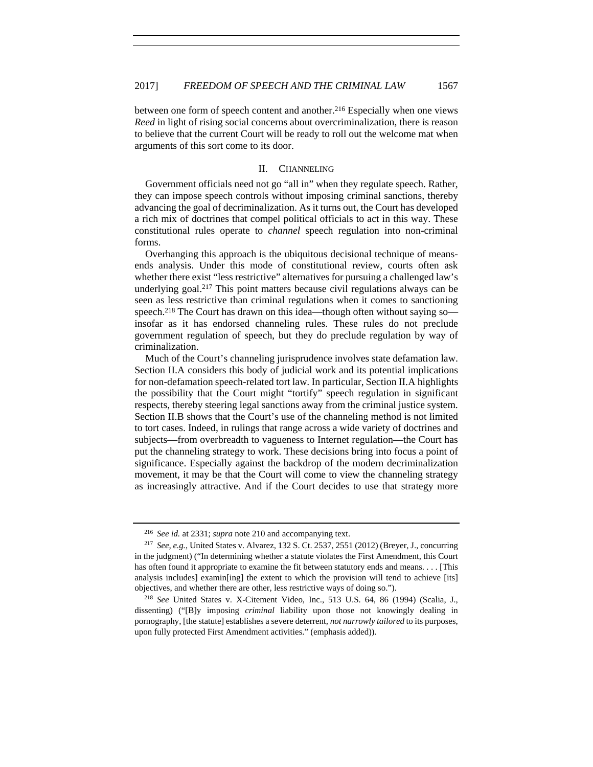between one form of speech content and another.<sup>216</sup> Especially when one views *Reed* in light of rising social concerns about overcriminalization, there is reason to believe that the current Court will be ready to roll out the welcome mat when arguments of this sort come to its door.

#### II. CHANNELING

Government officials need not go "all in" when they regulate speech. Rather, they can impose speech controls without imposing criminal sanctions, thereby advancing the goal of decriminalization. As it turns out, the Court has developed a rich mix of doctrines that compel political officials to act in this way. These constitutional rules operate to *channel* speech regulation into non-criminal forms.

Overhanging this approach is the ubiquitous decisional technique of meansends analysis. Under this mode of constitutional review, courts often ask whether there exist "less restrictive" alternatives for pursuing a challenged law's underlying goal.217 This point matters because civil regulations always can be seen as less restrictive than criminal regulations when it comes to sanctioning speech.<sup>218</sup> The Court has drawn on this idea—though often without saying so insofar as it has endorsed channeling rules. These rules do not preclude government regulation of speech, but they do preclude regulation by way of criminalization.

Much of the Court's channeling jurisprudence involves state defamation law. Section II.A considers this body of judicial work and its potential implications for non-defamation speech-related tort law. In particular, Section II.A highlights the possibility that the Court might "tortify" speech regulation in significant respects, thereby steering legal sanctions away from the criminal justice system. Section II.B shows that the Court's use of the channeling method is not limited to tort cases. Indeed, in rulings that range across a wide variety of doctrines and subjects—from overbreadth to vagueness to Internet regulation—the Court has put the channeling strategy to work. These decisions bring into focus a point of significance. Especially against the backdrop of the modern decriminalization movement, it may be that the Court will come to view the channeling strategy as increasingly attractive. And if the Court decides to use that strategy more

<sup>216</sup> *See id.* at 2331; *supra* note 210 and accompanying text. 217 *See, e.g.*, United States v. Alvarez, 132 S. Ct. 2537, 2551 (2012) (Breyer, J., concurring in the judgment) ("In determining whether a statute violates the First Amendment, this Court has often found it appropriate to examine the fit between statutory ends and means. . . . [This analysis includes] examin[ing] the extent to which the provision will tend to achieve [its] objectives, and whether there are other, less restrictive ways of doing so."). 218 *See* United States v. X-Citement Video, Inc., 513 U.S. 64, 86 (1994) (Scalia, J.,

dissenting) ("[B]y imposing *criminal* liability upon those not knowingly dealing in pornography, [the statute] establishes a severe deterrent, *not narrowly tailored* to its purposes, upon fully protected First Amendment activities." (emphasis added)).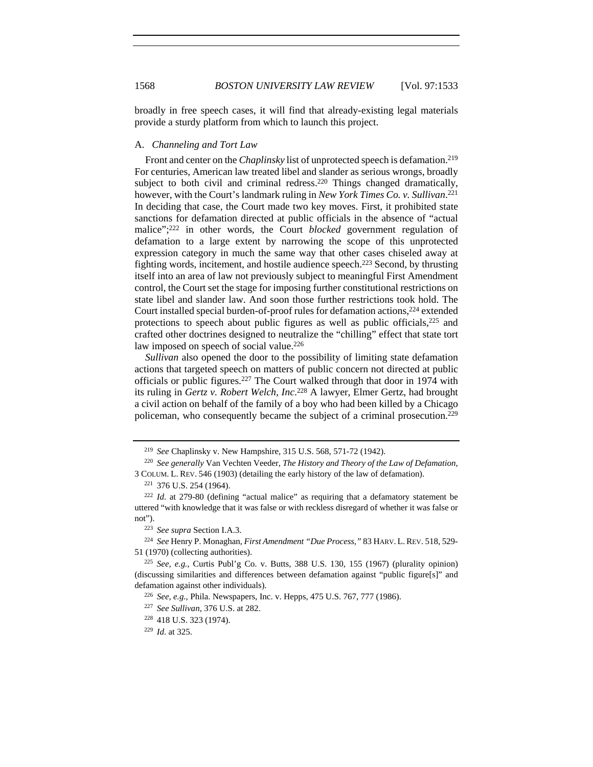broadly in free speech cases, it will find that already-existing legal materials provide a sturdy platform from which to launch this project.

#### A. *Channeling and Tort Law*

Front and center on the *Chaplinsky* list of unprotected speech is defamation.<sup>219</sup> For centuries, American law treated libel and slander as serious wrongs, broadly subject to both civil and criminal redress.<sup>220</sup> Things changed dramatically, however, with the Court's landmark ruling in *New York Times Co. v. Sullivan*. 221 In deciding that case, the Court made two key moves. First, it prohibited state sanctions for defamation directed at public officials in the absence of "actual malice";222 in other words, the Court *blocked* government regulation of defamation to a large extent by narrowing the scope of this unprotected expression category in much the same way that other cases chiseled away at fighting words, incitement, and hostile audience speech.223 Second, by thrusting itself into an area of law not previously subject to meaningful First Amendment control, the Court set the stage for imposing further constitutional restrictions on state libel and slander law. And soon those further restrictions took hold. The Court installed special burden-of-proof rules for defamation actions, $2^{24}$  extended protections to speech about public figures as well as public officials,225 and crafted other doctrines designed to neutralize the "chilling" effect that state tort law imposed on speech of social value.<sup>226</sup>

*Sullivan* also opened the door to the possibility of limiting state defamation actions that targeted speech on matters of public concern not directed at public officials or public figures.227 The Court walked through that door in 1974 with its ruling in *Gertz v. Robert Welch, Inc*. 228 A lawyer, Elmer Gertz, had brought a civil action on behalf of the family of a boy who had been killed by a Chicago policeman, who consequently became the subject of a criminal prosecution.229

<sup>219</sup> *See* Chaplinsky v. New Hampshire, 315 U.S. 568, 571-72 (1942).

<sup>220</sup> *See generally* Van Vechten Veeder, *The History and Theory of the Law of Defamation*, 3 COLUM. L. REV. 546 (1903) (detailing the early history of the law of defamation).

<sup>221</sup> 376 U.S. 254 (1964).

<sup>222</sup> *Id*. at 279-80 (defining "actual malice" as requiring that a defamatory statement be uttered "with knowledge that it was false or with reckless disregard of whether it was false or not"). 223 *See supra* Section I.A.3.

<sup>224</sup> *See* Henry P. Monaghan, *First Amendment "Due Process*,*"* 83 HARV. L.REV. 518, 529- 51 (1970) (collecting authorities).

<sup>225</sup> *See, e.g.*, Curtis Publ'g Co. v. Butts, 388 U.S. 130, 155 (1967) (plurality opinion) (discussing similarities and differences between defamation against "public figure[s]" and defamation against other individuals).<br><sup>226</sup> *See, e.g.*, Phila. Newspapers, Inc. v. Hepps, 475 U.S. 767, 777 (1986).

<sup>227</sup> *See Sullivan*, 376 U.S. at 282.

<sup>228</sup> 418 U.S. 323 (1974).

<sup>229</sup> *Id*. at 325.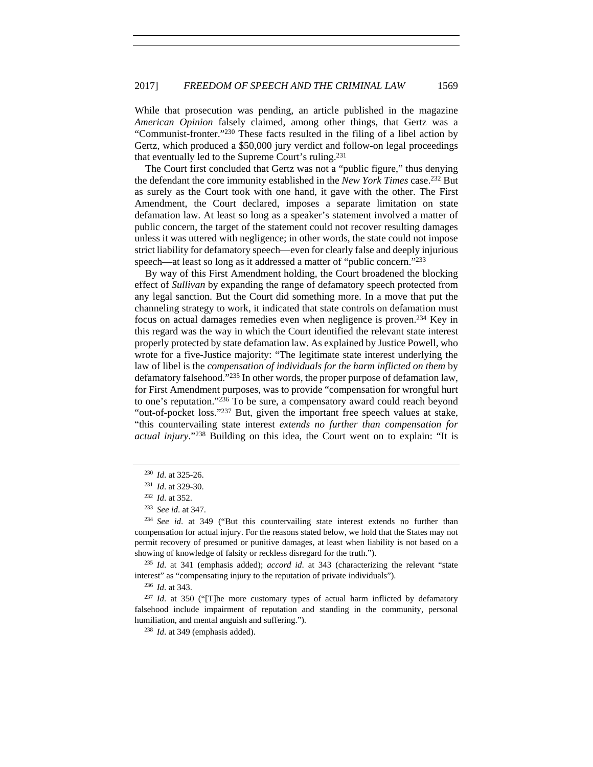While that prosecution was pending, an article published in the magazine *American Opinion* falsely claimed, among other things, that Gertz was a "Communist-fronter."230 These facts resulted in the filing of a libel action by Gertz, which produced a \$50,000 jury verdict and follow-on legal proceedings that eventually led to the Supreme Court's ruling.231

The Court first concluded that Gertz was not a "public figure," thus denying the defendant the core immunity established in the *New York Times* case.232 But as surely as the Court took with one hand, it gave with the other. The First Amendment, the Court declared, imposes a separate limitation on state defamation law. At least so long as a speaker's statement involved a matter of public concern, the target of the statement could not recover resulting damages unless it was uttered with negligence; in other words, the state could not impose strict liability for defamatory speech—even for clearly false and deeply injurious speech—at least so long as it addressed a matter of "public concern."233

By way of this First Amendment holding, the Court broadened the blocking effect of *Sullivan* by expanding the range of defamatory speech protected from any legal sanction. But the Court did something more. In a move that put the channeling strategy to work, it indicated that state controls on defamation must focus on actual damages remedies even when negligence is proven.234 Key in this regard was the way in which the Court identified the relevant state interest properly protected by state defamation law. As explained by Justice Powell, who wrote for a five-Justice majority: "The legitimate state interest underlying the law of libel is the *compensation of individuals for the harm inflicted on them* by defamatory falsehood."235 In other words, the proper purpose of defamation law, for First Amendment purposes, was to provide "compensation for wrongful hurt to one's reputation."236 To be sure, a compensatory award could reach beyond "out-of-pocket loss."237 But, given the important free speech values at stake, "this countervailing state interest *extends no further than compensation for actual injury*."238 Building on this idea, the Court went on to explain: "It is

<sup>230</sup> *Id*. at 325-26.

<sup>231</sup> *Id*. at 329-30.

<sup>232</sup> *Id*. at 352.

<sup>&</sup>lt;sup>233</sup> *See id.* at 347.<br><sup>234</sup> *See id.* at 349 ("But this countervailing state interest extends no further than compensation for actual injury. For the reasons stated below, we hold that the States may not permit recovery of presumed or punitive damages, at least when liability is not based on a showing of knowledge of falsity or reckless disregard for the truth.").<br><sup>235</sup> *Id*. at 341 (emphasis added); *accord id*. at 343 (characterizing the relevant "state

interest" as "compensating injury to the reputation of private individuals").

<sup>236</sup> *Id*. at 343.

<sup>237</sup> *Id*. at 350 ("[T]he more customary types of actual harm inflicted by defamatory falsehood include impairment of reputation and standing in the community, personal humiliation, and mental anguish and suffering."). 238 *Id*. at 349 (emphasis added).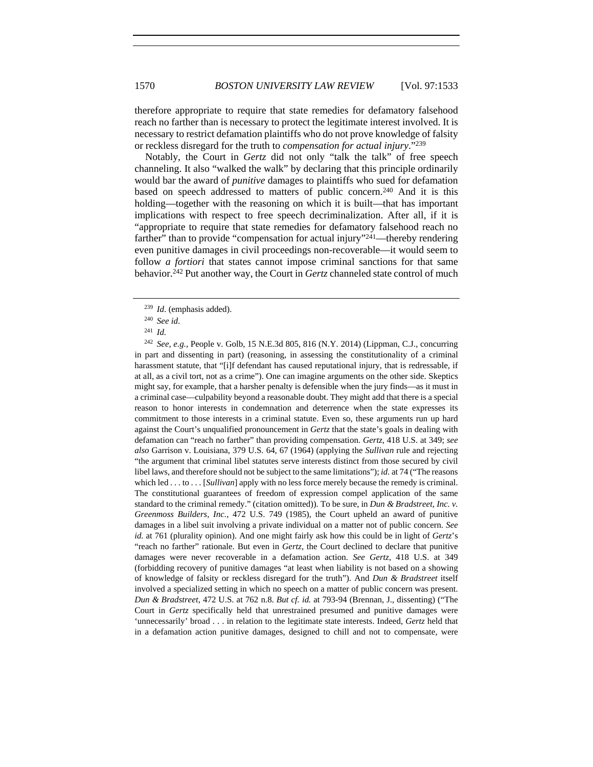therefore appropriate to require that state remedies for defamatory falsehood reach no farther than is necessary to protect the legitimate interest involved. It is necessary to restrict defamation plaintiffs who do not prove knowledge of falsity or reckless disregard for the truth to *compensation for actual injury*."239

Notably, the Court in *Gertz* did not only "talk the talk" of free speech channeling. It also "walked the walk" by declaring that this principle ordinarily would bar the award of *punitive* damages to plaintiffs who sued for defamation based on speech addressed to matters of public concern.240 And it is this holding—together with the reasoning on which it is built—that has important implications with respect to free speech decriminalization. After all, if it is "appropriate to require that state remedies for defamatory falsehood reach no farther" than to provide "compensation for actual injury"<sup>241</sup>—thereby rendering even punitive damages in civil proceedings non-recoverable—it would seem to follow *a fortiori* that states cannot impose criminal sanctions for that same behavior.242 Put another way, the Court in *Gertz* channeled state control of much

<sup>239</sup> *Id*. (emphasis added).

<sup>240</sup> *See id*.

<sup>241</sup> *Id.* 

<sup>242</sup> *See, e.g.*, People v. Golb, 15 N.E.3d 805, 816 (N.Y. 2014) (Lippman, C.J., concurring in part and dissenting in part) (reasoning, in assessing the constitutionality of a criminal harassment statute, that "[i]f defendant has caused reputational injury, that is redressable, if at all, as a civil tort, not as a crime"). One can imagine arguments on the other side. Skeptics might say, for example, that a harsher penalty is defensible when the jury finds—as it must in a criminal case—culpability beyond a reasonable doubt. They might add that there is a special reason to honor interests in condemnation and deterrence when the state expresses its commitment to those interests in a criminal statute. Even so, these arguments run up hard against the Court's unqualified pronouncement in *Gertz* that the state's goals in dealing with defamation can "reach no farther" than providing compensation. *Gertz*, 418 U.S. at 349; *see also* Garrison v. Louisiana, 379 U.S. 64, 67 (1964) (applying the *Sullivan* rule and rejecting "the argument that criminal libel statutes serve interests distinct from those secured by civil libel laws, and therefore should not be subject to the same limitations"); *id.* at 74 ("The reasons which led . . . to . . . [*Sullivan*] apply with no less force merely because the remedy is criminal. The constitutional guarantees of freedom of expression compel application of the same standard to the criminal remedy." (citation omitted)). To be sure, in *Dun & Bradstreet, Inc. v. Greenmoss Builders, Inc.*, 472 U.S. 749 (1985), the Court upheld an award of punitive damages in a libel suit involving a private individual on a matter not of public concern. *See id.* at 761 (plurality opinion). And one might fairly ask how this could be in light of *Gertz*'s "reach no farther" rationale. But even in *Gertz*, the Court declined to declare that punitive damages were never recoverable in a defamation action. *See Gertz*, 418 U.S. at 349 (forbidding recovery of punitive damages "at least when liability is not based on a showing of knowledge of falsity or reckless disregard for the truth"). And *Dun & Bradstreet* itself involved a specialized setting in which no speech on a matter of public concern was present. *Dun & Bradstreet*, 472 U.S. at 762 n.8. *But cf. id.* at 793-94 (Brennan, J., dissenting) ("The Court in *Gertz* specifically held that unrestrained presumed and punitive damages were 'unnecessarily' broad . . . in relation to the legitimate state interests. Indeed, *Gertz* held that in a defamation action punitive damages, designed to chill and not to compensate, were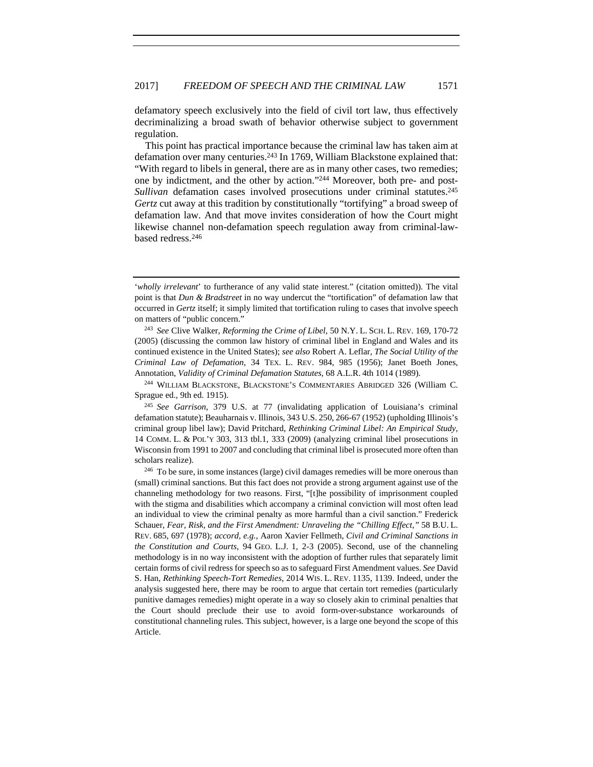defamatory speech exclusively into the field of civil tort law, thus effectively decriminalizing a broad swath of behavior otherwise subject to government regulation.

This point has practical importance because the criminal law has taken aim at defamation over many centuries.<sup>243</sup> In 1769, William Blackstone explained that: "With regard to libels in general, there are as in many other cases, two remedies; one by indictment, and the other by action."244 Moreover, both pre- and post*-Sullivan* defamation cases involved prosecutions under criminal statutes.<sup>245</sup> *Gertz* cut away at this tradition by constitutionally "tortifying" a broad sweep of defamation law. And that move invites consideration of how the Court might likewise channel non-defamation speech regulation away from criminal-lawbased redress.246

<sup>&#</sup>x27;*wholly irrelevant*' to furtherance of any valid state interest." (citation omitted)). The vital point is that *Dun & Bradstreet* in no way undercut the "tortification" of defamation law that occurred in *Gertz* itself; it simply limited that tortification ruling to cases that involve speech on matters of "public concern." 243 *See* Clive Walker, *Reforming the Crime of Libel*, 50 N.Y. L. SCH. L. REV. 169, 170-72

<sup>(2005) (</sup>discussing the common law history of criminal libel in England and Wales and its continued existence in the United States); *see also* Robert A. Leflar, *The Social Utility of the Criminal Law of Defamation*, 34 TEX. L. REV. 984, 985 (1956); Janet Boeth Jones, Annotation, *Validity of Criminal Defamation Statutes*, 68 A.L.R. 4th 1014 (1989).

<sup>244</sup> WILLIAM BLACKSTONE, BLACKSTONE'S COMMENTARIES ABRIDGED 326 (William C. Sprague ed., 9th ed. 1915).

<sup>245</sup> *See Garrison*, 379 U.S. at 77 (invalidating application of Louisiana's criminal defamation statute); Beauharnais v. Illinois, 343 U.S. 250, 266-67 (1952) (upholding Illinois's criminal group libel law); David Pritchard, *Rethinking Criminal Libel: An Empirical Study*, 14 COMM. L. & POL'Y 303, 313 tbl.1, 333 (2009) (analyzing criminal libel prosecutions in Wisconsin from 1991 to 2007 and concluding that criminal libel is prosecuted more often than scholars realize).<br><sup>246</sup> To be sure, in some instances (large) civil damages remedies will be more onerous than

<sup>(</sup>small) criminal sanctions. But this fact does not provide a strong argument against use of the channeling methodology for two reasons. First, "[t]he possibility of imprisonment coupled with the stigma and disabilities which accompany a criminal conviction will most often lead an individual to view the criminal penalty as more harmful than a civil sanction." Frederick Schauer, *Fear, Risk, and the First Amendment: Unraveling the "Chilling Effect*,*"* 58 B.U. L. REV. 685, 697 (1978); *accord, e.g.*, Aaron Xavier Fellmeth, *Civil and Criminal Sanctions in the Constitution and Courts*, 94 GEO. L.J. 1, 2-3 (2005). Second, use of the channeling methodology is in no way inconsistent with the adoption of further rules that separately limit certain forms of civil redress for speech so as to safeguard First Amendment values. *See* David S. Han, *Rethinking Speech-Tort Remedies*, 2014 WIS. L. REV. 1135, 1139. Indeed, under the analysis suggested here, there may be room to argue that certain tort remedies (particularly punitive damages remedies) might operate in a way so closely akin to criminal penalties that the Court should preclude their use to avoid form-over-substance workarounds of constitutional channeling rules. This subject, however, is a large one beyond the scope of this Article.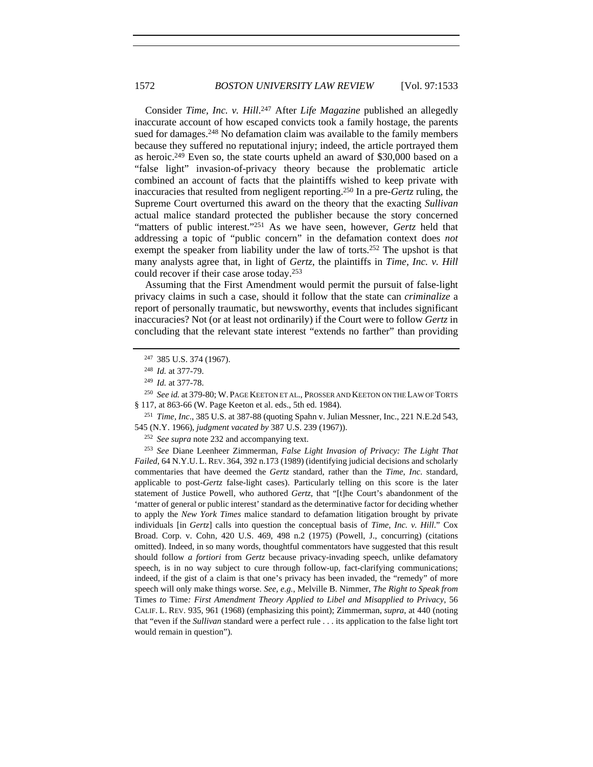Consider *Time, Inc. v. Hill*. 247 After *Life Magazine* published an allegedly inaccurate account of how escaped convicts took a family hostage, the parents sued for damages.<sup>248</sup> No defamation claim was available to the family members because they suffered no reputational injury; indeed, the article portrayed them as heroic.249 Even so, the state courts upheld an award of \$30,000 based on a "false light" invasion-of-privacy theory because the problematic article combined an account of facts that the plaintiffs wished to keep private with inaccuracies that resulted from negligent reporting.250 In a pre-*Gertz* ruling, the Supreme Court overturned this award on the theory that the exacting *Sullivan*  actual malice standard protected the publisher because the story concerned "matters of public interest."251 As we have seen, however, *Gertz* held that addressing a topic of "public concern" in the defamation context does *not* exempt the speaker from liability under the law of torts.<sup>252</sup> The upshot is that many analysts agree that, in light of *Gertz*, the plaintiffs in *Time, Inc. v. Hill* could recover if their case arose today.253

Assuming that the First Amendment would permit the pursuit of false-light privacy claims in such a case, should it follow that the state can *criminalize* a report of personally traumatic, but newsworthy, events that includes significant inaccuracies? Not (or at least not ordinarily) if the Court were to follow *Gertz* in concluding that the relevant state interest "extends no farther" than providing

<sup>252</sup> *See supra* note 232 and accompanying text.

<sup>253</sup> *See* Diane Leenheer Zimmerman, *False Light Invasion of Privacy: The Light That Failed*, 64 N.Y.U. L. REV. 364, 392 n.173 (1989) (identifying judicial decisions and scholarly commentaries that have deemed the *Gertz* standard, rather than the *Time, Inc*. standard, applicable to post-*Gertz* false-light cases). Particularly telling on this score is the later statement of Justice Powell, who authored *Gertz*, that "[t]he Court's abandonment of the 'matter of general or public interest' standard as the determinative factor for deciding whether to apply the *New York Times* malice standard to defamation litigation brought by private individuals [in *Gertz*] calls into question the conceptual basis of *Time, Inc. v. Hill*." Cox Broad. Corp. v. Cohn, 420 U.S. 469, 498 n.2 (1975) (Powell, J., concurring) (citations omitted). Indeed, in so many words, thoughtful commentators have suggested that this result should follow *a fortiori* from *Gertz* because privacy-invading speech, unlike defamatory speech, is in no way subject to cure through follow-up, fact-clarifying communications; indeed, if the gist of a claim is that one's privacy has been invaded, the "remedy" of more speech will only make things worse. *See, e.g.*, Melville B. Nimmer, *The Right to Speak from*  Times *to* Time*: First Amendment Theory Applied to Libel and Misapplied to Privacy*, 56 CALIF. L. REV. 935, 961 (1968) (emphasizing this point); Zimmerman, *supra*, at 440 (noting that "even if the *Sullivan* standard were a perfect rule . . . its application to the false light tort would remain in question").

<sup>247</sup> 385 U.S. 374 (1967).

<sup>248</sup> *Id.* at 377-79.

<sup>&</sup>lt;sup>249</sup> *Id.* at 377-78.<br><sup>250</sup> *See id.* at 379-80; W. Page Keeton et al., Prosser and Keeton on the Law of Torts § 117, at 863-66 (W. Page Keeton et al. eds., 5th ed. 1984).

<sup>251</sup> *Time, Inc*., 385 U.S. at 387-88 (quoting Spahn v. Julian Messner, Inc., 221 N.E.2d 543, 545 (N.Y. 1966), *judgment vacated by* 387 U.S. 239 (1967)).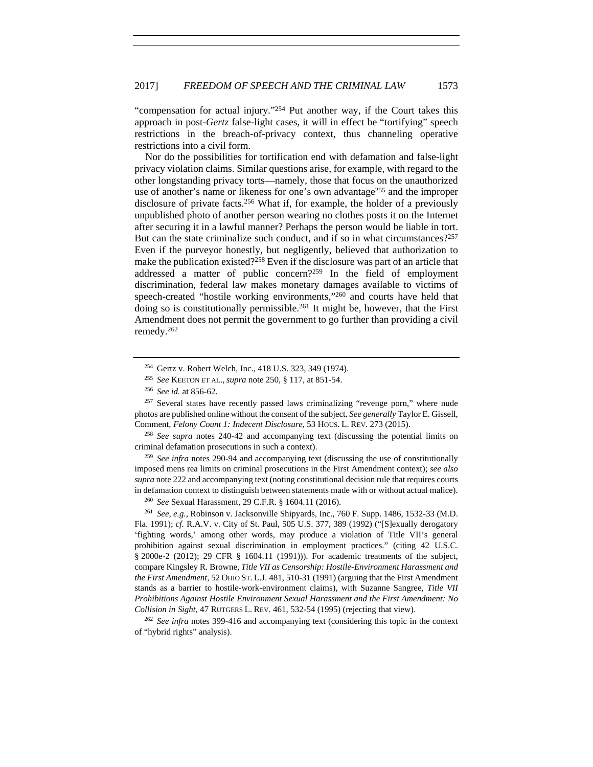"compensation for actual injury."254 Put another way, if the Court takes this approach in post-*Gertz* false-light cases, it will in effect be "tortifying" speech restrictions in the breach-of-privacy context, thus channeling operative restrictions into a civil form.

Nor do the possibilities for tortification end with defamation and false-light privacy violation claims. Similar questions arise, for example, with regard to the other longstanding privacy torts—namely, those that focus on the unauthorized use of another's name or likeness for one's own advantage255 and the improper disclosure of private facts.<sup>256</sup> What if, for example, the holder of a previously unpublished photo of another person wearing no clothes posts it on the Internet after securing it in a lawful manner? Perhaps the person would be liable in tort. But can the state criminalize such conduct, and if so in what circumstances?<sup>257</sup> Even if the purveyor honestly, but negligently, believed that authorization to make the publication existed?258 Even if the disclosure was part of an article that addressed a matter of public concern?259 In the field of employment discrimination, federal law makes monetary damages available to victims of speech-created "hostile working environments,"260 and courts have held that doing so is constitutionally permissible.<sup>261</sup> It might be, however, that the First Amendment does not permit the government to go further than providing a civil remedy.262

<sup>256</sup> *See id.* at 856-62.<br><sup>257</sup> Several states have recently passed laws criminalizing "revenge porn," where nude photos are published online without the consent of the subject. *See generally* Taylor E. Gissell, Comment, *Felony Count 1: Indecent Disclosure*, 53 HOUS. L. REV. 273 (2015).

<sup>258</sup> *See supra* notes 240-42 and accompanying text (discussing the potential limits on criminal defamation prosecutions in such a context).

<sup>259</sup> *See infra* notes 290-94 and accompanying text (discussing the use of constitutionally imposed mens rea limits on criminal prosecutions in the First Amendment context); *see also supra* note 222 and accompanying text (noting constitutional decision rule that requires courts in defamation context to distinguish between statements made with or without actual malice). 260 *See* Sexual Harassment, 29 C.F.R. § 1604.11 (2016).

<sup>261</sup> *See, e.g.*, Robinson v. Jacksonville Shipyards, Inc., 760 F. Supp. 1486, 1532-33 (M.D. Fla. 1991); *cf.* R.A.V. v. City of St. Paul, 505 U.S. 377, 389 (1992) ("[S]exually derogatory 'fighting words,' among other words, may produce a violation of Title VII's general prohibition against sexual discrimination in employment practices." (citing 42 U.S.C. § 2000e-2 (2012); 29 CFR § 1604.11 (1991))). For academic treatments of the subject, compare Kingsley R. Browne, *Title VII as Censorship: Hostile-Environment Harassment and the First Amendment*, 52 OHIO ST. L.J. 481, 510-31 (1991) (arguing that the First Amendment stands as a barrier to hostile-work-environment claims), with Suzanne Sangree, *Title VII Prohibitions Against Hostile Environment Sexual Harassment and the First Amendment: No Collision in Sight*, 47 RUTGERS L. REV. 461, 532-54 (1995) (rejecting that view).

<sup>262</sup> *See infra* notes 399-416 and accompanying text (considering this topic in the context of "hybrid rights" analysis).

<sup>254</sup> Gertz v. Robert Welch, Inc., 418 U.S. 323, 349 (1974).

<sup>255</sup> *See* KEETON ET AL., *supra* note 250, § 117, at 851-54.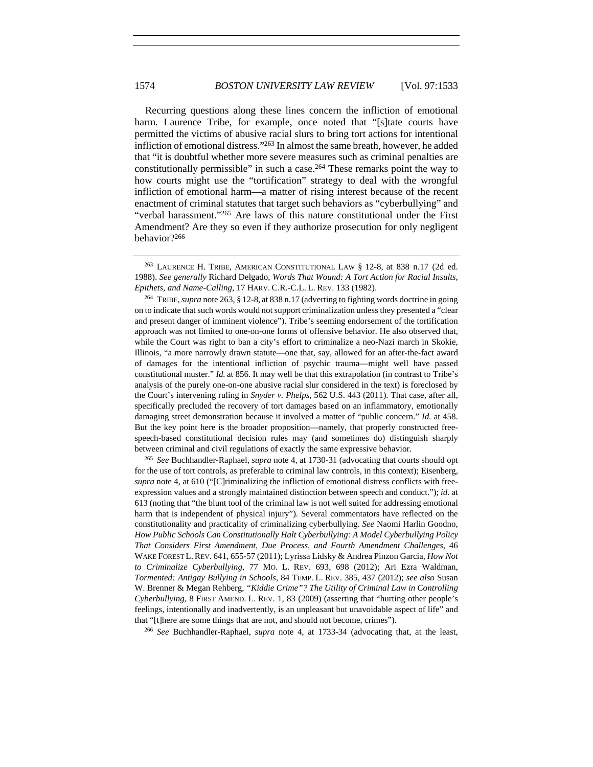Recurring questions along these lines concern the infliction of emotional harm. Laurence Tribe, for example, once noted that "[s]tate courts have permitted the victims of abusive racial slurs to bring tort actions for intentional infliction of emotional distress."263 In almost the same breath, however, he added that "it is doubtful whether more severe measures such as criminal penalties are constitutionally permissible" in such a case.264 These remarks point the way to how courts might use the "tortification" strategy to deal with the wrongful infliction of emotional harm—a matter of rising interest because of the recent enactment of criminal statutes that target such behaviors as "cyberbullying" and "verbal harassment."265 Are laws of this nature constitutional under the First Amendment? Are they so even if they authorize prosecution for only negligent behavior?266

<sup>264</sup> TRIBE, *supra* note 263, § 12-8, at 838 n.17 (adverting to fighting words doctrine in going on to indicate that such words would not support criminalization unless they presented a "clear and present danger of imminent violence"). Tribe's seeming endorsement of the tortification approach was not limited to one-on-one forms of offensive behavior. He also observed that, while the Court was right to ban a city's effort to criminalize a neo-Nazi march in Skokie, Illinois, "a more narrowly drawn statute—one that, say, allowed for an after-the-fact award of damages for the intentional infliction of psychic trauma—might well have passed constitutional muster." *Id.* at 856. It may well be that this extrapolation (in contrast to Tribe's analysis of the purely one-on-one abusive racial slur considered in the text) is foreclosed by the Court's intervening ruling in *Snyder v. Phelps*, 562 U.S. 443 (2011). That case, after all, specifically precluded the recovery of tort damages based on an inflammatory, emotionally damaging street demonstration because it involved a matter of "public concern." *Id.* at 458. But the key point here is the broader proposition—namely, that properly constructed freespeech-based constitutional decision rules may (and sometimes do) distinguish sharply between criminal and civil regulations of exactly the same expressive behavior. 265 *See* Buchhandler-Raphael, *supra* note 4, at 1730-31 (advocating that courts should opt

for the use of tort controls, as preferable to criminal law controls, in this context); Eisenberg, *supra* note 4, at 610 ("[C]riminalizing the infliction of emotional distress conflicts with freeexpression values and a strongly maintained distinction between speech and conduct."); *id.* at 613 (noting that "the blunt tool of the criminal law is not well suited for addressing emotional harm that is independent of physical injury"). Several commentators have reflected on the constitutionality and practicality of criminalizing cyberbullying. *See* Naomi Harlin Goodno, *How Public Schools Can Constitutionally Halt Cyberbullying: A Model Cyberbullying Policy That Considers First Amendment, Due Process, and Fourth Amendment Challenges*, 46 WAKE FOREST L.REV. 641, 655-57 (2011); Lyrissa Lidsky & Andrea Pinzon Garcia, *How Not to Criminalize Cyberbullying*, 77 MO. L. REV. 693, 698 (2012); Ari Ezra Waldman, *Tormented: Antigay Bullying in Schools*, 84 TEMP. L. REV. 385, 437 (2012); *see also* Susan W. Brenner & Megan Rehberg, *"Kiddie Crime"? The Utility of Criminal Law in Controlling Cyberbullying*, 8 FIRST AMEND. L. REV. 1, 83 (2009) (asserting that "hurting other people's feelings, intentionally and inadvertently, is an unpleasant but unavoidable aspect of life" and

that "[t]here are some things that are not, and should not become, crimes"). 266 *See* Buchhandler-Raphael, *supra* note 4, at 1733-34 (advocating that, at the least,

<sup>263</sup> LAURENCE H. TRIBE, AMERICAN CONSTITUTIONAL LAW § 12-8, at 838 n.17 (2d ed. 1988). *See generally* Richard Delgado, *Words That Wound: A Tort Action for Racial Insults, Epithets, and Name-Calling*, 17 HARV. C.R.-C.L. L. REV. 133 (1982).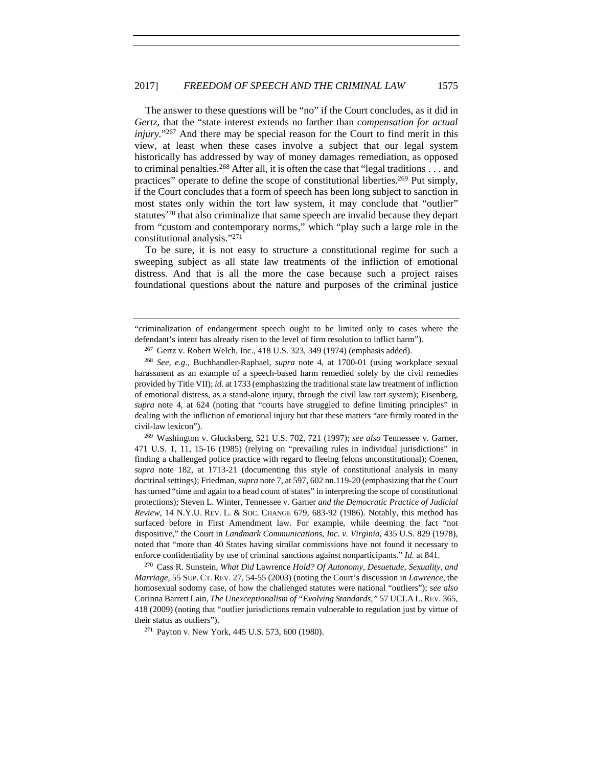The answer to these questions will be "no" if the Court concludes, as it did in *Gertz*, that the "state interest extends no farther than *compensation for actual injury.*"<sup>267</sup> And there may be special reason for the Court to find merit in this view, at least when these cases involve a subject that our legal system historically has addressed by way of money damages remediation, as opposed to criminal penalties.268 After all, it is often the case that "legal traditions . . . and practices" operate to define the scope of constitutional liberties.<sup>269</sup> Put simply, if the Court concludes that a form of speech has been long subject to sanction in most states only within the tort law system, it may conclude that "outlier" statutes $270$  that also criminalize that same speech are invalid because they depart from "custom and contemporary norms," which "play such a large role in the constitutional analysis."271

To be sure, it is not easy to structure a constitutional regime for such a sweeping subject as all state law treatments of the infliction of emotional distress. And that is all the more the case because such a project raises foundational questions about the nature and purposes of the criminal justice

471 U.S. 1, 11, 15-16 (1985) (relying on "prevailing rules in individual jurisdictions" in finding a challenged police practice with regard to fleeing felons unconstitutional); Coenen, *supra* note 182, at 1713-21 (documenting this style of constitutional analysis in many doctrinal settings); Friedman, *supra* note 7, at 597, 602 nn.119-20 (emphasizing that the Court has turned "time and again to a head count of states" in interpreting the scope of constitutional protections); Steven L. Winter, Tennessee v. Garner *and the Democratic Practice of Judicial Review*, 14 N.Y.U. REV. L. & SOC. CHANGE 679, 683-92 (1986). Notably, this method has surfaced before in First Amendment law. For example, while deeming the fact "not dispositive," the Court in *Landmark Communications, Inc. v. Virginia*, 435 U.S. 829 (1978), noted that "more than 40 States having similar commissions have not found it necessary to enforce confidentiality by use of criminal sanctions against nonparticipants." *Id.* at 841.

<sup>270</sup> Cass R. Sunstein, *What Did* Lawrence *Hold? Of Autonomy, Desuetude, Sexuality, and Marriage*, 55 SUP. CT. REV. 27, 54-55 (2003) (noting the Court's discussion in *Lawrence*, the homosexual sodomy case, of how the challenged statutes were national "outliers"); *see also* Corinna Barrett Lain, *The Unexceptionalism of "Evolving Standards*,*"* 57 UCLA L.REV. 365, 418 (2009) (noting that "outlier jurisdictions remain vulnerable to regulation just by virtue of their status as outliers").<br><sup>271</sup> Payton v. New York, 445 U.S. 573, 600 (1980).

<sup>&</sup>quot;criminalization of endangerment speech ought to be limited only to cases where the defendant's intent has already risen to the level of firm resolution to inflict harm").<br><sup>267</sup> Gertz v. Robert Welch, Inc., 418 U.S. 323, 349 (1974) (emphasis added).

<sup>268</sup> *See, e.g.*, Buchhandler-Raphael, *supra* note 4, at 1700-01 (using workplace sexual harassment as an example of a speech-based harm remedied solely by the civil remedies provided by Title VII); *id.* at 1733 (emphasizing the traditional state law treatment of infliction of emotional distress, as a stand-alone injury, through the civil law tort system); Eisenberg, *supra* note 4, at 624 (noting that "courts have struggled to define limiting principles" in dealing with the infliction of emotional injury but that these matters "are firmly rooted in the civil-law lexicon"). 269 Washington v. Glucksberg, 521 U.S. 702, 721 (1997); *see also* Tennessee v. Garner,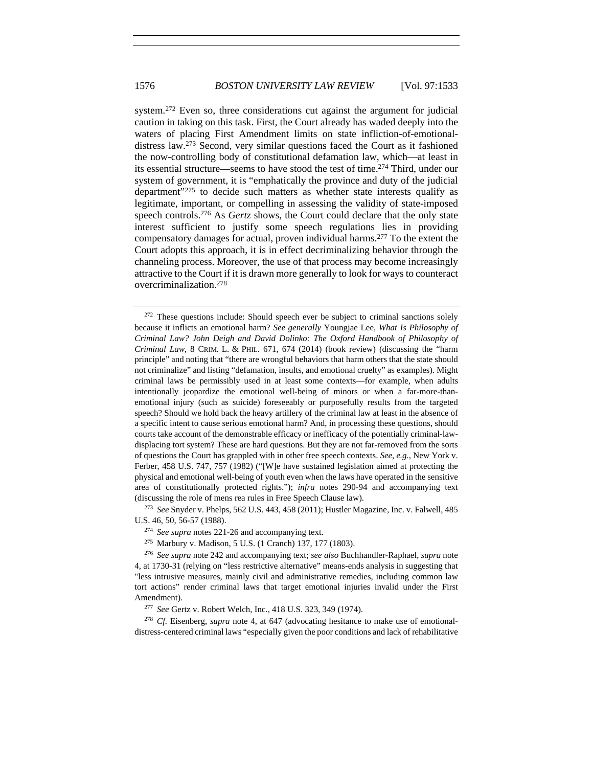system.<sup>272</sup> Even so, three considerations cut against the argument for judicial caution in taking on this task. First, the Court already has waded deeply into the waters of placing First Amendment limits on state infliction-of-emotionaldistress law.273 Second, very similar questions faced the Court as it fashioned the now-controlling body of constitutional defamation law, which—at least in its essential structure—seems to have stood the test of time.274 Third, under our system of government, it is "emphatically the province and duty of the judicial department"275 to decide such matters as whether state interests qualify as legitimate, important, or compelling in assessing the validity of state-imposed speech controls.276 As *Gertz* shows, the Court could declare that the only state interest sufficient to justify some speech regulations lies in providing compensatory damages for actual, proven individual harms.277 To the extent the Court adopts this approach, it is in effect decriminalizing behavior through the channeling process. Moreover, the use of that process may become increasingly attractive to the Court if it is drawn more generally to look for ways to counteract overcriminalization.278

U.S. 46, 50, 56-57 (1988).

<sup>278</sup> *Cf.* Eisenberg, *supra* note 4, at 647 (advocating hesitance to make use of emotionaldistress-centered criminal laws "especially given the poor conditions and lack of rehabilitative

 $272$  These questions include: Should speech ever be subject to criminal sanctions solely because it inflicts an emotional harm? *See generally* Youngjae Lee, *What Is Philosophy of Criminal Law? John Deigh and David Dolinko: The Oxford Handbook of Philosophy of Criminal Law*, 8 CRIM. L. & PHIL. 671, 674 (2014) (book review) (discussing the "harm principle" and noting that "there are wrongful behaviors that harm others that the state should not criminalize" and listing "defamation, insults, and emotional cruelty" as examples). Might criminal laws be permissibly used in at least some contexts—for example, when adults intentionally jeopardize the emotional well-being of minors or when a far-more-thanemotional injury (such as suicide) foreseeably or purposefully results from the targeted speech? Should we hold back the heavy artillery of the criminal law at least in the absence of a specific intent to cause serious emotional harm? And, in processing these questions, should courts take account of the demonstrable efficacy or inefficacy of the potentially criminal-lawdisplacing tort system? These are hard questions. But they are not far-removed from the sorts of questions the Court has grappled with in other free speech contexts. *See, e.g.*, New York v. Ferber, 458 U.S. 747, 757 (1982) ("[W]e have sustained legislation aimed at protecting the physical and emotional well-being of youth even when the laws have operated in the sensitive area of constitutionally protected rights."); *infra* notes 290-94 and accompanying text (discussing the role of mens rea rules in Free Speech Clause law). 273 *See* Snyder v. Phelps, 562 U.S. 443, 458 (2011); Hustler Magazine, Inc. v. Falwell, 485

<sup>274</sup> *See supra* notes 221-26 and accompanying text.

<sup>275</sup> Marbury v. Madison, 5 U.S. (1 Cranch) 137, 177 (1803).

<sup>276</sup> *See supra* note 242 and accompanying text; *see also* Buchhandler-Raphael, *supra* note 4, at 1730-31 (relying on "less restrictive alternative" means-ends analysis in suggesting that "less intrusive measures, mainly civil and administrative remedies, including common law tort actions" render criminal laws that target emotional injuries invalid under the First Amendment). 277 *See* Gertz v. Robert Welch, Inc., 418 U.S. 323, 349 (1974).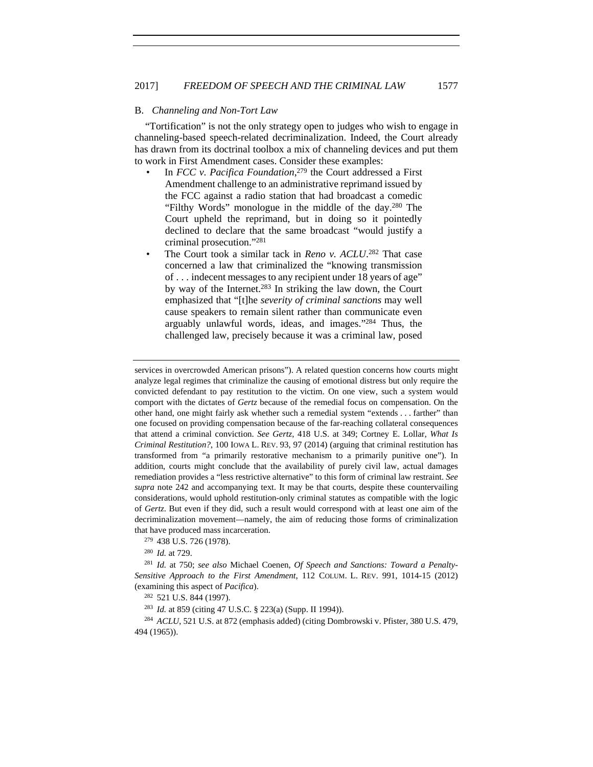# B. *Channeling and Non-Tort Law*

"Tortification" is not the only strategy open to judges who wish to engage in channeling-based speech-related decriminalization. Indeed, the Court already has drawn from its doctrinal toolbox a mix of channeling devices and put them to work in First Amendment cases. Consider these examples:

- In *FCC v. Pacifica Foundation*,<sup>279</sup> the Court addressed a First Amendment challenge to an administrative reprimand issued by the FCC against a radio station that had broadcast a comedic "Filthy Words" monologue in the middle of the day.280 The Court upheld the reprimand, but in doing so it pointedly declined to declare that the same broadcast "would justify a criminal prosecution."281
- The Court took a similar tack in *Reno v. ACLU*.<sup>282</sup> That case concerned a law that criminalized the "knowing transmission of . . . indecent messages to any recipient under 18 years of age" by way of the Internet.283 In striking the law down, the Court emphasized that "[t]he *severity of criminal sanctions* may well cause speakers to remain silent rather than communicate even arguably unlawful words, ideas, and images."284 Thus, the challenged law, precisely because it was a criminal law, posed

services in overcrowded American prisons"). A related question concerns how courts might analyze legal regimes that criminalize the causing of emotional distress but only require the convicted defendant to pay restitution to the victim. On one view, such a system would comport with the dictates of *Gertz* because of the remedial focus on compensation. On the other hand, one might fairly ask whether such a remedial system "extends . . . farther" than one focused on providing compensation because of the far-reaching collateral consequences that attend a criminal conviction. *See Gertz*, 418 U.S. at 349; Cortney E. Lollar, *What Is Criminal Restitution?*, 100 IOWA L. REV. 93, 97 (2014) (arguing that criminal restitution has transformed from "a primarily restorative mechanism to a primarily punitive one"). In addition, courts might conclude that the availability of purely civil law, actual damages remediation provides a "less restrictive alternative" to this form of criminal law restraint. *See supra* note 242 and accompanying text. It may be that courts, despite these countervailing considerations, would uphold restitution-only criminal statutes as compatible with the logic of *Gertz*. But even if they did, such a result would correspond with at least one aim of the decriminalization movement—namely, the aim of reducing those forms of criminalization that have produced mass incarceration. 279 438 U.S. 726 (1978).

<sup>280</sup> *Id.* at 729.

<sup>281</sup> *Id.* at 750; *see also* Michael Coenen, *Of Speech and Sanctions: Toward a Penalty-Sensitive Approach to the First Amendment*, 112 COLUM. L. REV. 991, 1014-15 (2012) (examining this aspect of *Pacifica*). 282 521 U.S. 844 (1997).

<sup>283</sup> *Id.* at 859 (citing 47 U.S.C. § 223(a) (Supp. II 1994)).

<sup>&</sup>lt;sup>284</sup> *ACLU*, 521 U.S. at 872 (emphasis added) (citing Dombrowski v. Pfister, 380 U.S. 479, 494 (1965)).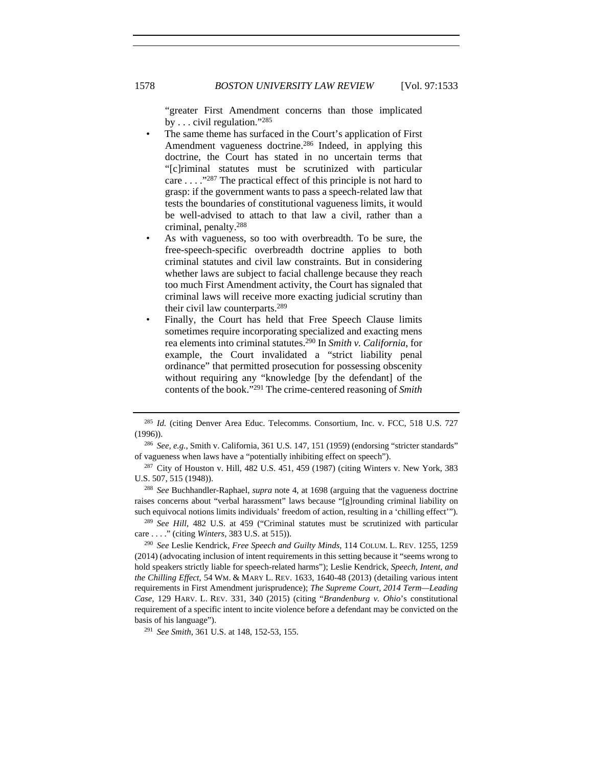"greater First Amendment concerns than those implicated by . . . civil regulation."285

- The same theme has surfaced in the Court's application of First Amendment vagueness doctrine.<sup>286</sup> Indeed, in applying this doctrine, the Court has stated in no uncertain terms that "[c]riminal statutes must be scrutinized with particular care . . . ."287 The practical effect of this principle is not hard to grasp: if the government wants to pass a speech-related law that tests the boundaries of constitutional vagueness limits, it would be well-advised to attach to that law a civil, rather than a criminal, penalty.288
- As with vagueness, so too with overbreadth. To be sure, the free-speech-specific overbreadth doctrine applies to both criminal statutes and civil law constraints. But in considering whether laws are subject to facial challenge because they reach too much First Amendment activity, the Court has signaled that criminal laws will receive more exacting judicial scrutiny than their civil law counterparts.289
- Finally, the Court has held that Free Speech Clause limits sometimes require incorporating specialized and exacting mens rea elements into criminal statutes.290 In *Smith v. California*, for example, the Court invalidated a "strict liability penal ordinance" that permitted prosecution for possessing obscenity without requiring any "knowledge [by the defendant] of the contents of the book."291 The crime-centered reasoning of *Smith*

<sup>289</sup> *See Hill*, 482 U.S. at 459 ("Criminal statutes must be scrutinized with particular care . . . ." (citing *Winters*, 383 U.S. at 515)). 290 *See* Leslie Kendrick, *Free Speech and Guilty Minds*, 114 COLUM. L. REV. 1255, 1259

<sup>285</sup> *Id.* (citing Denver Area Educ. Telecomms. Consortium, Inc. v. FCC, 518 U.S. 727 (1996)).

<sup>286</sup> *See, e.g.*, Smith v. California, 361 U.S. 147, 151 (1959) (endorsing "stricter standards" of vagueness when laws have a "potentially inhibiting effect on speech").

<sup>287</sup> City of Houston v. Hill, 482 U.S. 451, 459 (1987) (citing Winters v. New York, 383 U.S. 507, 515 (1948)). 288 *See* Buchhandler-Raphael, *supra* note 4, at 1698 (arguing that the vagueness doctrine

raises concerns about "verbal harassment" laws because "[g]rounding criminal liability on such equivocal notions limits individuals' freedom of action, resulting in a 'chilling effect'").

<sup>(2014) (</sup>advocating inclusion of intent requirements in this setting because it "seems wrong to hold speakers strictly liable for speech-related harms"); Leslie Kendrick, *Speech, Intent, and the Chilling Effect*, 54 WM. & MARY L. REV. 1633, 1640-48 (2013) (detailing various intent requirements in First Amendment jurisprudence); *The Supreme Court, 2014 Term—Leading Case*, 129 HARV. L. REV. 331, 340 (2015) (citing "*Brandenburg v. Ohio*'s constitutional requirement of a specific intent to incite violence before a defendant may be convicted on the basis of his language"). 291 *See Smith*, 361 U.S. at 148, 152-53, 155.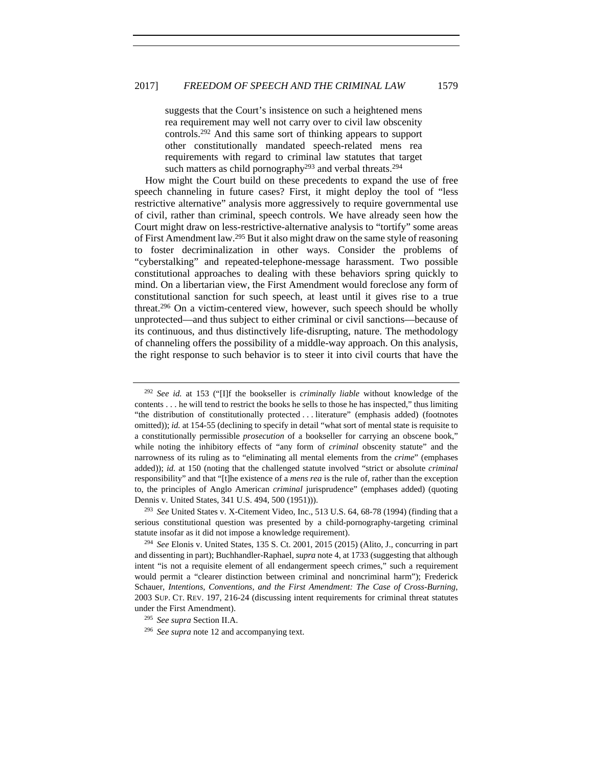suggests that the Court's insistence on such a heightened mens rea requirement may well not carry over to civil law obscenity controls.292 And this same sort of thinking appears to support other constitutionally mandated speech-related mens rea requirements with regard to criminal law statutes that target such matters as child pornography<sup>293</sup> and verbal threats.<sup>294</sup>

How might the Court build on these precedents to expand the use of free speech channeling in future cases? First, it might deploy the tool of "less restrictive alternative" analysis more aggressively to require governmental use of civil, rather than criminal, speech controls. We have already seen how the Court might draw on less-restrictive-alternative analysis to "tortify" some areas of First Amendment law.295 But it also might draw on the same style of reasoning to foster decriminalization in other ways. Consider the problems of "cyberstalking" and repeated-telephone-message harassment. Two possible constitutional approaches to dealing with these behaviors spring quickly to mind. On a libertarian view, the First Amendment would foreclose any form of constitutional sanction for such speech, at least until it gives rise to a true threat.296 On a victim-centered view, however, such speech should be wholly unprotected—and thus subject to either criminal or civil sanctions—because of its continuous, and thus distinctively life-disrupting, nature. The methodology of channeling offers the possibility of a middle-way approach. On this analysis, the right response to such behavior is to steer it into civil courts that have the

<sup>292</sup> *See id.* at 153 ("[I]f the bookseller is *criminally liable* without knowledge of the contents . . . he will tend to restrict the books he sells to those he has inspected," thus limiting "the distribution of constitutionally protected . . . literature" (emphasis added) (footnotes omitted)); *id.* at 154-55 (declining to specify in detail "what sort of mental state is requisite to a constitutionally permissible *prosecution* of a bookseller for carrying an obscene book," while noting the inhibitory effects of "any form of *criminal* obscenity statute" and the narrowness of its ruling as to "eliminating all mental elements from the *crime*" (emphases added)); *id.* at 150 (noting that the challenged statute involved "strict or absolute *criminal* responsibility" and that "[t]he existence of a *mens rea* is the rule of, rather than the exception to, the principles of Anglo American *criminal* jurisprudence" (emphases added) (quoting Dennis v. United States, 341 U.S. 494, 500 (1951))).

<sup>293</sup> *See* United States v. X-Citement Video, Inc., 513 U.S. 64, 68-78 (1994) (finding that a serious constitutional question was presented by a child-pornography-targeting criminal statute insofar as it did not impose a knowledge requirement). 294 *See* Elonis v. United States, 135 S. Ct. 2001, 2015 (2015) (Alito, J., concurring in part

and dissenting in part); Buchhandler-Raphael, *supra* note 4, at 1733 (suggesting that although intent "is not a requisite element of all endangerment speech crimes," such a requirement would permit a "clearer distinction between criminal and noncriminal harm"); Frederick Schauer, *Intentions, Conventions, and the First Amendment: The Case of Cross-Burning*, 2003 SUP. CT. REV. 197, 216-24 (discussing intent requirements for criminal threat statutes under the First Amendment). 295 *See supra* Section II.A.

<sup>296</sup> *See supra* note 12 and accompanying text.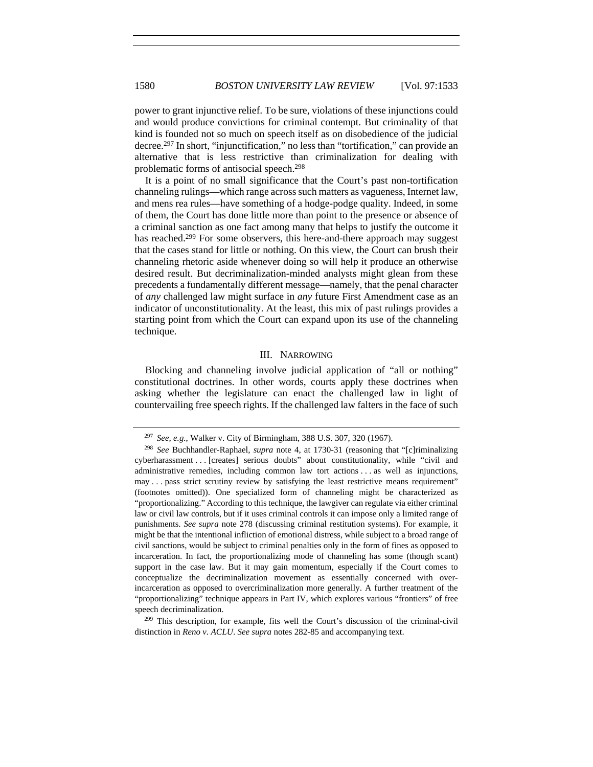power to grant injunctive relief. To be sure, violations of these injunctions could and would produce convictions for criminal contempt. But criminality of that kind is founded not so much on speech itself as on disobedience of the judicial decree.297 In short, "injunctification," no less than "tortification," can provide an alternative that is less restrictive than criminalization for dealing with problematic forms of antisocial speech.298

It is a point of no small significance that the Court's past non-tortification channeling rulings—which range across such matters as vagueness, Internet law, and mens rea rules—have something of a hodge-podge quality. Indeed, in some of them, the Court has done little more than point to the presence or absence of a criminal sanction as one fact among many that helps to justify the outcome it has reached.<sup>299</sup> For some observers, this here-and-there approach may suggest that the cases stand for little or nothing. On this view, the Court can brush their channeling rhetoric aside whenever doing so will help it produce an otherwise desired result. But decriminalization-minded analysts might glean from these precedents a fundamentally different message—namely, that the penal character of *any* challenged law might surface in *any* future First Amendment case as an indicator of unconstitutionality. At the least, this mix of past rulings provides a starting point from which the Court can expand upon its use of the channeling technique.

#### III. NARROWING

Blocking and channeling involve judicial application of "all or nothing" constitutional doctrines. In other words, courts apply these doctrines when asking whether the legislature can enact the challenged law in light of countervailing free speech rights. If the challenged law falters in the face of such

<sup>297</sup> *See, e.g.*, Walker v. City of Birmingham, 388 U.S. 307, 320 (1967).

<sup>298</sup> *See* Buchhandler-Raphael, *supra* note 4, at 1730-31 (reasoning that "[c]riminalizing cyberharassment . . . [creates] serious doubts" about constitutionality, while "civil and administrative remedies, including common law tort actions . . . as well as injunctions, may . . . pass strict scrutiny review by satisfying the least restrictive means requirement" (footnotes omitted)). One specialized form of channeling might be characterized as "proportionalizing." According to this technique, the lawgiver can regulate via either criminal law or civil law controls, but if it uses criminal controls it can impose only a limited range of punishments. *See supra* note 278 (discussing criminal restitution systems). For example, it might be that the intentional infliction of emotional distress, while subject to a broad range of civil sanctions, would be subject to criminal penalties only in the form of fines as opposed to incarceration. In fact, the proportionalizing mode of channeling has some (though scant) support in the case law. But it may gain momentum, especially if the Court comes to conceptualize the decriminalization movement as essentially concerned with overincarceration as opposed to overcriminalization more generally. A further treatment of the "proportionalizing" technique appears in Part IV, which explores various "frontiers" of free speech decriminalization.<br><sup>299</sup> This description, for example, fits well the Court's discussion of the criminal-civil

distinction in *Reno v. ACLU*. *See supra* notes 282-85 and accompanying text.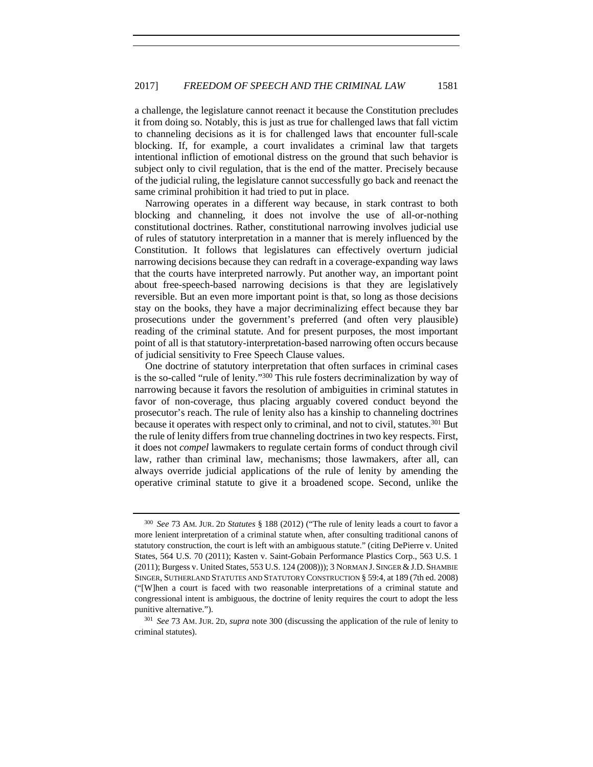a challenge, the legislature cannot reenact it because the Constitution precludes it from doing so. Notably, this is just as true for challenged laws that fall victim to channeling decisions as it is for challenged laws that encounter full-scale blocking. If, for example, a court invalidates a criminal law that targets intentional infliction of emotional distress on the ground that such behavior is subject only to civil regulation, that is the end of the matter. Precisely because of the judicial ruling, the legislature cannot successfully go back and reenact the same criminal prohibition it had tried to put in place.

Narrowing operates in a different way because, in stark contrast to both blocking and channeling, it does not involve the use of all-or-nothing constitutional doctrines. Rather, constitutional narrowing involves judicial use of rules of statutory interpretation in a manner that is merely influenced by the Constitution. It follows that legislatures can effectively overturn judicial narrowing decisions because they can redraft in a coverage-expanding way laws that the courts have interpreted narrowly. Put another way, an important point about free-speech-based narrowing decisions is that they are legislatively reversible. But an even more important point is that, so long as those decisions stay on the books, they have a major decriminalizing effect because they bar prosecutions under the government's preferred (and often very plausible) reading of the criminal statute. And for present purposes, the most important point of all is that statutory-interpretation-based narrowing often occurs because of judicial sensitivity to Free Speech Clause values.

One doctrine of statutory interpretation that often surfaces in criminal cases is the so-called "rule of lenity."300 This rule fosters decriminalization by way of narrowing because it favors the resolution of ambiguities in criminal statutes in favor of non-coverage, thus placing arguably covered conduct beyond the prosecutor's reach. The rule of lenity also has a kinship to channeling doctrines because it operates with respect only to criminal, and not to civil, statutes.301 But the rule of lenity differs from true channeling doctrines in two key respects. First, it does not *compel* lawmakers to regulate certain forms of conduct through civil law, rather than criminal law, mechanisms; those lawmakers, after all, can always override judicial applications of the rule of lenity by amending the operative criminal statute to give it a broadened scope. Second, unlike the

<sup>300</sup> *See* 73 AM. JUR. 2D *Statutes* § 188 (2012) ("The rule of lenity leads a court to favor a more lenient interpretation of a criminal statute when, after consulting traditional canons of statutory construction, the court is left with an ambiguous statute." (citing DePierre v. United States, 564 U.S. 70 (2011); Kasten v. Saint-Gobain Performance Plastics Corp., 563 U.S. 1 (2011); Burgess v. United States, 553 U.S. 124 (2008))); 3 NORMAN J. SINGER &J.D. SHAMBIE SINGER, SUTHERLAND STATUTES AND STATUTORY CONSTRUCTION § 59:4, at 189 (7th ed. 2008) ("[W]hen a court is faced with two reasonable interpretations of a criminal statute and congressional intent is ambiguous, the doctrine of lenity requires the court to adopt the less punitive alternative."). 301 *See* 73 AM. JUR. 2D, *supra* note 300 (discussing the application of the rule of lenity to

criminal statutes).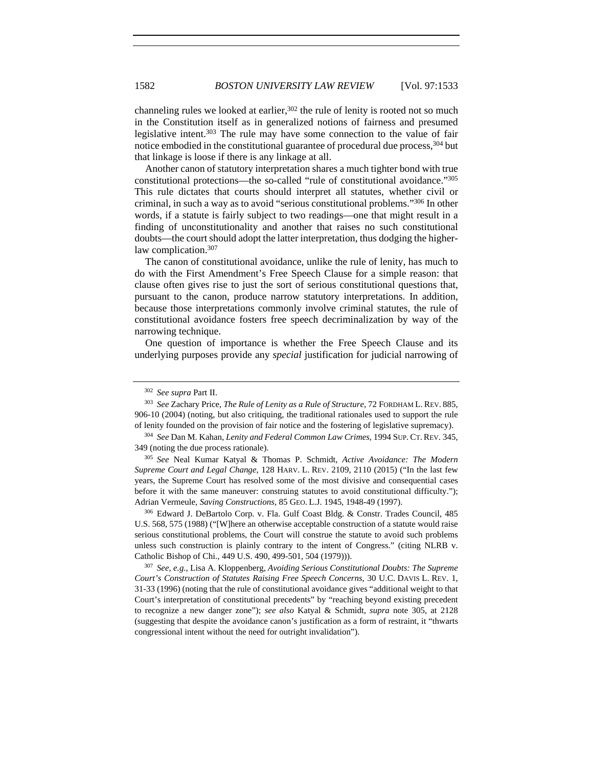channeling rules we looked at earlier, $302$  the rule of lenity is rooted not so much in the Constitution itself as in generalized notions of fairness and presumed legislative intent.303 The rule may have some connection to the value of fair notice embodied in the constitutional guarantee of procedural due process.<sup>304</sup> but that linkage is loose if there is any linkage at all.

Another canon of statutory interpretation shares a much tighter bond with true constitutional protections—the so-called "rule of constitutional avoidance."305 This rule dictates that courts should interpret all statutes, whether civil or criminal, in such a way as to avoid "serious constitutional problems."306 In other words, if a statute is fairly subject to two readings—one that might result in a finding of unconstitutionality and another that raises no such constitutional doubts—the court should adopt the latter interpretation, thus dodging the higherlaw complication.307

The canon of constitutional avoidance, unlike the rule of lenity, has much to do with the First Amendment's Free Speech Clause for a simple reason: that clause often gives rise to just the sort of serious constitutional questions that, pursuant to the canon, produce narrow statutory interpretations. In addition, because those interpretations commonly involve criminal statutes, the rule of constitutional avoidance fosters free speech decriminalization by way of the narrowing technique.

One question of importance is whether the Free Speech Clause and its underlying purposes provide any *special* justification for judicial narrowing of

<sup>306</sup> Edward J. DeBartolo Corp. v. Fla. Gulf Coast Bldg. & Constr. Trades Council, 485 U.S. 568, 575 (1988) ("[W]here an otherwise acceptable construction of a statute would raise serious constitutional problems, the Court will construe the statute to avoid such problems unless such construction is plainly contrary to the intent of Congress." (citing NLRB v. Catholic Bishop of Chi., 449 U.S. 490, 499-501, 504 (1979))). 307 *See, e.g.*, Lisa A. Kloppenberg, *Avoiding Serious Constitutional Doubts: The Supreme* 

*Court's Construction of Statutes Raising Free Speech Concerns*, 30 U.C. DAVIS L. REV. 1, 31-33 (1996) (noting that the rule of constitutional avoidance gives "additional weight to that Court's interpretation of constitutional precedents" by "reaching beyond existing precedent to recognize a new danger zone"); *see also* Katyal & Schmidt, *supra* note 305, at 2128 (suggesting that despite the avoidance canon's justification as a form of restraint, it "thwarts congressional intent without the need for outright invalidation").

<sup>302</sup> *See supra* Part II.

<sup>303</sup> *See* Zachary Price, *The Rule of Lenity as a Rule of Structure*, 72 FORDHAM L. REV. 885, 906-10 (2004) (noting, but also critiquing, the traditional rationales used to support the rule of lenity founded on the provision of fair notice and the fostering of legislative supremacy).

<sup>304</sup> *See* Dan M. Kahan, *Lenity and Federal Common Law Crimes*, 1994 SUP. CT. REV. 345, 349 (noting the due process rationale).

<sup>305</sup> *See* Neal Kumar Katyal & Thomas P. Schmidt, *Active Avoidance: The Modern Supreme Court and Legal Change*, 128 HARV. L. REV. 2109, 2110 (2015) ("In the last few years, the Supreme Court has resolved some of the most divisive and consequential cases before it with the same maneuver: construing statutes to avoid constitutional difficulty."); Adrian Vermeule, *Saving Constructions*, 85 GEO. L.J. 1945, 1948-49 (1997).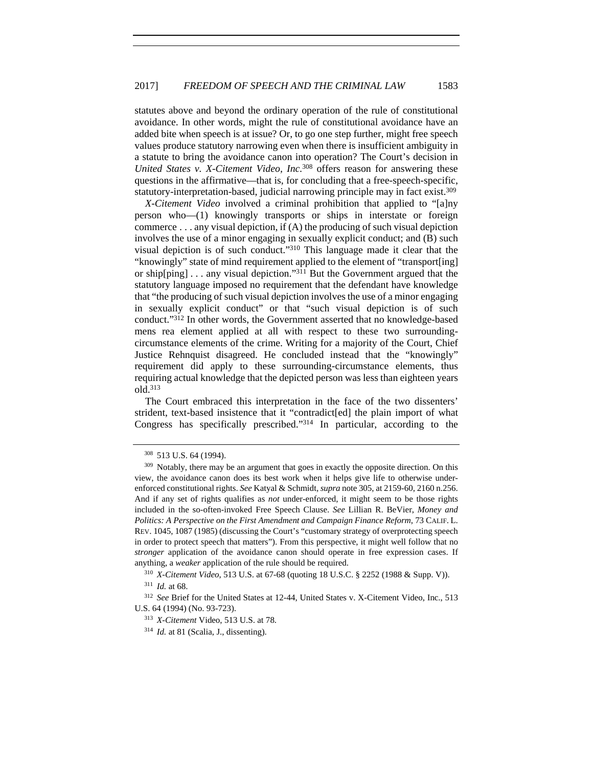statutes above and beyond the ordinary operation of the rule of constitutional avoidance. In other words, might the rule of constitutional avoidance have an added bite when speech is at issue? Or, to go one step further, might free speech values produce statutory narrowing even when there is insufficient ambiguity in a statute to bring the avoidance canon into operation? The Court's decision in *United States v. X-Citement Video, Inc.*308 offers reason for answering these questions in the affirmative—that is, for concluding that a free-speech-specific, statutory-interpretation-based, judicial narrowing principle may in fact exist.309

*X-Citement Video* involved a criminal prohibition that applied to "[a]ny person who—(1) knowingly transports or ships in interstate or foreign commerce  $\ldots$  any visual depiction, if  $(A)$  the producing of such visual depiction involves the use of a minor engaging in sexually explicit conduct; and (B) such visual depiction is of such conduct."310 This language made it clear that the "knowingly" state of mind requirement applied to the element of "transport[ing] or ship[ping] . . . any visual depiction."311 But the Government argued that the statutory language imposed no requirement that the defendant have knowledge that "the producing of such visual depiction involves the use of a minor engaging in sexually explicit conduct" or that "such visual depiction is of such conduct."312 In other words, the Government asserted that no knowledge-based mens rea element applied at all with respect to these two surroundingcircumstance elements of the crime. Writing for a majority of the Court, Chief Justice Rehnquist disagreed. He concluded instead that the "knowingly" requirement did apply to these surrounding-circumstance elements, thus requiring actual knowledge that the depicted person was less than eighteen years old.313

The Court embraced this interpretation in the face of the two dissenters' strident, text-based insistence that it "contradict[ed] the plain import of what Congress has specifically prescribed."314 In particular, according to the

<sup>308</sup> 513 U.S. 64 (1994).

<sup>&</sup>lt;sup>309</sup> Notably, there may be an argument that goes in exactly the opposite direction. On this view, the avoidance canon does its best work when it helps give life to otherwise underenforced constitutional rights. *See* Katyal & Schmidt, *supra* note 305, at 2159-60, 2160 n.256. And if any set of rights qualifies as *not* under-enforced, it might seem to be those rights included in the so-often-invoked Free Speech Clause. *See* Lillian R. BeVier, *Money and Politics: A Perspective on the First Amendment and Campaign Finance Reform*, 73 CALIF. L. REV. 1045, 1087 (1985) (discussing the Court's "customary strategy of overprotecting speech in order to protect speech that matters"). From this perspective, it might well follow that no *stronger* application of the avoidance canon should operate in free expression cases. If anything, a *weaker* application of the rule should be required. 310 *X-Citement Video*, 513 U.S. at 67-68 (quoting 18 U.S.C. § 2252 (1988 & Supp. V)).

<sup>311</sup> *Id.* at 68.

<sup>312</sup> *See* Brief for the United States at 12-44, United States v. X-Citement Video, Inc., 513 U.S. 64 (1994) (No. 93-723). 313 *X-Citement* Video, 513 U.S. at 78.

<sup>314</sup> *Id.* at 81 (Scalia, J., dissenting).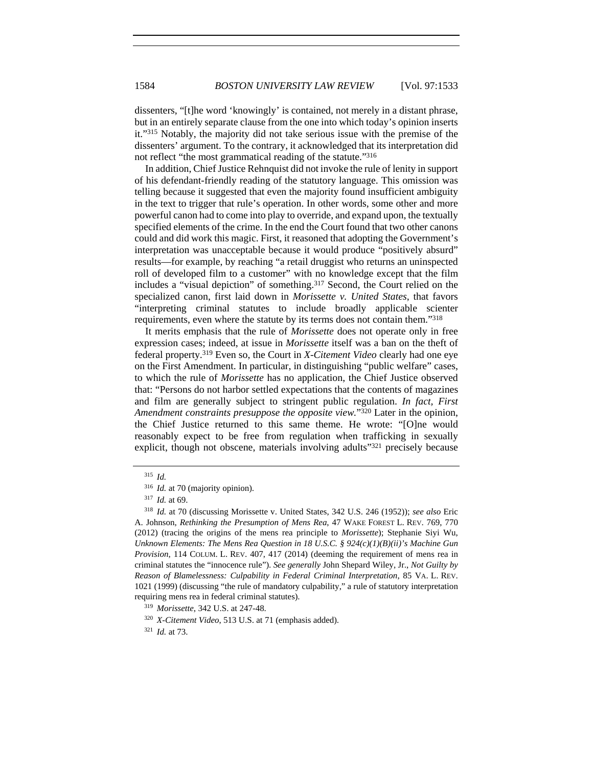dissenters, "[t]he word 'knowingly' is contained, not merely in a distant phrase, but in an entirely separate clause from the one into which today's opinion inserts it."315 Notably, the majority did not take serious issue with the premise of the dissenters' argument. To the contrary, it acknowledged that its interpretation did not reflect "the most grammatical reading of the statute."316

In addition, Chief Justice Rehnquist did not invoke the rule of lenity in support of his defendant-friendly reading of the statutory language. This omission was telling because it suggested that even the majority found insufficient ambiguity in the text to trigger that rule's operation. In other words, some other and more powerful canon had to come into play to override, and expand upon, the textually specified elements of the crime. In the end the Court found that two other canons could and did work this magic. First, it reasoned that adopting the Government's interpretation was unacceptable because it would produce "positively absurd" results—for example, by reaching "a retail druggist who returns an uninspected roll of developed film to a customer" with no knowledge except that the film includes a "visual depiction" of something.317 Second, the Court relied on the specialized canon, first laid down in *Morissette v. United States*, that favors "interpreting criminal statutes to include broadly applicable scienter requirements, even where the statute by its terms does not contain them."318

It merits emphasis that the rule of *Morissette* does not operate only in free expression cases; indeed, at issue in *Morissette* itself was a ban on the theft of federal property.319 Even so, the Court in *X-Citement Video* clearly had one eye on the First Amendment. In particular, in distinguishing "public welfare" cases, to which the rule of *Morissette* has no application, the Chief Justice observed that: "Persons do not harbor settled expectations that the contents of magazines and film are generally subject to stringent public regulation. *In fact, First Amendment constraints presuppose the opposite view.*"320 Later in the opinion, the Chief Justice returned to this same theme. He wrote: "[O]ne would reasonably expect to be free from regulation when trafficking in sexually explicit, though not obscene, materials involving adults"<sup>321</sup> precisely because

<sup>321</sup> *Id.* at 73.

<sup>315</sup> *Id.*

<sup>316</sup> *Id.* at 70 (majority opinion).

<sup>317</sup> *Id.* at 69. 318 *Id.* at 70 (discussing Morissette v. United States, 342 U.S. 246 (1952)); *see also* Eric A. Johnson, *Rethinking the Presumption of Mens Rea*, 47 WAKE FOREST L. REV. 769, 770 (2012) (tracing the origins of the mens rea principle to *Morissette*); Stephanie Siyi Wu, *Unknown Elements: The Mens Rea Question in 18 U.S.C. § 924(c)(1)(B)(ii)'s Machine Gun Provision*, 114 COLUM. L. REV. 407, 417 (2014) (deeming the requirement of mens rea in criminal statutes the "innocence rule"). *See generally* John Shepard Wiley, Jr., *Not Guilty by Reason of Blamelessness: Culpability in Federal Criminal Interpretation*, 85 VA. L. REV. 1021 (1999) (discussing "the rule of mandatory culpability," a rule of statutory interpretation requiring mens rea in federal criminal statutes). 319 *Morissette*, 342 U.S. at 247-48.

<sup>320</sup> *X-Citement Video*, 513 U.S. at 71 (emphasis added).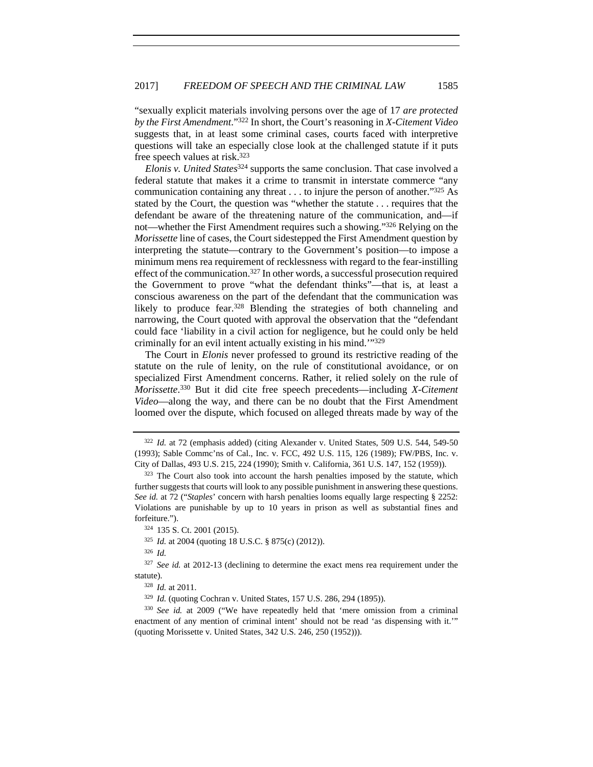"sexually explicit materials involving persons over the age of 17 *are protected by the First Amendment*."322 In short, the Court's reasoning in *X-Citement Video* suggests that, in at least some criminal cases, courts faced with interpretive questions will take an especially close look at the challenged statute if it puts free speech values at risk.323

*Elonis v. United States*324 supports the same conclusion. That case involved a federal statute that makes it a crime to transmit in interstate commerce "any communication containing any threat . . . to injure the person of another."325 As stated by the Court, the question was "whether the statute . . . requires that the defendant be aware of the threatening nature of the communication, and—if not—whether the First Amendment requires such a showing."326 Relying on the *Morissette* line of cases, the Court sidestepped the First Amendment question by interpreting the statute—contrary to the Government's position—to impose a minimum mens rea requirement of recklessness with regard to the fear-instilling effect of the communication.<sup>327</sup> In other words, a successful prosecution required the Government to prove "what the defendant thinks"—that is, at least a conscious awareness on the part of the defendant that the communication was likely to produce fear.<sup>328</sup> Blending the strategies of both channeling and narrowing, the Court quoted with approval the observation that the "defendant could face 'liability in a civil action for negligence, but he could only be held criminally for an evil intent actually existing in his mind.'"329

The Court in *Elonis* never professed to ground its restrictive reading of the statute on the rule of lenity, on the rule of constitutional avoidance, or on specialized First Amendment concerns. Rather, it relied solely on the rule of *Morissette*. 330 But it did cite free speech precedents—including *X-Citement Video*—along the way, and there can be no doubt that the First Amendment loomed over the dispute, which focused on alleged threats made by way of the

<sup>326</sup> *Id.*

<sup>322</sup> *Id.* at 72 (emphasis added) (citing Alexander v. United States, 509 U.S. 544, 549-50 (1993); Sable Commc'ns of Cal., Inc. v. FCC, 492 U.S. 115, 126 (1989); FW/PBS, Inc. v. City of Dallas, 493 U.S. 215, 224 (1990); Smith v. California, 361 U.S. 147, 152 (1959)).<br><sup>323</sup> The Court also took into account the harsh penalties imposed by the statute, which

further suggests that courts will look to any possible punishment in answering these questions. *See id.* at 72 ("*Staples*' concern with harsh penalties looms equally large respecting § 2252: Violations are punishable by up to 10 years in prison as well as substantial fines and forfeiture."). 324 135 S. Ct. 2001 (2015).

<sup>325</sup> *Id.* at 2004 (quoting 18 U.S.C. § 875(c) (2012)).

<sup>&</sup>lt;sup>327</sup> See id. at 2012-13 (declining to determine the exact mens rea requirement under the statute).

<sup>328</sup> *Id.* at 2011.

<sup>329</sup> *Id.* (quoting Cochran v. United States, 157 U.S. 286, 294 (1895)).

<sup>330</sup> *See id.* at 2009 ("We have repeatedly held that 'mere omission from a criminal enactment of any mention of criminal intent' should not be read 'as dispensing with it.'" (quoting Morissette v. United States, 342 U.S. 246, 250 (1952))).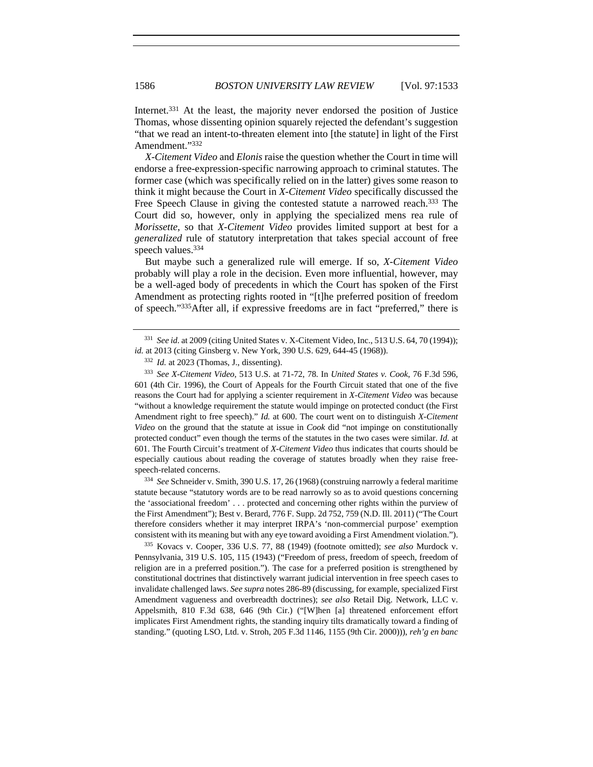Internet.<sup>331</sup> At the least, the majority never endorsed the position of Justice Thomas, whose dissenting opinion squarely rejected the defendant's suggestion "that we read an intent-to-threaten element into [the statute] in light of the First Amendment."332

*X-Citement Video* and *Elonis* raise the question whether the Court in time will endorse a free-expression-specific narrowing approach to criminal statutes. The former case (which was specifically relied on in the latter) gives some reason to think it might because the Court in *X-Citement Video* specifically discussed the Free Speech Clause in giving the contested statute a narrowed reach.<sup>333</sup> The Court did so, however, only in applying the specialized mens rea rule of *Morissette*, so that *X-Citement Video* provides limited support at best for a *generalized* rule of statutory interpretation that takes special account of free speech values.<sup>334</sup>

But maybe such a generalized rule will emerge. If so, *X-Citement Video* probably will play a role in the decision. Even more influential, however, may be a well-aged body of precedents in which the Court has spoken of the First Amendment as protecting rights rooted in "[t]he preferred position of freedom of speech."335After all, if expressive freedoms are in fact "preferred," there is

statute because "statutory words are to be read narrowly so as to avoid questions concerning the 'associational freedom' . . . protected and concerning other rights within the purview of the First Amendment"); Best v. Berard, 776 F. Supp. 2d 752, 759 (N.D. Ill. 2011) ("The Court therefore considers whether it may interpret IRPA's 'non-commercial purpose' exemption consistent with its meaning but with any eye toward avoiding a First Amendment violation.").

<sup>335</sup> Kovacs v. Cooper, 336 U.S. 77, 88 (1949) (footnote omitted); *see also* Murdock v. Pennsylvania, 319 U.S. 105, 115 (1943) ("Freedom of press, freedom of speech, freedom of religion are in a preferred position."). The case for a preferred position is strengthened by constitutional doctrines that distinctively warrant judicial intervention in free speech cases to invalidate challenged laws. *See supra* notes 286-89 (discussing, for example, specialized First Amendment vagueness and overbreadth doctrines); *see also* Retail Dig. Network, LLC v. Appelsmith, 810 F.3d 638, 646 (9th Cir.) ("[W]hen [a] threatened enforcement effort implicates First Amendment rights, the standing inquiry tilts dramatically toward a finding of standing." (quoting LSO, Ltd. v. Stroh, 205 F.3d 1146, 1155 (9th Cir. 2000))), *reh'g en banc* 

<sup>331</sup> *See id.* at 2009 (citing United States v. X-Citement Video, Inc., 513 U.S. 64, 70 (1994)); *id.* at 2013 (citing Ginsberg v. New York, 390 U.S. 629, 644-45 (1968)).

<sup>332</sup> *Id.* at 2023 (Thomas, J., dissenting).

<sup>333</sup> *See X-Citement Video*, 513 U.S. at 71-72, 78. In *United States v. Cook*, 76 F.3d 596, 601 (4th Cir. 1996), the Court of Appeals for the Fourth Circuit stated that one of the five reasons the Court had for applying a scienter requirement in *X-Citement Video* was because "without a knowledge requirement the statute would impinge on protected conduct (the First Amendment right to free speech)." *Id.* at 600. The court went on to distinguish *X-Citement Video* on the ground that the statute at issue in *Cook* did "not impinge on constitutionally protected conduct" even though the terms of the statutes in the two cases were similar. *Id.* at 601. The Fourth Circuit's treatment of *X-Citement Video* thus indicates that courts should be especially cautious about reading the coverage of statutes broadly when they raise freespeech-related concerns. 334 *See* Schneider v. Smith, 390 U.S. 17, 26 (1968) (construing narrowly a federal maritime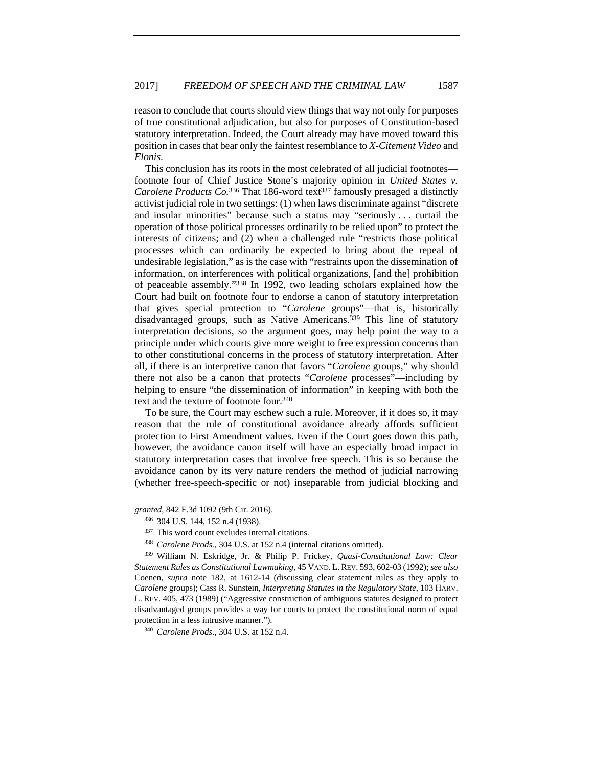reason to conclude that courts should view things that way not only for purposes of true constitutional adjudication, but also for purposes of Constitution-based statutory interpretation. Indeed, the Court already may have moved toward this position in cases that bear only the faintest resemblance to *X-Citement Video* and *Elonis*.

This conclusion has its roots in the most celebrated of all judicial footnotes footnote four of Chief Justice Stone's majority opinion in *United States v. Carolene Products Co.*<sup>336</sup> That 186-word text<sup>337</sup> famously presaged a distinctly activist judicial role in two settings: (1) when laws discriminate against "discrete and insular minorities" because such a status may "seriously . . . curtail the operation of those political processes ordinarily to be relied upon" to protect the interests of citizens; and (2) when a challenged rule "restricts those political processes which can ordinarily be expected to bring about the repeal of undesirable legislation," as is the case with "restraints upon the dissemination of information, on interferences with political organizations, [and the] prohibition of peaceable assembly."338 In 1992, two leading scholars explained how the Court had built on footnote four to endorse a canon of statutory interpretation that gives special protection to "*Carolene* groups"—that is, historically disadvantaged groups, such as Native Americans.339 This line of statutory interpretation decisions, so the argument goes, may help point the way to a principle under which courts give more weight to free expression concerns than to other constitutional concerns in the process of statutory interpretation. After all, if there is an interpretive canon that favors "*Carolene* groups," why should there not also be a canon that protects "*Carolene* processes"—including by helping to ensure "the dissemination of information" in keeping with both the text and the texture of footnote four.340

To be sure, the Court may eschew such a rule. Moreover, if it does so, it may reason that the rule of constitutional avoidance already affords sufficient protection to First Amendment values. Even if the Court goes down this path, however, the avoidance canon itself will have an especially broad impact in statutory interpretation cases that involve free speech. This is so because the avoidance canon by its very nature renders the method of judicial narrowing (whether free-speech-specific or not) inseparable from judicial blocking and

*granted*, 842 F.3d 1092 (9th Cir. 2016). 336 304 U.S. 144, 152 n.4 (1938).

<sup>337</sup> This word count excludes internal citations.

<sup>338</sup> *Carolene Prods.*, 304 U.S. at 152 n.4 (internal citations omitted).

<sup>339</sup> William N. Eskridge, Jr. & Philip P. Frickey, *Quasi-Constitutional Law: Clear Statement Rules as Constitutional Lawmaking*, 45 VAND. L.REV. 593, 602-03 (1992); *see also* Coenen, *supra* note 182, at 1612-14 (discussing clear statement rules as they apply to *Carolene* groups); Cass R. Sunstein, *Interpreting Statutes in the Regulatory State*, 103 HARV. L. REV. 405, 473 (1989) ("Aggressive construction of ambiguous statutes designed to protect disadvantaged groups provides a way for courts to protect the constitutional norm of equal protection in a less intrusive manner.").<br><sup>340</sup> *Carolene Prods.*, 304 U.S. at 152 n.4.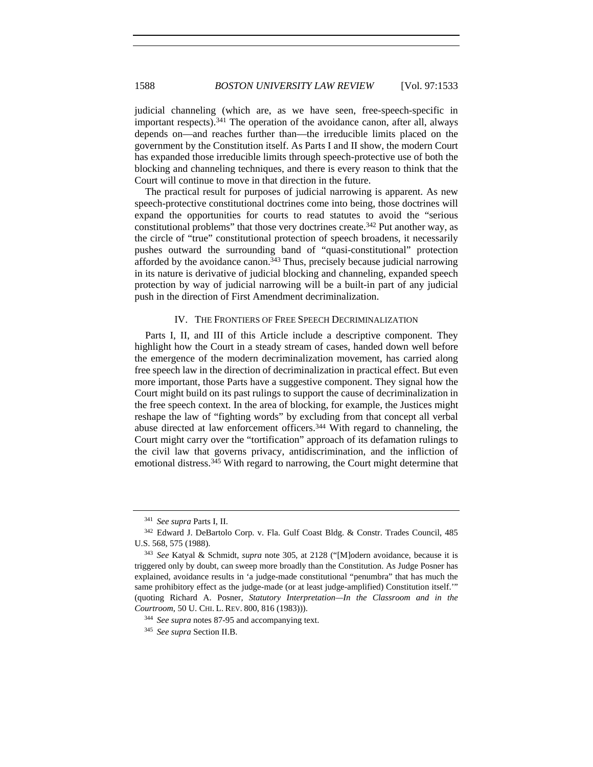judicial channeling (which are, as we have seen, free-speech-specific in important respects).341 The operation of the avoidance canon, after all, always depends on—and reaches further than—the irreducible limits placed on the government by the Constitution itself. As Parts I and II show, the modern Court has expanded those irreducible limits through speech-protective use of both the blocking and channeling techniques, and there is every reason to think that the Court will continue to move in that direction in the future.

The practical result for purposes of judicial narrowing is apparent. As new speech-protective constitutional doctrines come into being, those doctrines will expand the opportunities for courts to read statutes to avoid the "serious constitutional problems" that those very doctrines create.342 Put another way, as the circle of "true" constitutional protection of speech broadens, it necessarily pushes outward the surrounding band of "quasi-constitutional" protection afforded by the avoidance canon.343 Thus, precisely because judicial narrowing in its nature is derivative of judicial blocking and channeling, expanded speech protection by way of judicial narrowing will be a built-in part of any judicial push in the direction of First Amendment decriminalization.

# IV. THE FRONTIERS OF FREE SPEECH DECRIMINALIZATION

Parts I, II, and III of this Article include a descriptive component. They highlight how the Court in a steady stream of cases, handed down well before the emergence of the modern decriminalization movement, has carried along free speech law in the direction of decriminalization in practical effect. But even more important, those Parts have a suggestive component. They signal how the Court might build on its past rulings to support the cause of decriminalization in the free speech context. In the area of blocking, for example, the Justices might reshape the law of "fighting words" by excluding from that concept all verbal abuse directed at law enforcement officers.344 With regard to channeling, the Court might carry over the "tortification" approach of its defamation rulings to the civil law that governs privacy, antidiscrimination, and the infliction of emotional distress.345 With regard to narrowing, the Court might determine that

<sup>341</sup> *See supra* Parts I, II.

<sup>342</sup> Edward J. DeBartolo Corp. v. Fla. Gulf Coast Bldg. & Constr. Trades Council, 485 U.S. 568, 575 (1988).

<sup>343</sup> *See* Katyal & Schmidt, *supra* note 305, at 2128 ("[M]odern avoidance, because it is triggered only by doubt, can sweep more broadly than the Constitution. As Judge Posner has explained, avoidance results in 'a judge-made constitutional "penumbra" that has much the same prohibitory effect as the judge-made (or at least judge-amplified) Constitution itself.'" (quoting Richard A. Posner, *Statutory Interpretation—In the Classroom and in the Courtroom*, 50 U. CHI. L. REV. 800, 816 (1983))).

<sup>344</sup> *See supra* notes 87-95 and accompanying text.

<sup>345</sup> *See supra* Section II.B.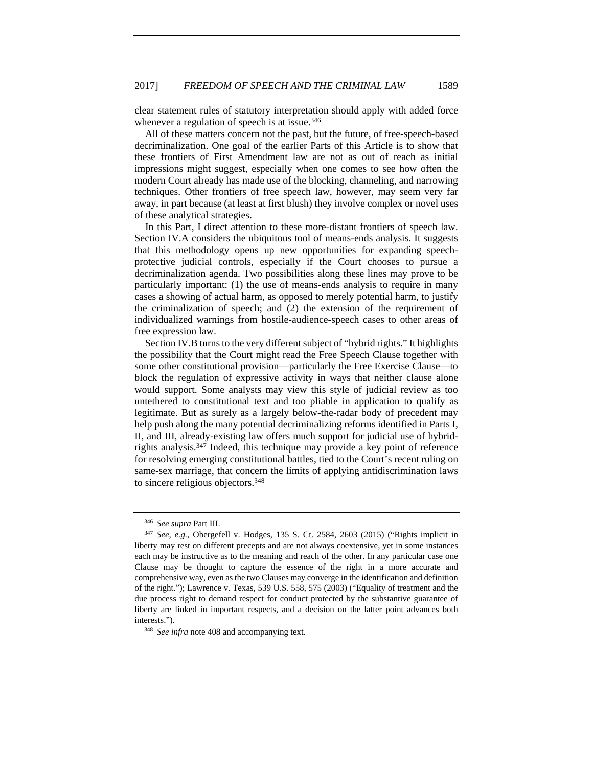clear statement rules of statutory interpretation should apply with added force whenever a regulation of speech is at issue.<sup>346</sup>

All of these matters concern not the past, but the future, of free-speech-based decriminalization. One goal of the earlier Parts of this Article is to show that these frontiers of First Amendment law are not as out of reach as initial impressions might suggest, especially when one comes to see how often the modern Court already has made use of the blocking, channeling, and narrowing techniques. Other frontiers of free speech law, however, may seem very far away, in part because (at least at first blush) they involve complex or novel uses of these analytical strategies.

In this Part, I direct attention to these more-distant frontiers of speech law. Section IV.A considers the ubiquitous tool of means-ends analysis. It suggests that this methodology opens up new opportunities for expanding speechprotective judicial controls, especially if the Court chooses to pursue a decriminalization agenda. Two possibilities along these lines may prove to be particularly important: (1) the use of means-ends analysis to require in many cases a showing of actual harm, as opposed to merely potential harm, to justify the criminalization of speech; and (2) the extension of the requirement of individualized warnings from hostile-audience-speech cases to other areas of free expression law.

Section IV.B turns to the very different subject of "hybrid rights." It highlights the possibility that the Court might read the Free Speech Clause together with some other constitutional provision—particularly the Free Exercise Clause—to block the regulation of expressive activity in ways that neither clause alone would support. Some analysts may view this style of judicial review as too untethered to constitutional text and too pliable in application to qualify as legitimate. But as surely as a largely below-the-radar body of precedent may help push along the many potential decriminalizing reforms identified in Parts I, II, and III, already-existing law offers much support for judicial use of hybridrights analysis.347 Indeed, this technique may provide a key point of reference for resolving emerging constitutional battles, tied to the Court's recent ruling on same-sex marriage, that concern the limits of applying antidiscrimination laws to sincere religious objectors.348

<sup>346</sup> *See supra* Part III.

<sup>347</sup> *See, e.g.*, Obergefell v. Hodges, 135 S. Ct. 2584, 2603 (2015) ("Rights implicit in liberty may rest on different precepts and are not always coextensive, yet in some instances each may be instructive as to the meaning and reach of the other. In any particular case one Clause may be thought to capture the essence of the right in a more accurate and comprehensive way, even as the two Clauses may converge in the identification and definition of the right."); Lawrence v. Texas, 539 U.S. 558, 575 (2003) ("Equality of treatment and the due process right to demand respect for conduct protected by the substantive guarantee of liberty are linked in important respects, and a decision on the latter point advances both interests."). 348 *See infra* note 408 and accompanying text.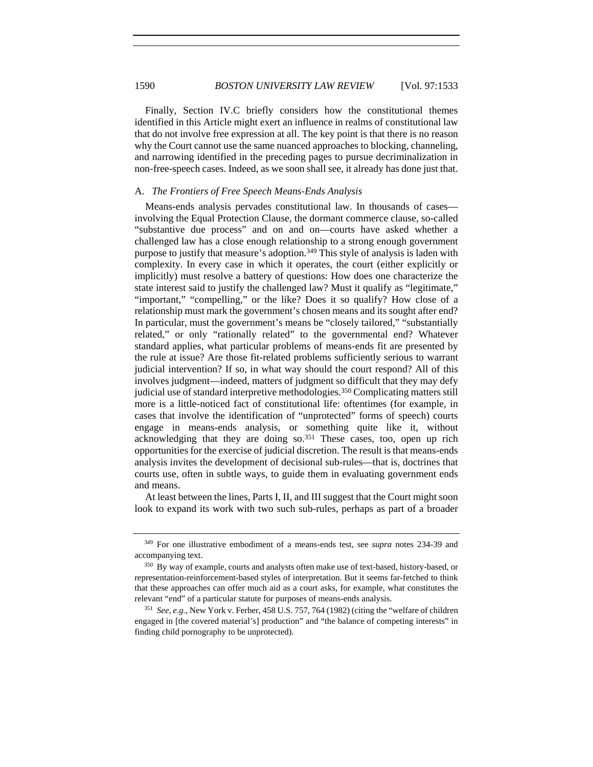1590 *BOSTON UNIVERSITY LAW REVIEW* [Vol. 97:1533

Finally, Section IV.C briefly considers how the constitutional themes identified in this Article might exert an influence in realms of constitutional law that do not involve free expression at all. The key point is that there is no reason why the Court cannot use the same nuanced approaches to blocking, channeling, and narrowing identified in the preceding pages to pursue decriminalization in non-free-speech cases. Indeed, as we soon shall see, it already has done just that.

### A. *The Frontiers of Free Speech Means-Ends Analysis*

Means-ends analysis pervades constitutional law. In thousands of cases involving the Equal Protection Clause, the dormant commerce clause, so-called "substantive due process" and on and on—courts have asked whether a challenged law has a close enough relationship to a strong enough government purpose to justify that measure's adoption.349 This style of analysis is laden with complexity. In every case in which it operates, the court (either explicitly or implicitly) must resolve a battery of questions: How does one characterize the state interest said to justify the challenged law? Must it qualify as "legitimate," "important," "compelling," or the like? Does it so qualify? How close of a relationship must mark the government's chosen means and its sought after end? In particular, must the government's means be "closely tailored," "substantially related," or only "rationally related" to the governmental end? Whatever standard applies, what particular problems of means-ends fit are presented by the rule at issue? Are those fit-related problems sufficiently serious to warrant judicial intervention? If so, in what way should the court respond? All of this involves judgment—indeed, matters of judgment so difficult that they may defy judicial use of standard interpretive methodologies.350 Complicating matters still more is a little-noticed fact of constitutional life: oftentimes (for example, in cases that involve the identification of "unprotected" forms of speech) courts engage in means-ends analysis, or something quite like it, without acknowledging that they are doing so.351 These cases, too, open up rich opportunities for the exercise of judicial discretion. The result is that means-ends analysis invites the development of decisional sub-rules—that is, doctrines that courts use, often in subtle ways, to guide them in evaluating government ends and means.

At least between the lines, Parts I, II, and III suggest that the Court might soon look to expand its work with two such sub-rules, perhaps as part of a broader

<sup>349</sup> For one illustrative embodiment of a means-ends test, see *supra* notes 234-39 and accompanying text.

<sup>350</sup> By way of example, courts and analysts often make use of text-based, history-based, or representation-reinforcement-based styles of interpretation. But it seems far-fetched to think that these approaches can offer much aid as a court asks, for example, what constitutes the relevant "end" of a particular statute for purposes of means-ends analysis.

<sup>351</sup> *See, e.g.*, New York v. Ferber, 458 U.S. 757, 764 (1982) (citing the "welfare of children engaged in [the covered material's] production" and "the balance of competing interests" in finding child pornography to be unprotected).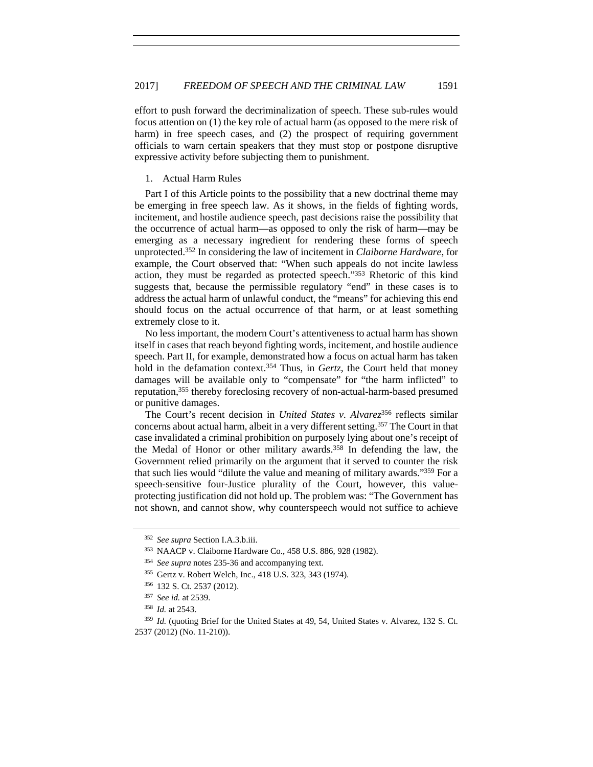effort to push forward the decriminalization of speech. These sub-rules would focus attention on (1) the key role of actual harm (as opposed to the mere risk of harm) in free speech cases, and (2) the prospect of requiring government officials to warn certain speakers that they must stop or postpone disruptive expressive activity before subjecting them to punishment.

## 1. Actual Harm Rules

Part I of this Article points to the possibility that a new doctrinal theme may be emerging in free speech law. As it shows, in the fields of fighting words, incitement, and hostile audience speech, past decisions raise the possibility that the occurrence of actual harm—as opposed to only the risk of harm—may be emerging as a necessary ingredient for rendering these forms of speech unprotected.352 In considering the law of incitement in *Claiborne Hardware*, for example, the Court observed that: "When such appeals do not incite lawless action, they must be regarded as protected speech."353 Rhetoric of this kind suggests that, because the permissible regulatory "end" in these cases is to address the actual harm of unlawful conduct, the "means" for achieving this end should focus on the actual occurrence of that harm, or at least something extremely close to it.

No less important, the modern Court's attentiveness to actual harm has shown itself in cases that reach beyond fighting words, incitement, and hostile audience speech. Part II, for example, demonstrated how a focus on actual harm has taken hold in the defamation context.<sup>354</sup> Thus, in *Gertz*, the Court held that money damages will be available only to "compensate" for "the harm inflicted" to reputation,355 thereby foreclosing recovery of non-actual-harm-based presumed or punitive damages.

The Court's recent decision in *United States v. Alvarez*<sup>356</sup> reflects similar concerns about actual harm, albeit in a very different setting.357 The Court in that case invalidated a criminal prohibition on purposely lying about one's receipt of the Medal of Honor or other military awards.358 In defending the law, the Government relied primarily on the argument that it served to counter the risk that such lies would "dilute the value and meaning of military awards."359 For a speech-sensitive four-Justice plurality of the Court, however, this valueprotecting justification did not hold up. The problem was: "The Government has not shown, and cannot show, why counterspeech would not suffice to achieve

<sup>359</sup> *Id.* (quoting Brief for the United States at 49, 54, United States v. Alvarez, 132 S. Ct. 2537 (2012) (No. 11-210)).

<sup>352</sup> *See supra* Section I.A.3.b.iii.

<sup>353</sup> NAACP v. Claiborne Hardware Co., 458 U.S. 886, 928 (1982).

<sup>354</sup> *See supra* notes 235-36 and accompanying text.

<sup>355</sup> Gertz v. Robert Welch, Inc., 418 U.S. 323, 343 (1974).

<sup>356</sup> 132 S. Ct. 2537 (2012).

<sup>357</sup> *See id.* at 2539.

<sup>358</sup> *Id.* at 2543.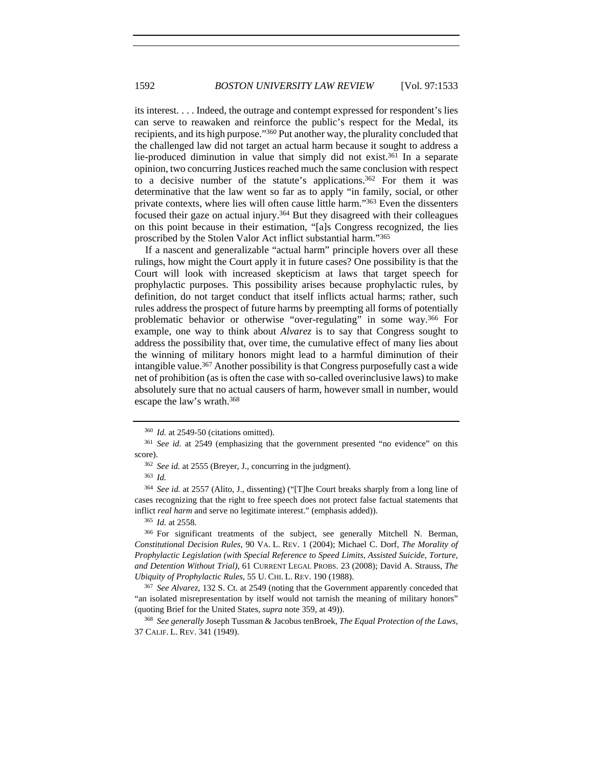its interest. . . . Indeed, the outrage and contempt expressed for respondent's lies can serve to reawaken and reinforce the public's respect for the Medal, its recipients, and its high purpose."360 Put another way, the plurality concluded that the challenged law did not target an actual harm because it sought to address a lie-produced diminution in value that simply did not exist.361 In a separate opinion, two concurring Justices reached much the same conclusion with respect to a decisive number of the statute's applications.362 For them it was determinative that the law went so far as to apply "in family, social, or other private contexts, where lies will often cause little harm."363 Even the dissenters focused their gaze on actual injury.364 But they disagreed with their colleagues on this point because in their estimation, "[a]s Congress recognized, the lies proscribed by the Stolen Valor Act inflict substantial harm."365

If a nascent and generalizable "actual harm" principle hovers over all these rulings, how might the Court apply it in future cases? One possibility is that the Court will look with increased skepticism at laws that target speech for prophylactic purposes. This possibility arises because prophylactic rules, by definition, do not target conduct that itself inflicts actual harms; rather, such rules address the prospect of future harms by preempting all forms of potentially problematic behavior or otherwise "over-regulating" in some way.366 For example, one way to think about *Alvarez* is to say that Congress sought to address the possibility that, over time, the cumulative effect of many lies about the winning of military honors might lead to a harmful diminution of their intangible value.367 Another possibility is that Congress purposefully cast a wide net of prohibition (as is often the case with so-called overinclusive laws) to make absolutely sure that no actual causers of harm, however small in number, would escape the law's wrath.368

<sup>366</sup> For significant treatments of the subject, see generally Mitchell N. Berman, *Constitutional Decision Rules*, 90 VA. L. REV. 1 (2004); Michael C. Dorf, *The Morality of Prophylactic Legislation (with Special Reference to Speed Limits, Assisted Suicide, Torture, and Detention Without Trial)*, 61 CURRENT LEGAL PROBS. 23 (2008); David A. Strauss, *The Ubiquity of Prophylactic Rules*, 55 U. CHI. L. REV. 190 (1988).

<sup>367</sup> *See Alvarez*, 132 S. Ct. at 2549 (noting that the Government apparently conceded that "an isolated misrepresentation by itself would not tarnish the meaning of military honors" (quoting Brief for the United States, *supra* note 359, at 49)). 368 *See generally* Joseph Tussman & Jacobus tenBroek, *The Equal Protection of the Laws*,

37 CALIF. L. REV. 341 (1949).

<sup>360</sup> *Id.* at 2549-50 (citations omitted).

<sup>361</sup> *See id.* at 2549 (emphasizing that the government presented "no evidence" on this

score). 362 *See id.* at 2555 (Breyer, J., concurring in the judgment). 363 *Id.*

<sup>364</sup> *See id.* at 2557 (Alito, J., dissenting) ("[T]he Court breaks sharply from a long line of cases recognizing that the right to free speech does not protect false factual statements that inflict *real harm* and serve no legitimate interest." (emphasis added)). 365 *Id.* at 2558.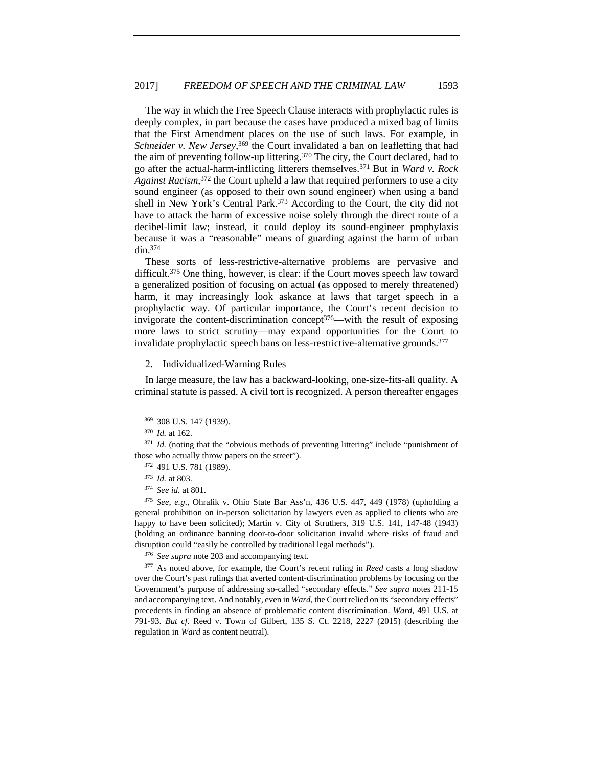The way in which the Free Speech Clause interacts with prophylactic rules is deeply complex, in part because the cases have produced a mixed bag of limits that the First Amendment places on the use of such laws. For example, in Schneider v. New Jersey,<sup>369</sup> the Court invalidated a ban on leafletting that had the aim of preventing follow-up littering.370 The city, the Court declared, had to go after the actual-harm-inflicting litterers themselves.371 But in *Ward v. Rock Against Racism*, 372 the Court upheld a law that required performers to use a city sound engineer (as opposed to their own sound engineer) when using a band shell in New York's Central Park.<sup>373</sup> According to the Court, the city did not have to attack the harm of excessive noise solely through the direct route of a decibel-limit law; instead, it could deploy its sound-engineer prophylaxis because it was a "reasonable" means of guarding against the harm of urban din.374

These sorts of less-restrictive-alternative problems are pervasive and difficult.375 One thing, however, is clear: if the Court moves speech law toward a generalized position of focusing on actual (as opposed to merely threatened) harm, it may increasingly look askance at laws that target speech in a prophylactic way. Of particular importance, the Court's recent decision to invigorate the content-discrimination concept<sup>376</sup>—with the result of exposing more laws to strict scrutiny—may expand opportunities for the Court to invalidate prophylactic speech bans on less-restrictive-alternative grounds.<sup>377</sup>

2. Individualized-Warning Rules

In large measure, the law has a backward-looking, one-size-fits-all quality. A criminal statute is passed. A civil tort is recognized. A person thereafter engages

<sup>375</sup> *See, e.g*., Ohralik v. Ohio State Bar Ass'n, 436 U.S. 447, 449 (1978) (upholding a general prohibition on in-person solicitation by lawyers even as applied to clients who are happy to have been solicited); Martin v. City of Struthers, 319 U.S. 141, 147-48 (1943) (holding an ordinance banning door-to-door solicitation invalid where risks of fraud and disruption could "easily be controlled by traditional legal methods"). 376 *See supra* note 203 and accompanying text.

<sup>377</sup> As noted above, for example, the Court's recent ruling in *Reed* casts a long shadow over the Court's past rulings that averted content-discrimination problems by focusing on the Government's purpose of addressing so-called "secondary effects." *See supra* notes 211-15 and accompanying text. And notably, even in *Ward*, the Court relied on its "secondary effects" precedents in finding an absence of problematic content discrimination. *Ward*, 491 U.S. at 791-93. *But cf.* Reed v. Town of Gilbert, 135 S. Ct. 2218, 2227 (2015) (describing the regulation in *Ward* as content neutral).

<sup>369</sup> 308 U.S. 147 (1939).

<sup>370</sup> *Id.* at 162.

<sup>&</sup>lt;sup>371</sup> *Id.* (noting that the "obvious methods of preventing littering" include "punishment of those who actually throw papers on the street").

<sup>372</sup> 491 U.S. 781 (1989). 373 *Id.* at 803.

<sup>374</sup> *See id.* at 801.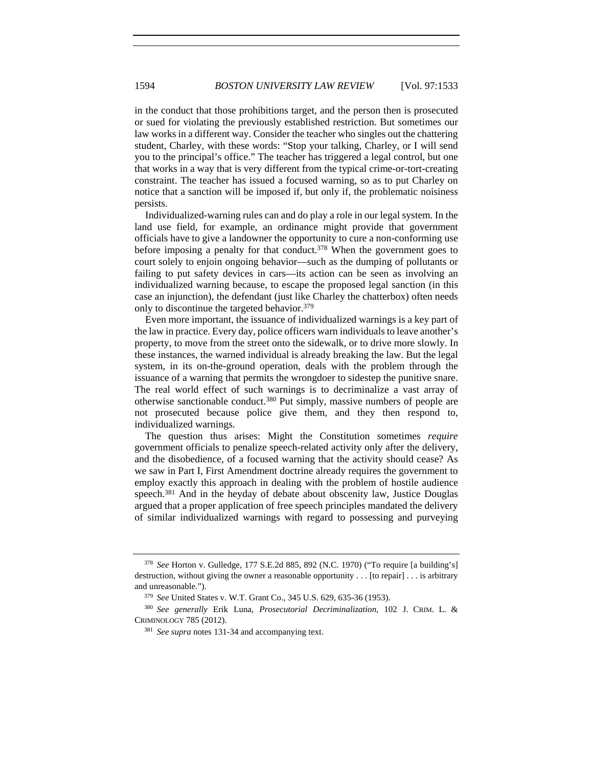in the conduct that those prohibitions target, and the person then is prosecuted or sued for violating the previously established restriction. But sometimes our law works in a different way. Consider the teacher who singles out the chattering student, Charley, with these words: "Stop your talking, Charley, or I will send you to the principal's office." The teacher has triggered a legal control, but one that works in a way that is very different from the typical crime-or-tort-creating constraint. The teacher has issued a focused warning, so as to put Charley on notice that a sanction will be imposed if, but only if, the problematic noisiness persists.

Individualized-warning rules can and do play a role in our legal system. In the land use field, for example, an ordinance might provide that government officials have to give a landowner the opportunity to cure a non-conforming use before imposing a penalty for that conduct.<sup>378</sup> When the government goes to court solely to enjoin ongoing behavior—such as the dumping of pollutants or failing to put safety devices in cars—its action can be seen as involving an individualized warning because, to escape the proposed legal sanction (in this case an injunction), the defendant (just like Charley the chatterbox) often needs only to discontinue the targeted behavior.379

Even more important, the issuance of individualized warnings is a key part of the law in practice. Every day, police officers warn individuals to leave another's property, to move from the street onto the sidewalk, or to drive more slowly. In these instances, the warned individual is already breaking the law. But the legal system, in its on-the-ground operation, deals with the problem through the issuance of a warning that permits the wrongdoer to sidestep the punitive snare. The real world effect of such warnings is to decriminalize a vast array of otherwise sanctionable conduct.380 Put simply, massive numbers of people are not prosecuted because police give them, and they then respond to, individualized warnings.

The question thus arises: Might the Constitution sometimes *require* government officials to penalize speech-related activity only after the delivery, and the disobedience, of a focused warning that the activity should cease? As we saw in Part I, First Amendment doctrine already requires the government to employ exactly this approach in dealing with the problem of hostile audience speech.<sup>381</sup> And in the heyday of debate about obscenity law, Justice Douglas argued that a proper application of free speech principles mandated the delivery of similar individualized warnings with regard to possessing and purveying

<sup>378</sup> *See* Horton v. Gulledge, 177 S.E.2d 885, 892 (N.C. 1970) ("To require [a building's] destruction, without giving the owner a reasonable opportunity . . . [to repair] . . . is arbitrary and unreasonable."). 379 *See* United States v. W.T. Grant Co., 345 U.S. 629, 635-36 (1953).

<sup>380</sup> *See generally* Erik Luna, *Prosecutorial Decriminalization*, 102 J. CRIM. L. & CRIMINOLOGY 785 (2012).

<sup>381</sup> *See supra* notes 131-34 and accompanying text.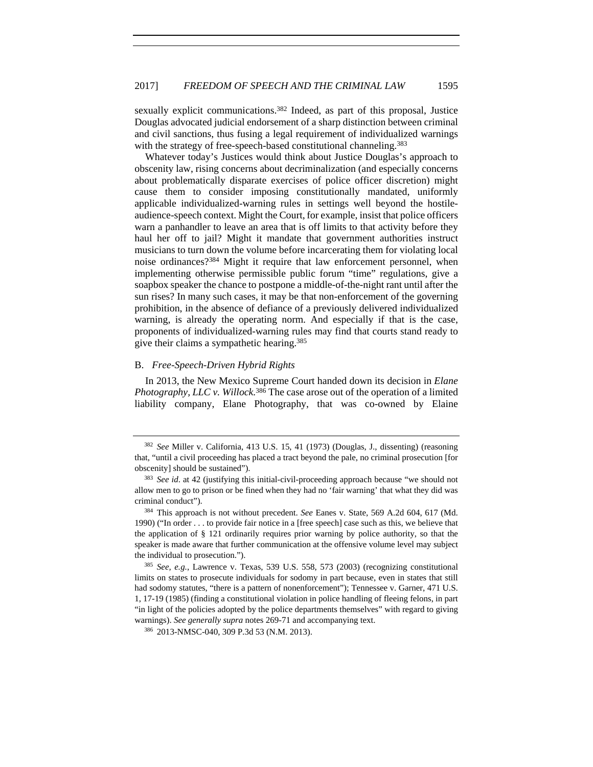sexually explicit communications.<sup>382</sup> Indeed, as part of this proposal, Justice Douglas advocated judicial endorsement of a sharp distinction between criminal and civil sanctions, thus fusing a legal requirement of individualized warnings with the strategy of free-speech-based constitutional channeling.<sup>383</sup>

Whatever today's Justices would think about Justice Douglas's approach to obscenity law, rising concerns about decriminalization (and especially concerns about problematically disparate exercises of police officer discretion) might cause them to consider imposing constitutionally mandated, uniformly applicable individualized-warning rules in settings well beyond the hostileaudience-speech context. Might the Court, for example, insist that police officers warn a panhandler to leave an area that is off limits to that activity before they haul her off to jail? Might it mandate that government authorities instruct musicians to turn down the volume before incarcerating them for violating local noise ordinances?384 Might it require that law enforcement personnel, when implementing otherwise permissible public forum "time" regulations, give a soapbox speaker the chance to postpone a middle-of-the-night rant until after the sun rises? In many such cases, it may be that non-enforcement of the governing prohibition, in the absence of defiance of a previously delivered individualized warning, is already the operating norm. And especially if that is the case, proponents of individualized-warning rules may find that courts stand ready to give their claims a sympathetic hearing.385

### B. *Free-Speech-Driven Hybrid Rights*

In 2013, the New Mexico Supreme Court handed down its decision in *Elane Photography, LLC v. Willock.*386 The case arose out of the operation of a limited liability company, Elane Photography, that was co-owned by Elaine

<sup>382</sup> *See* Miller v. California, 413 U.S. 15, 41 (1973) (Douglas, J., dissenting) (reasoning that, "until a civil proceeding has placed a tract beyond the pale, no criminal prosecution [for obscenity] should be sustained").

<sup>383</sup> *See id*. at 42 (justifying this initial-civil-proceeding approach because "we should not allow men to go to prison or be fined when they had no 'fair warning' that what they did was criminal conduct"). 384 This approach is not without precedent. *See* Eanes v. State, 569 A.2d 604, 617 (Md.

<sup>1990) (&</sup>quot;In order . . . to provide fair notice in a [free speech] case such as this, we believe that the application of § 121 ordinarily requires prior warning by police authority, so that the speaker is made aware that further communication at the offensive volume level may subject the individual to prosecution.").

<sup>385</sup> *See, e.g.*, Lawrence v. Texas, 539 U.S. 558, 573 (2003) (recognizing constitutional limits on states to prosecute individuals for sodomy in part because, even in states that still had sodomy statutes, "there is a pattern of nonenforcement"); Tennessee v. Garner, 471 U.S. 1, 17-19 (1985) (finding a constitutional violation in police handling of fleeing felons, in part "in light of the policies adopted by the police departments themselves" with regard to giving warnings). *See generally supra* notes 269-71 and accompanying text. 386 2013-NMSC-040, 309 P.3d 53 (N.M. 2013).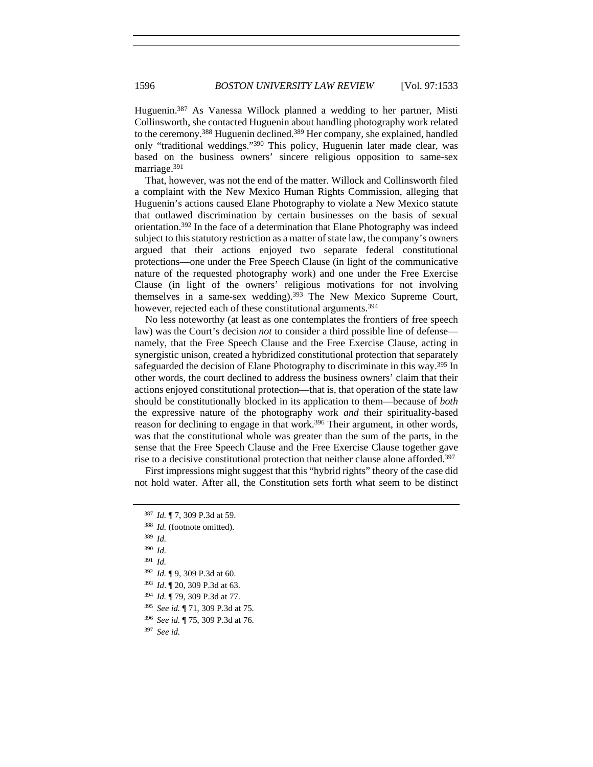Huguenin.387 As Vanessa Willock planned a wedding to her partner, Misti Collinsworth, she contacted Huguenin about handling photography work related to the ceremony.388 Huguenin declined.389 Her company, she explained, handled only "traditional weddings."390 This policy, Huguenin later made clear, was based on the business owners' sincere religious opposition to same-sex marriage.391

That, however, was not the end of the matter. Willock and Collinsworth filed a complaint with the New Mexico Human Rights Commission, alleging that Huguenin's actions caused Elane Photography to violate a New Mexico statute that outlawed discrimination by certain businesses on the basis of sexual orientation.392 In the face of a determination that Elane Photography was indeed subject to this statutory restriction as a matter of state law, the company's owners argued that their actions enjoyed two separate federal constitutional protections—one under the Free Speech Clause (in light of the communicative nature of the requested photography work) and one under the Free Exercise Clause (in light of the owners' religious motivations for not involving themselves in a same-sex wedding).393 The New Mexico Supreme Court, however, rejected each of these constitutional arguments.<sup>394</sup>

No less noteworthy (at least as one contemplates the frontiers of free speech law) was the Court's decision *not* to consider a third possible line of defense namely, that the Free Speech Clause and the Free Exercise Clause, acting in synergistic unison, created a hybridized constitutional protection that separately safeguarded the decision of Elane Photography to discriminate in this way.<sup>395</sup> In other words, the court declined to address the business owners' claim that their actions enjoyed constitutional protection—that is, that operation of the state law should be constitutionally blocked in its application to them—because of *both* the expressive nature of the photography work *and* their spirituality-based reason for declining to engage in that work.<sup>396</sup> Their argument, in other words, was that the constitutional whole was greater than the sum of the parts, in the sense that the Free Speech Clause and the Free Exercise Clause together gave rise to a decisive constitutional protection that neither clause alone afforded.397

First impressions might suggest that this "hybrid rights" theory of the case did not hold water. After all, the Constitution sets forth what seem to be distinct

<sup>395</sup> *See id.* ¶ 71, 309 P.3d at 75.

<sup>396</sup> *See id.* ¶ 75, 309 P.3d at 76.

<sup>397</sup> *See id.*

<sup>387</sup> *Id.* ¶ 7, 309 P.3d at 59. 388 *Id.* (footnote omitted). <sup>389</sup> *Id.*  <sup>390</sup> *Id.* <sup>391</sup> *Id.* <sup>392</sup> *Id.* ¶ 9, 309 P.3d at 60. <sup>393</sup> *Id*. ¶ 20, 309 P.3d at 63. <sup>394</sup> *Id.* ¶ 79, 309 P.3d at 77.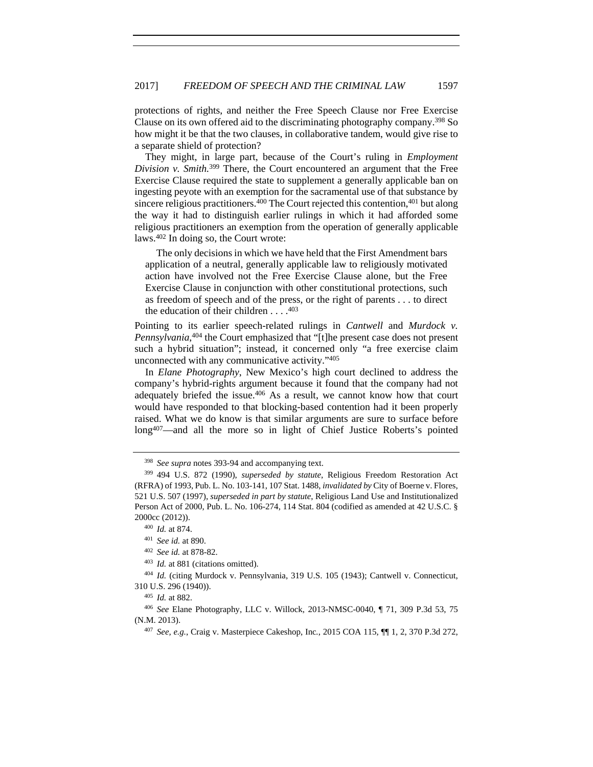protections of rights, and neither the Free Speech Clause nor Free Exercise Clause on its own offered aid to the discriminating photography company.398 So how might it be that the two clauses, in collaborative tandem, would give rise to a separate shield of protection?

They might, in large part, because of the Court's ruling in *Employment Division v. Smith.*399 There, the Court encountered an argument that the Free Exercise Clause required the state to supplement a generally applicable ban on ingesting peyote with an exemption for the sacramental use of that substance by sincere religious practitioners.<sup>400</sup> The Court rejected this contention,<sup>401</sup> but along the way it had to distinguish earlier rulings in which it had afforded some religious practitioners an exemption from the operation of generally applicable laws.402 In doing so, the Court wrote:

 The only decisions in which we have held that the First Amendment bars application of a neutral, generally applicable law to religiously motivated action have involved not the Free Exercise Clause alone, but the Free Exercise Clause in conjunction with other constitutional protections, such as freedom of speech and of the press, or the right of parents . . . to direct the education of their children  $\dots$ .<sup>403</sup>

Pointing to its earlier speech-related rulings in *Cantwell* and *Murdock v. Pennsylvania*, 404 the Court emphasized that "[t]he present case does not present such a hybrid situation"; instead, it concerned only "a free exercise claim unconnected with any communicative activity."405

In *Elane Photography*, New Mexico's high court declined to address the company's hybrid-rights argument because it found that the company had not adequately briefed the issue.406 As a result, we cannot know how that court would have responded to that blocking-based contention had it been properly raised. What we do know is that similar arguments are sure to surface before long407—and all the more so in light of Chief Justice Roberts's pointed

<sup>403</sup> *Id.* at 881 (citations omitted).

<sup>404</sup> *Id.* (citing Murdock v. Pennsylvania, 319 U.S. 105 (1943); Cantwell v. Connecticut, 310 U.S. 296 (1940)).

<sup>398</sup> *See supra* notes 393-94 and accompanying text. 399 494 U.S. 872 (1990), *superseded by statute*, Religious Freedom Restoration Act (RFRA) of 1993, Pub. L. No. 103-141, 107 Stat. 1488, *invalidated by* City of Boerne v. Flores, 521 U.S. 507 (1997), *superseded in part by statute*, Religious Land Use and Institutionalized Person Act of 2000, Pub. L. No. 106-274, 114 Stat. 804 (codified as amended at 42 U.S.C. § 2000cc (2012)).

<sup>400</sup> *Id.* at 874.

<sup>401</sup> *See id.* at 890.

<sup>402</sup> *See id.* at 878-82.

<sup>405</sup> *Id.* at 882.

<sup>406</sup> *See* Elane Photography, LLC v. Willock, 2013-NMSC-0040, ¶ 71, 309 P.3d 53, 75 (N.M. 2013). 407 *See, e.g.*, Craig v. Masterpiece Cakeshop, Inc*.*, 2015 COA 115, ¶¶ 1, 2, 370 P.3d 272,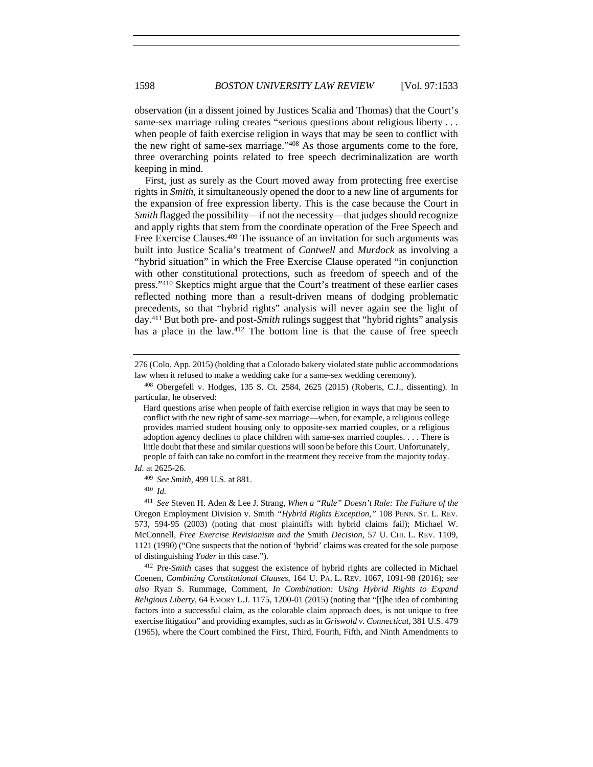observation (in a dissent joined by Justices Scalia and Thomas) that the Court's same-sex marriage ruling creates "serious questions about religious liberty . . . when people of faith exercise religion in ways that may be seen to conflict with the new right of same-sex marriage."408 As those arguments come to the fore, three overarching points related to free speech decriminalization are worth keeping in mind.

First, just as surely as the Court moved away from protecting free exercise rights in *Smith*, it simultaneously opened the door to a new line of arguments for the expansion of free expression liberty. This is the case because the Court in *Smith* flagged the possibility—if not the necessity—that judges should recognize and apply rights that stem from the coordinate operation of the Free Speech and Free Exercise Clauses.<sup>409</sup> The issuance of an invitation for such arguments was built into Justice Scalia's treatment of *Cantwell* and *Murdock* as involving a "hybrid situation" in which the Free Exercise Clause operated "in conjunction with other constitutional protections, such as freedom of speech and of the press."410 Skeptics might argue that the Court's treatment of these earlier cases reflected nothing more than a result-driven means of dodging problematic precedents, so that "hybrid rights" analysis will never again see the light of day.411 But both pre- and post-*Smith* rulings suggest that "hybrid rights" analysis has a place in the law. $4^{12}$  The bottom line is that the cause of free speech

<sup>410</sup> *Id.* 

Coenen, *Combining Constitutional Clauses*, 164 U. PA. L. REV. 1067, 1091-98 (2016); *see also* Ryan S. Rummage, Comment, *In Combination: Using Hybrid Rights to Expand Religious Liberty*, 64 EMORY L.J. 1175, 1200-01 (2015) (noting that "[t]he idea of combining factors into a successful claim, as the colorable claim approach does, is not unique to free exercise litigation" and providing examples, such as in *Griswold v. Connecticut*, 381 U.S. 479 (1965), where the Court combined the First, Third, Fourth, Fifth, and Ninth Amendments to

<sup>276 (</sup>Colo. App. 2015) (holding that a Colorado bakery violated state public accommodations law when it refused to make a wedding cake for a same-sex wedding ceremony).

<sup>408</sup> Obergefell v. Hodges, 135 S. Ct. 2584, 2625 (2015) (Roberts, C.J., dissenting). In particular, he observed:

Hard questions arise when people of faith exercise religion in ways that may be seen to conflict with the new right of same-sex marriage—when, for example, a religious college provides married student housing only to opposite-sex married couples, or a religious adoption agency declines to place children with same-sex married couples. . . . There is little doubt that these and similar questions will soon be before this Court. Unfortunately, people of faith can take no comfort in the treatment they receive from the majority today. *Id*. at 2625-26.

<sup>409</sup> *See Smith*, 499 U.S. at 881.

<sup>411</sup> *See* Steven H. Aden & Lee J. Strang, *When a "Rule" Doesn't Rule: The Failure of the* Oregon Employment Division v. Smith *"Hybrid Rights Exception*,*"* 108 PENN. ST. L. REV. 573, 594-95 (2003) (noting that most plaintiffs with hybrid claims fail); Michael W. McConnell, *Free Exercise Revisionism and the* Smith *Decision*, 57 U. CHI. L. REV. 1109, 1121 (1990) ("One suspects that the notion of 'hybrid' claims was created for the sole purpose of distinguishing *Yoder* in this case."). 412 Pre-*Smith* cases that suggest the existence of hybrid rights are collected in Michael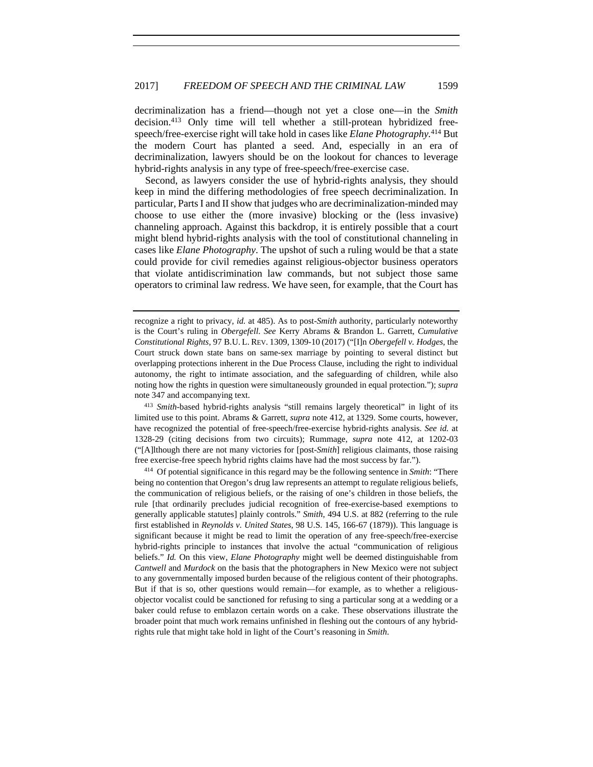decriminalization has a friend—though not yet a close one—in the *Smith* decision.413 Only time will tell whether a still-protean hybridized freespeech/free-exercise right will take hold in cases like *Elane Photography.*414 But the modern Court has planted a seed. And, especially in an era of decriminalization, lawyers should be on the lookout for chances to leverage hybrid-rights analysis in any type of free-speech/free-exercise case.

Second, as lawyers consider the use of hybrid-rights analysis, they should keep in mind the differing methodologies of free speech decriminalization. In particular, Parts I and II show that judges who are decriminalization-minded may choose to use either the (more invasive) blocking or the (less invasive) channeling approach. Against this backdrop, it is entirely possible that a court might blend hybrid-rights analysis with the tool of constitutional channeling in cases like *Elane Photography*. The upshot of such a ruling would be that a state could provide for civil remedies against religious-objector business operators that violate antidiscrimination law commands, but not subject those same operators to criminal law redress. We have seen, for example, that the Court has

<sup>413</sup> *Smith*-based hybrid-rights analysis "still remains largely theoretical" in light of its limited use to this point. Abrams & Garrett, *supra* note 412, at 1329. Some courts, however, have recognized the potential of free-speech/free-exercise hybrid-rights analysis. *See id.* at 1328-29 (citing decisions from two circuits); Rummage, *supra* note 412, at 1202-03 ("[A]lthough there are not many victories for [post-*Smith*] religious claimants, those raising free exercise-free speech hybrid rights claims have had the most success by far."). 414 Of potential significance in this regard may be the following sentence in *Smith*: "There

being no contention that Oregon's drug law represents an attempt to regulate religious beliefs, the communication of religious beliefs, or the raising of one's children in those beliefs, the rule [that ordinarily precludes judicial recognition of free-exercise-based exemptions to generally applicable statutes] plainly controls." *Smith*, 494 U.S. at 882 (referring to the rule first established in *Reynolds v. United States*, 98 U.S. 145, 166-67 (1879)). This language is significant because it might be read to limit the operation of any free-speech/free-exercise hybrid-rights principle to instances that involve the actual "communication of religious beliefs." *Id.* On this view, *Elane Photography* might well be deemed distinguishable from *Cantwell* and *Murdock* on the basis that the photographers in New Mexico were not subject to any governmentally imposed burden because of the religious content of their photographs. But if that is so, other questions would remain—for example, as to whether a religiousobjector vocalist could be sanctioned for refusing to sing a particular song at a wedding or a baker could refuse to emblazon certain words on a cake. These observations illustrate the broader point that much work remains unfinished in fleshing out the contours of any hybridrights rule that might take hold in light of the Court's reasoning in *Smith*.

recognize a right to privacy, *id.* at 485). As to post-*Smith* authority, particularly noteworthy is the Court's ruling in *Obergefell*. *See* Kerry Abrams & Brandon L. Garrett, *Cumulative Constitutional Rights*, 97 B.U. L. REV. 1309, 1309-10 (2017) ("[I]n *Obergefell v. Hodges*, the Court struck down state bans on same-sex marriage by pointing to several distinct but overlapping protections inherent in the Due Process Clause, including the right to individual autonomy, the right to intimate association, and the safeguarding of children, while also noting how the rights in question were simultaneously grounded in equal protection."); *supra*  note 347 and accompanying text.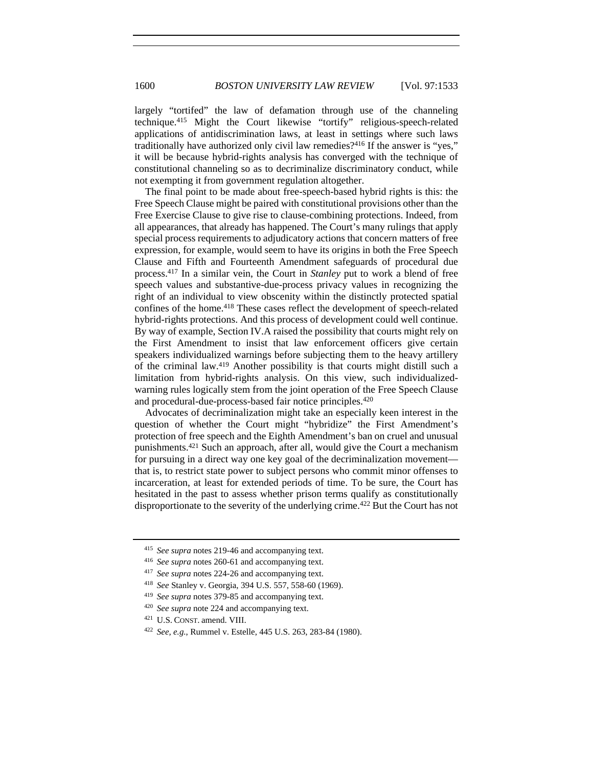largely "tortifed" the law of defamation through use of the channeling technique.415 Might the Court likewise "tortify" religious-speech-related applications of antidiscrimination laws, at least in settings where such laws traditionally have authorized only civil law remedies?416 If the answer is "yes," it will be because hybrid-rights analysis has converged with the technique of constitutional channeling so as to decriminalize discriminatory conduct, while not exempting it from government regulation altogether.

The final point to be made about free-speech-based hybrid rights is this: the Free Speech Clause might be paired with constitutional provisions other than the Free Exercise Clause to give rise to clause-combining protections. Indeed, from all appearances, that already has happened. The Court's many rulings that apply special process requirements to adjudicatory actions that concern matters of free expression, for example, would seem to have its origins in both the Free Speech Clause and Fifth and Fourteenth Amendment safeguards of procedural due process.417 In a similar vein, the Court in *Stanley* put to work a blend of free speech values and substantive-due-process privacy values in recognizing the right of an individual to view obscenity within the distinctly protected spatial confines of the home.418 These cases reflect the development of speech-related hybrid-rights protections. And this process of development could well continue. By way of example, Section IV.A raised the possibility that courts might rely on the First Amendment to insist that law enforcement officers give certain speakers individualized warnings before subjecting them to the heavy artillery of the criminal law.419 Another possibility is that courts might distill such a limitation from hybrid-rights analysis. On this view, such individualizedwarning rules logically stem from the joint operation of the Free Speech Clause and procedural-due-process-based fair notice principles.420

Advocates of decriminalization might take an especially keen interest in the question of whether the Court might "hybridize" the First Amendment's protection of free speech and the Eighth Amendment's ban on cruel and unusual punishments.421 Such an approach, after all, would give the Court a mechanism for pursuing in a direct way one key goal of the decriminalization movement that is, to restrict state power to subject persons who commit minor offenses to incarceration, at least for extended periods of time. To be sure, the Court has hesitated in the past to assess whether prison terms qualify as constitutionally disproportionate to the severity of the underlying crime.422 But the Court has not

<sup>415</sup> *See supra* notes 219-46 and accompanying text.

<sup>416</sup> *See supra* notes 260-61 and accompanying text.

<sup>417</sup> *See supra* notes 224-26 and accompanying text.

<sup>418</sup> *See* Stanley v. Georgia, 394 U.S. 557, 558-60 (1969).

<sup>419</sup> *See supra* notes 379-85 and accompanying text.

<sup>420</sup> *See supra* note 224 and accompanying text.

<sup>421</sup> U.S. CONST. amend. VIII.

<sup>422</sup> *See, e.g.*, Rummel v. Estelle, 445 U.S. 263, 283-84 (1980).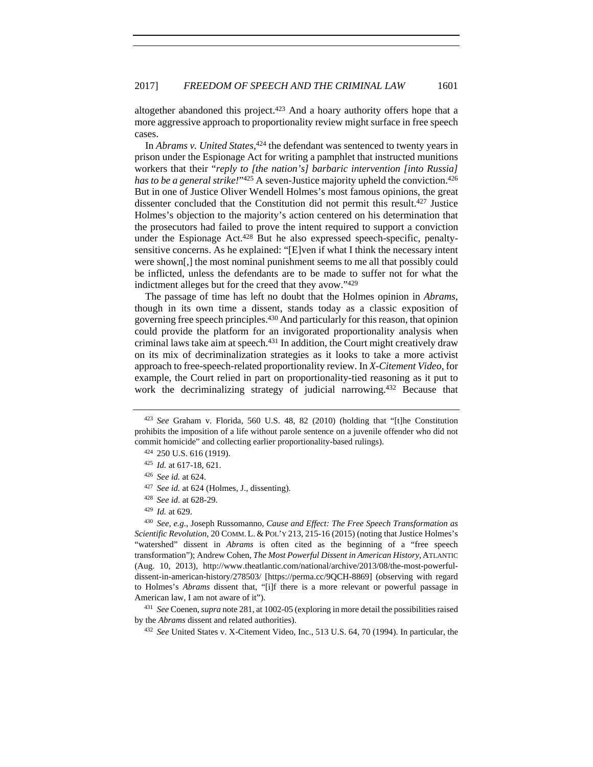altogether abandoned this project.423 And a hoary authority offers hope that a more aggressive approach to proportionality review might surface in free speech cases.

In *Abrams v. United States*, 424 the defendant was sentenced to twenty years in prison under the Espionage Act for writing a pamphlet that instructed munitions workers that their "*reply to [the nation's] barbaric intervention [into Russia] has to be a general strike!*"<sup>425</sup> A seven-Justice majority upheld the conviction.<sup>426</sup> But in one of Justice Oliver Wendell Holmes's most famous opinions, the great dissenter concluded that the Constitution did not permit this result.427 Justice Holmes's objection to the majority's action centered on his determination that the prosecutors had failed to prove the intent required to support a conviction under the Espionage Act. $428$  But he also expressed speech-specific, penaltysensitive concerns. As he explained: "[E]ven if what I think the necessary intent were shown[,] the most nominal punishment seems to me all that possibly could be inflicted, unless the defendants are to be made to suffer not for what the indictment alleges but for the creed that they avow."429

The passage of time has left no doubt that the Holmes opinion in *Abrams*, though in its own time a dissent, stands today as a classic exposition of governing free speech principles.430 And particularly for this reason, that opinion could provide the platform for an invigorated proportionality analysis when criminal laws take aim at speech.<sup>431</sup> In addition, the Court might creatively draw on its mix of decriminalization strategies as it looks to take a more activist approach to free-speech-related proportionality review. In *X-Citement Video*, for example, the Court relied in part on proportionality-tied reasoning as it put to work the decriminalizing strategy of judicial narrowing.432 Because that

by the *Abrams* dissent and related authorities). 432 *See* United States v. X-Citement Video, Inc., 513 U.S. 64, 70 (1994). In particular, the

<sup>423</sup> *See* Graham v. Florida, 560 U.S. 48, 82 (2010) (holding that "[t]he Constitution prohibits the imposition of a life without parole sentence on a juvenile offender who did not commit homicide" and collecting earlier proportionality-based rulings).

<sup>424</sup> 250 U.S. 616 (1919).

<sup>425</sup> *Id.* at 617-18, 621.

<sup>426</sup> *See id.* at 624.

<sup>427</sup> *See id.* at 624 (Holmes, J., dissenting).

<sup>428</sup> *See id*. at 628-29. 429 *Id.* at 629.

<sup>430</sup> *See, e.g.*, Joseph Russomanno, *Cause and Effect: The Free Speech Transformation as Scientific Revolution*, 20 COMM. L. & POL'Y 213, 215-16 (2015) (noting that Justice Holmes's "watershed" dissent in *Abrams* is often cited as the beginning of a "free speech transformation"); Andrew Cohen, *The Most Powerful Dissent in American History*, ATLANTIC (Aug. 10, 2013), http://www.theatlantic.com/national/archive/2013/08/the-most-powerfuldissent-in-american-history/278503/ [https://perma.cc/9QCH-8869] (observing with regard to Holmes's *Abrams* dissent that, "[i]f there is a more relevant or powerful passage in American law, I am not aware of it").<br><sup>431</sup> *See* Coenen, *supra* note 281, at 1002-05 (exploring in more detail the possibilities raised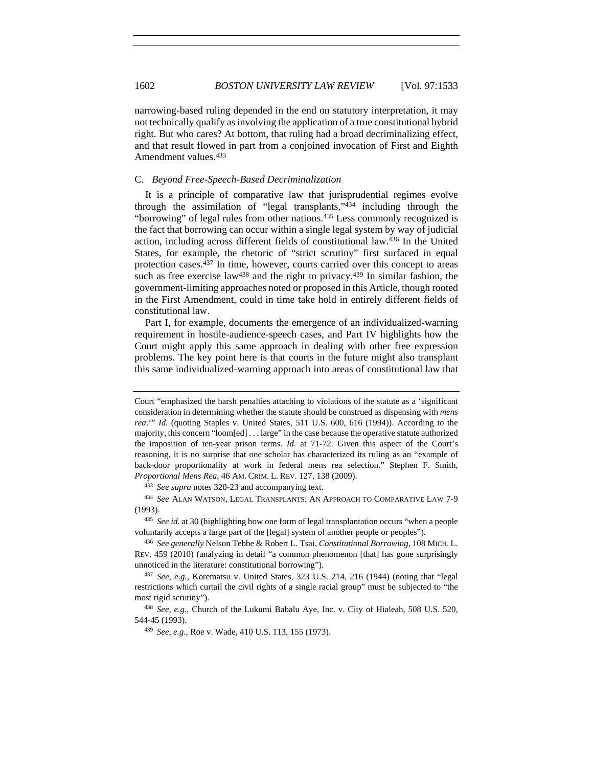narrowing-based ruling depended in the end on statutory interpretation, it may not technically qualify as involving the application of a true constitutional hybrid right. But who cares? At bottom, that ruling had a broad decriminalizing effect, and that result flowed in part from a conjoined invocation of First and Eighth Amendment values.433

## C. *Beyond Free-Speech-Based Decriminalization*

It is a principle of comparative law that jurisprudential regimes evolve through the assimilation of "legal transplants,"434 including through the "borrowing" of legal rules from other nations.<sup>435</sup> Less commonly recognized is the fact that borrowing can occur within a single legal system by way of judicial action, including across different fields of constitutional law.436 In the United States, for example, the rhetoric of "strict scrutiny" first surfaced in equal protection cases.<sup>437</sup> In time, however, courts carried over this concept to areas such as free exercise law<sup>438</sup> and the right to privacy.<sup>439</sup> In similar fashion, the government-limiting approaches noted or proposed in this Article, though rooted in the First Amendment, could in time take hold in entirely different fields of constitutional law.

Part I, for example, documents the emergence of an individualized-warning requirement in hostile-audience-speech cases, and Part IV highlights how the Court might apply this same approach in dealing with other free expression problems. The key point here is that courts in the future might also transplant this same individualized-warning approach into areas of constitutional law that

<sup>433</sup> *See supra* notes 320-23 and accompanying text.

<sup>434</sup> *See* ALAN WATSON, LEGAL TRANSPLANTS: AN APPROACH TO COMPARATIVE LAW 7-9 (1993). 435 *See id.* at 30 (highlighting how one form of legal transplantation occurs "when a people

voluntarily accepts a large part of the [legal] system of another people or peoples").

Court "emphasized the harsh penalties attaching to violations of the statute as a 'significant consideration in determining whether the statute should be construed as dispensing with *mens rea.*"" *Id.* (quoting Staples v. United States, 511 U.S. 600, 616 (1994)). According to the majority, this concern "loom[ed] . . . large" in the case because the operative statute authorized the imposition of ten-year prison terms. *Id.* at 71-72. Given this aspect of the Court's reasoning, it is no surprise that one scholar has characterized its ruling as an "example of back-door proportionality at work in federal mens rea selection." Stephen F. Smith, *Proportional Mens Rea*, 46 AM. CRIM. L. REV. 127, 138 (2009).

<sup>436</sup> *See generally* Nelson Tebbe & Robert L. Tsai, *Constitutional Borrowing*, 108 MICH. L. REV. 459 (2010) (analyzing in detail "a common phenomenon [that] has gone surprisingly unnoticed in the literature: constitutional borrowing"). 437 *See, e.g.*, Korematsu v. United States, 323 U.S. 214, 216 (1944) (noting that "legal

restrictions which curtail the civil rights of a single racial group" must be subjected to "the most rigid scrutiny").<br><sup>438</sup> *See, e.g.*, Church of the Lukumi Babalu Aye, Inc. v. City of Hialeah, 508 U.S. 520,

<sup>544-45 (1993). 439</sup> *See, e.g.*, Roe v. Wade, 410 U.S. 113, 155 (1973).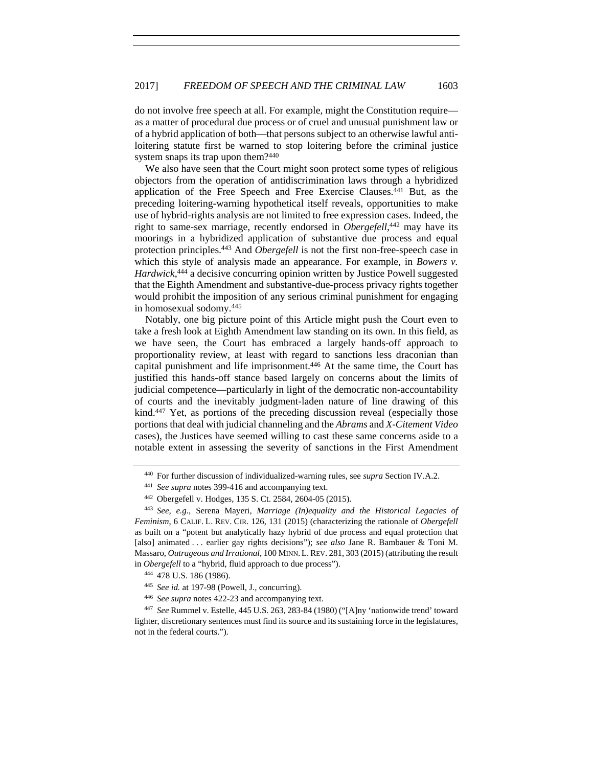do not involve free speech at all. For example, might the Constitution require as a matter of procedural due process or of cruel and unusual punishment law or of a hybrid application of both—that persons subject to an otherwise lawful antiloitering statute first be warned to stop loitering before the criminal justice system snaps its trap upon them?<sup>440</sup>

We also have seen that the Court might soon protect some types of religious objectors from the operation of antidiscrimination laws through a hybridized application of the Free Speech and Free Exercise Clauses.441 But, as the preceding loitering-warning hypothetical itself reveals, opportunities to make use of hybrid-rights analysis are not limited to free expression cases. Indeed, the right to same-sex marriage, recently endorsed in *Obergefell*, 442 may have its moorings in a hybridized application of substantive due process and equal protection principles.443 And *Obergefell* is not the first non-free-speech case in which this style of analysis made an appearance. For example, in *Bowers v*. *Hardwick*, 444 a decisive concurring opinion written by Justice Powell suggested that the Eighth Amendment and substantive-due-process privacy rights together would prohibit the imposition of any serious criminal punishment for engaging in homosexual sodomy.445

Notably, one big picture point of this Article might push the Court even to take a fresh look at Eighth Amendment law standing on its own. In this field, as we have seen, the Court has embraced a largely hands-off approach to proportionality review, at least with regard to sanctions less draconian than capital punishment and life imprisonment.446 At the same time, the Court has justified this hands-off stance based largely on concerns about the limits of judicial competence—particularly in light of the democratic non-accountability of courts and the inevitably judgment-laden nature of line drawing of this kind.447 Yet, as portions of the preceding discussion reveal (especially those portions that deal with judicial channeling and the *Abrams* and *X-Citement Video*  cases), the Justices have seemed willing to cast these same concerns aside to a notable extent in assessing the severity of sanctions in the First Amendment

<sup>440</sup> For further discussion of individualized-warning rules, see *supra* Section IV.A.2.

<sup>441</sup> *See supra* notes 399-416 and accompanying text.

<sup>442</sup> Obergefell v. Hodges, 135 S. Ct. 2584, 2604-05 (2015).

<sup>443</sup> *See, e.g.*, Serena Mayeri, *Marriage (In)equality and the Historical Legacies of Feminism*, 6 CALIF. L. REV. CIR. 126, 131 (2015) (characterizing the rationale of *Obergefell* as built on a "potent but analytically hazy hybrid of due process and equal protection that [also] animated . . . earlier gay rights decisions"); *see also* Jane R. Bambauer & Toni M. Massaro, *Outrageous and Irrational*, 100 MINN.L.REV. 281, 303 (2015) (attributing the result in *Obergefell* to a "hybrid, fluid approach to due process").

<sup>444</sup> 478 U.S. 186 (1986).

<sup>445</sup> *See id.* at 197-98 (Powell, J., concurring).

<sup>446</sup> *See supra* notes 422-23 and accompanying text.

<sup>447</sup> *See* Rummel v. Estelle, 445 U.S. 263, 283-84 (1980) ("[A]ny 'nationwide trend' toward lighter, discretionary sentences must find its source and its sustaining force in the legislatures, not in the federal courts.").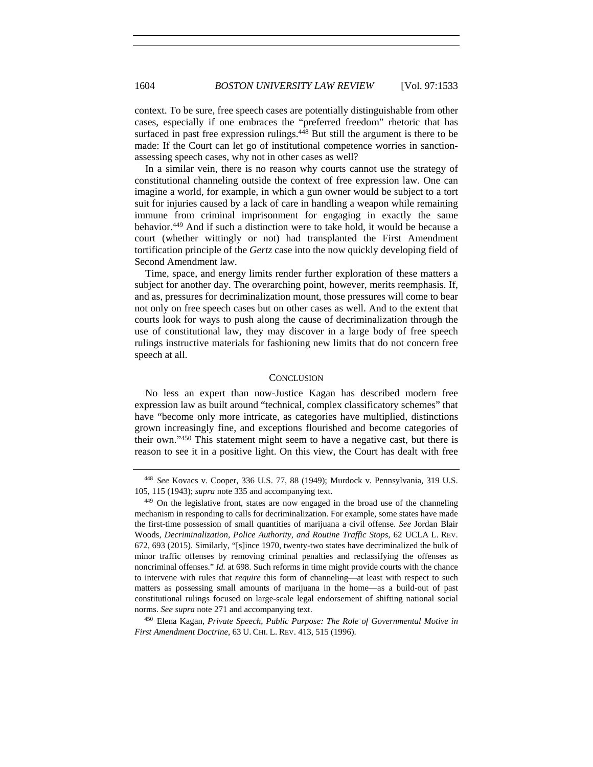context. To be sure, free speech cases are potentially distinguishable from other cases, especially if one embraces the "preferred freedom" rhetoric that has surfaced in past free expression rulings.<sup>448</sup> But still the argument is there to be made: If the Court can let go of institutional competence worries in sanctionassessing speech cases, why not in other cases as well?

In a similar vein, there is no reason why courts cannot use the strategy of constitutional channeling outside the context of free expression law. One can imagine a world, for example, in which a gun owner would be subject to a tort suit for injuries caused by a lack of care in handling a weapon while remaining immune from criminal imprisonment for engaging in exactly the same behavior.449 And if such a distinction were to take hold, it would be because a court (whether wittingly or not) had transplanted the First Amendment tortification principle of the *Gertz* case into the now quickly developing field of Second Amendment law.

Time, space, and energy limits render further exploration of these matters a subject for another day. The overarching point, however, merits reemphasis. If, and as, pressures for decriminalization mount, those pressures will come to bear not only on free speech cases but on other cases as well. And to the extent that courts look for ways to push along the cause of decriminalization through the use of constitutional law, they may discover in a large body of free speech rulings instructive materials for fashioning new limits that do not concern free speech at all.

## **CONCLUSION**

No less an expert than now-Justice Kagan has described modern free expression law as built around "technical, complex classificatory schemes" that have "become only more intricate, as categories have multiplied, distinctions grown increasingly fine, and exceptions flourished and become categories of their own."450 This statement might seem to have a negative cast, but there is reason to see it in a positive light. On this view, the Court has dealt with free

<sup>448</sup> *See* Kovacs v. Cooper, 336 U.S. 77, 88 (1949); Murdock v. Pennsylvania, 319 U.S. 105, 115 (1943); *supra* note 335 and accompanying text.

<sup>449</sup> On the legislative front, states are now engaged in the broad use of the channeling mechanism in responding to calls for decriminalization. For example, some states have made the first-time possession of small quantities of marijuana a civil offense. *See* Jordan Blair Woods, *Decriminalization, Police Authority, and Routine Traffic Stops*, 62 UCLA L. REV. 672, 693 (2015). Similarly, "[s]ince 1970, twenty-two states have decriminalized the bulk of minor traffic offenses by removing criminal penalties and reclassifying the offenses as noncriminal offenses." *Id.* at 698. Such reforms in time might provide courts with the chance to intervene with rules that *require* this form of channeling—at least with respect to such matters as possessing small amounts of marijuana in the home—as a build-out of past constitutional rulings focused on large-scale legal endorsement of shifting national social norms. *See supra* note 271 and accompanying text.<br><sup>450</sup> Elena Kagan, *Private Speech, Public Purpose: The Role of Governmental Motive in* 

*First Amendment Doctrine*, 63 U. CHI. L. REV. 413, 515 (1996).